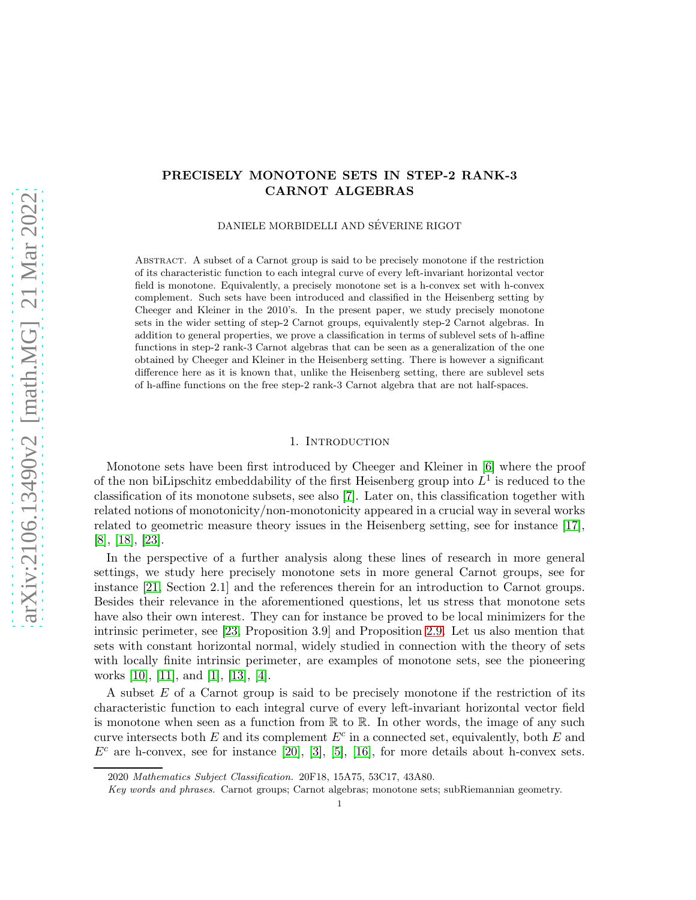# PRECISELY MONOTONE SETS IN STEP-2 RANK-3 CARNOT ALGEBRAS

DANIELE MORBIDELLI AND SÉVERINE RIGOT

Abstract. A subset of a Carnot group is said to be precisely monotone if the restriction of its characteristic function to each integral curve of every left-invariant horizontal vector field is monotone. Equivalently, a precisely monotone set is a h-convex set with h-convex complement. Such sets have been introduced and classified in the Heisenberg setting by Cheeger and Kleiner in the 2010's. In the present paper, we study precisely monotone sets in the wider setting of step-2 Carnot groups, equivalently step-2 Carnot algebras. In addition to general properties, we prove a classification in terms of sublevel sets of h-affine functions in step-2 rank-3 Carnot algebras that can be seen as a generalization of the one obtained by Cheeger and Kleiner in the Heisenberg setting. There is however a significant difference here as it is known that, unlike the Heisenberg setting, there are sublevel sets of h-affine functions on the free step-2 rank-3 Carnot algebra that are not half-spaces.

### 1. Introduction

<span id="page-0-0"></span>Monotone sets have been first introduced by Cheeger and Kleiner in [\[6\]](#page-31-0) where the proof of the non biLipschitz embeddability of the first Heisenberg group into  $L^1$  is reduced to the classification of its monotone subsets, see also [\[7\]](#page-31-1). Later on, this classification together with related notions of monotonicity/non-monotonicity appeared in a crucial way in several works related to geometric measure theory issues in the Heisenberg setting, see for instance [\[17\]](#page-32-0), [\[8\]](#page-32-1), [\[18\]](#page-32-2), [\[23\]](#page-32-3).

In the perspective of a further analysis along these lines of research in more general settings, we study here precisely monotone sets in more general Carnot groups, see for instance [\[21,](#page-32-4) Section 2.1] and the references therein for an introduction to Carnot groups. Besides their relevance in the aforementioned questions, let us stress that monotone sets have also their own interest. They can for instance be proved to be local minimizers for the intrinsic perimeter, see [\[23,](#page-32-3) Proposition 3.9] and Proposition [2.9.](#page-7-0) Let us also mention that sets with constant horizontal normal, widely studied in connection with the theory of sets with locally finite intrinsic perimeter, are examples of monotone sets, see the pioneering works [\[10\]](#page-32-5), [\[11\]](#page-32-6), and [\[1\]](#page-31-2), [\[13\]](#page-32-7), [\[4\]](#page-31-3).

A subset E of a Carnot group is said to be precisely monotone if the restriction of its characteristic function to each integral curve of every left-invariant horizontal vector field is monotone when seen as a function from  $\mathbb R$  to  $\mathbb R$ . In other words, the image of any such curve intersects both  $E$  and its complement  $E^c$  in a connected set, equivalently, both  $E$  and  $E<sup>c</sup>$  are h-convex, see for instance [\[20\]](#page-32-8), [\[3\]](#page-31-4), [\[5\]](#page-31-5), [\[16\]](#page-32-9), for more details about h-convex sets.

<sup>2020</sup> Mathematics Subject Classification. 20F18, 15A75, 53C17, 43A80.

Key words and phrases. Carnot groups; Carnot algebras; monotone sets; subRiemannian geometry.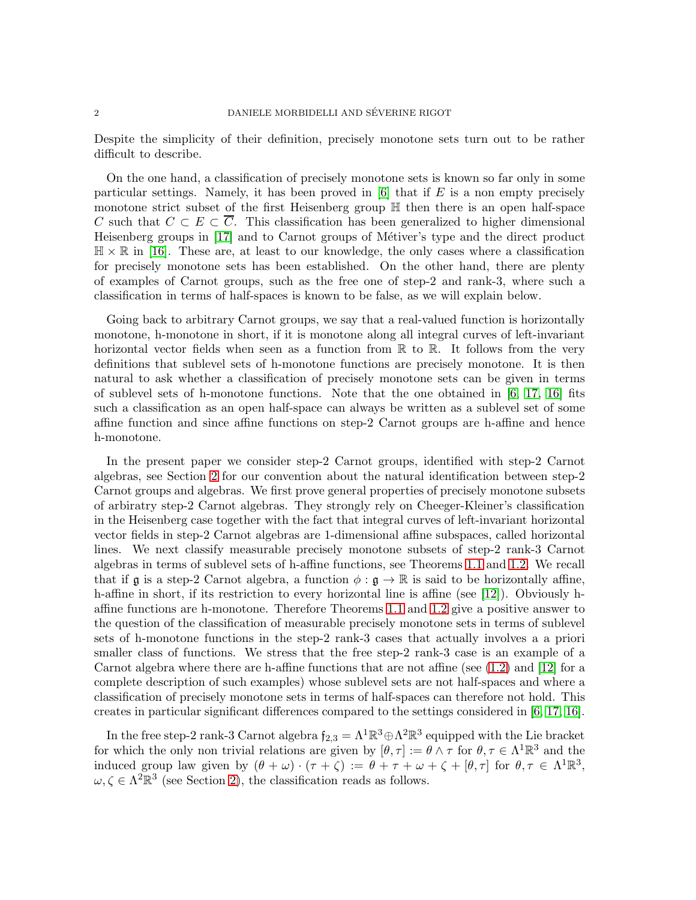Despite the simplicity of their definition, precisely monotone sets turn out to be rather difficult to describe.

On the one hand, a classification of precisely monotone sets is known so far only in some particular settings. Namely, it has been proved in  $[6]$  that if E is a non empty precisely monotone strict subset of the first Heisenberg group H then there is an open half-space C such that  $C \subset E \subset \overline{C}$ . This classification has been generalized to higher dimensional Heisenberg groups in [\[17\]](#page-32-0) and to Carnot groups of Métiver's type and the direct product  $\mathbb{H} \times \mathbb{R}$  in [\[16\]](#page-32-9). These are, at least to our knowledge, the only cases where a classification for precisely monotone sets has been established. On the other hand, there are plenty of examples of Carnot groups, such as the free one of step-2 and rank-3, where such a classification in terms of half-spaces is known to be false, as we will explain below.

Going back to arbitrary Carnot groups, we say that a real-valued function is horizontally monotone, h-monotone in short, if it is monotone along all integral curves of left-invariant horizontal vector fields when seen as a function from  $\mathbb R$  to  $\mathbb R$ . It follows from the very definitions that sublevel sets of h-monotone functions are precisely monotone. It is then natural to ask whether a classification of precisely monotone sets can be given in terms of sublevel sets of h-monotone functions. Note that the one obtained in  $[6, 17, 16]$  $[6, 17, 16]$  $[6, 17, 16]$  fits such a classification as an open half-space can always be written as a sublevel set of some affine function and since affine functions on step-2 Carnot groups are h-affine and hence h-monotone.

In the present paper we consider step-2 Carnot groups, identified with step-2 Carnot algebras, see Section [2](#page-3-0) for our convention about the natural identification between step-2 Carnot groups and algebras. We first prove general properties of precisely monotone subsets of arbiratry step-2 Carnot algebras. They strongly rely on Cheeger-Kleiner's classification in the Heisenberg case together with the fact that integral curves of left-invariant horizontal vector fields in step-2 Carnot algebras are 1-dimensional affine subspaces, called horizontal lines. We next classify measurable precisely monotone subsets of step-2 rank-3 Carnot algebras in terms of sublevel sets of h-affine functions, see Theorems [1.1](#page-2-0) and [1.2.](#page-2-1) We recall that if g is a step-2 Carnot algebra, a function  $\phi : \mathfrak{g} \to \mathbb{R}$  is said to be horizontally affine, h-affine in short, if its restriction to every horizontal line is affine (see [\[12\]](#page-32-10)). Obviously haffine functions are h-monotone. Therefore Theorems [1.1](#page-2-0) and [1.2](#page-2-1) give a positive answer to the question of the classification of measurable precisely monotone sets in terms of sublevel sets of h-monotone functions in the step-2 rank-3 cases that actually involves a a priori smaller class of functions. We stress that the free step-2 rank-3 case is an example of a Carnot algebra where there are h-affine functions that are not affine (see  $(1.2)$  and  $[12]$  for a complete description of such examples) whose sublevel sets are not half-spaces and where a classification of precisely monotone sets in terms of half-spaces can therefore not hold. This creates in particular significant differences compared to the settings considered in [\[6,](#page-31-0) [17,](#page-32-0) [16\]](#page-32-9).

In the free step-2 rank-3 Carnot algebra  $f_{2,3} = \Lambda^1 \mathbb{R}^3 \oplus \Lambda^2 \mathbb{R}^3$  equipped with the Lie bracket for which the only non trivial relations are given by  $[\theta, \tau] := \theta \wedge \tau$  for  $\theta, \tau \in \Lambda^1 \mathbb{R}^3$  and the induced group law given by  $(\theta + \omega) \cdot (\tau + \zeta) := \theta + \tau + \omega + \zeta + [\theta, \tau]$  for  $\theta, \tau \in \Lambda^1 \mathbb{R}^3$ ,  $\omega, \zeta \in \Lambda^2 \mathbb{R}^3$  (see Section [2\)](#page-3-0), the classification reads as follows.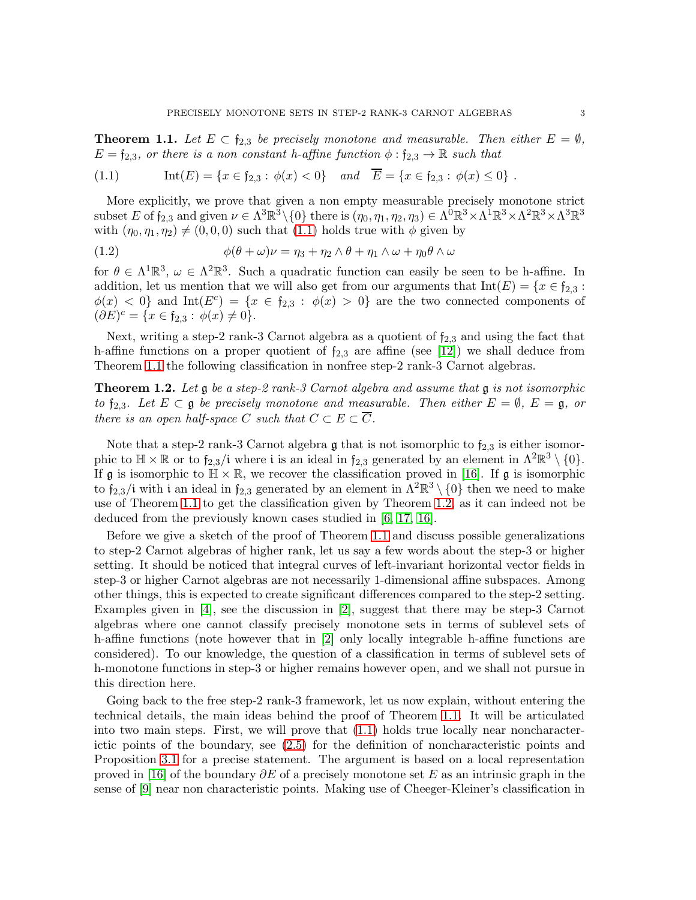<span id="page-2-0"></span>**Theorem 1.1.** Let  $E \subset \mathfrak{f}_{2,3}$  be precisely monotone and measurable. Then either  $E = \emptyset$ ,  $E = \mathfrak{f}_{2,3}$ , or there is a non constant h-affine function  $\phi : \mathfrak{f}_{2,3} \to \mathbb{R}$  such that

<span id="page-2-3"></span>
$$
(1.1) \quad \text{Int}(E) = \{x \in \mathfrak{f}_{2,3} : \phi(x) < 0\} \quad \text{and} \quad E = \{x \in \mathfrak{f}_{2,3} : \phi(x) \le 0\} \ .
$$

More explicitly, we prove that given a non empty measurable precisely monotone strict  $\text{subset } E \text{ of } \mathfrak{f}_{2,3} \text{ and given } \nu \in \Lambda^3 \mathbb{R}^3 \setminus \{0\} \text{ there is } (\eta_0, \eta_1, \eta_2, \eta_3) \in \Lambda^{\bar{0}} \mathbb{R}^3 \times \Lambda^{\bar{1}} \mathbb{R}^3 \times \Lambda^2 \mathbb{R}^3 \times \Lambda^3 \mathbb{R}^3$ with  $(\eta_0, \eta_1, \eta_2) \neq (0, 0, 0)$  such that  $(1.1)$  holds true with  $\phi$  given by

<span id="page-2-2"></span>(1.2) 
$$
\phi(\theta + \omega)\nu = \eta_3 + \eta_2 \wedge \theta + \eta_1 \wedge \omega + \eta_0 \theta \wedge \omega
$$

for  $\theta \in \Lambda^1 \mathbb{R}^3$ ,  $\omega \in \Lambda^2 \mathbb{R}^3$ . Such a quadratic function can easily be seen to be h-affine. In addition, let us mention that we will also get from our arguments that  $Int(E) = \{x \in \mathfrak{f}_{2,3} :$  $\phi(x) < 0$  and  $Int(E^c) = \{x \in f_{2,3} : \phi(x) > 0\}$  are the two connected components of  $(\partial E)^c = \{x \in \mathfrak{f}_{2,3} : \phi(x) \neq 0\}.$ 

Next, writing a step-2 rank-3 Carnot algebra as a quotient of  $f_{2,3}$  and using the fact that h-affine functions on a proper quotient of  $f_{2,3}$  are affine (see [\[12\]](#page-32-10)) we shall deduce from Theorem [1.1](#page-2-0) the following classification in nonfree step-2 rank-3 Carnot algebras.

<span id="page-2-1"></span>**Theorem 1.2.** Let  $\mathfrak{g}$  be a step-2 rank-3 Carnot algebra and assume that  $\mathfrak{g}$  is not isomorphic to  $f_{2,3}$ . Let  $E \subset \mathfrak{g}$  be precisely monotone and measurable. Then either  $E = \emptyset$ ,  $E = \mathfrak{g}$ , or there is an open half-space C such that  $C \subset E \subset \overline{C}$ .

Note that a step-2 rank-3 Carnot algebra  $\mathfrak g$  that is not isomorphic to  $\mathfrak f_{2,3}$  is either isomorphic to  $\mathbb{H} \times \mathbb{R}$  or to  $f_{2,3}/i$  where i is an ideal in  $f_{2,3}$  generated by an element in  $\Lambda^2 \mathbb{R}^3 \setminus \{0\}$ . If  $\mathfrak g$  is isomorphic to  $\mathbb H \times \mathbb R$ , we recover the classification proved in [\[16\]](#page-32-9). If  $\mathfrak g$  is isomorphic to  $f_{2,3}/i$  with i an ideal in  $f_{2,3}$  generated by an element in  $\Lambda^2 \mathbb{R}^3 \setminus \{0\}$  then we need to make use of Theorem [1.1](#page-2-0) to get the classification given by Theorem [1.2,](#page-2-1) as it can indeed not be deduced from the previously known cases studied in [\[6,](#page-31-0) [17,](#page-32-0) [16\]](#page-32-9).

Before we give a sketch of the proof of Theorem [1.1](#page-2-0) and discuss possible generalizations to step-2 Carnot algebras of higher rank, let us say a few words about the step-3 or higher setting. It should be noticed that integral curves of left-invariant horizontal vector fields in step-3 or higher Carnot algebras are not necessarily 1-dimensional affine subspaces. Among other things, this is expected to create significant differences compared to the step-2 setting. Examples given in [\[4\]](#page-31-3), see the discussion in [\[2\]](#page-31-6), suggest that there may be step-3 Carnot algebras where one cannot classify precisely monotone sets in terms of sublevel sets of h-affine functions (note however that in [\[2\]](#page-31-6) only locally integrable h-affine functions are considered). To our knowledge, the question of a classification in terms of sublevel sets of h-monotone functions in step-3 or higher remains however open, and we shall not pursue in this direction here.

Going back to the free step-2 rank-3 framework, let us now explain, without entering the technical details, the main ideas behind the proof of Theorem [1.1.](#page-2-0) It will be articulated into two main steps. First, we will prove that [\(1.1\)](#page-2-3) holds true locally near noncharacterictic points of the boundary, see [\(2.5\)](#page-6-0) for the definition of noncharacteristic points and Proposition [3.1](#page-8-0) for a precise statement. The argument is based on a local representation proved in [\[16\]](#page-32-9) of the boundary  $\partial E$  of a precisely monotone set E as an intrinsic graph in the sense of [\[9\]](#page-32-11) near non characteristic points. Making use of Cheeger-Kleiner's classification in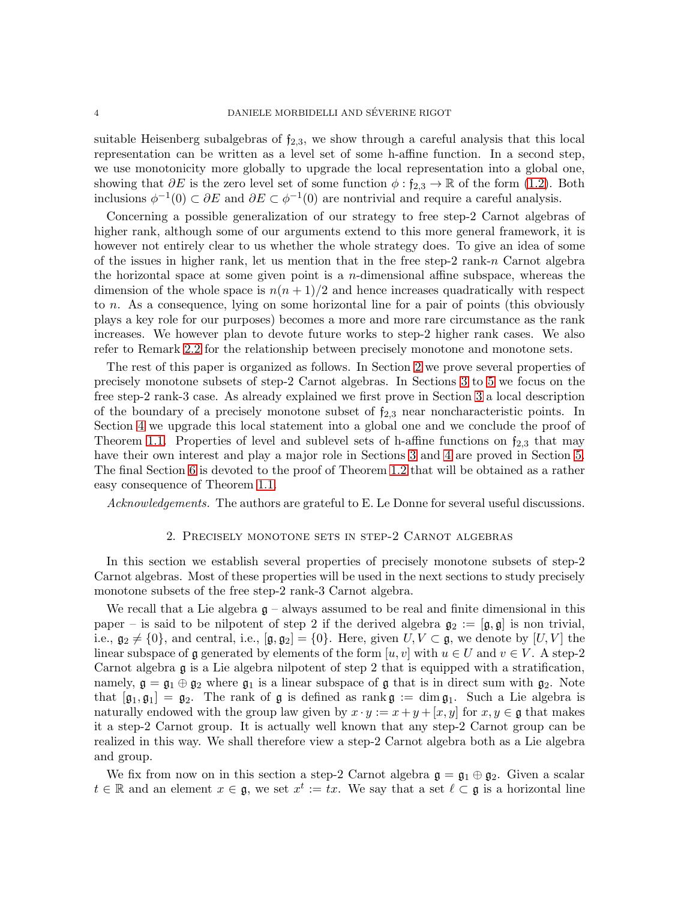suitable Heisenberg subalgebras of  $f_{2,3}$ , we show through a careful analysis that this local representation can be written as a level set of some h-affine function. In a second step, we use monotonicity more globally to upgrade the local representation into a global one, showing that  $\partial E$  is the zero level set of some function  $\phi : \mathfrak{f}_{2,3} \to \mathbb{R}$  of the form [\(1.2\)](#page-2-2). Both inclusions  $\phi^{-1}(0) \subset \partial E$  and  $\partial E \subset \phi^{-1}(0)$  are nontrivial and require a careful analysis.

Concerning a possible generalization of our strategy to free step-2 Carnot algebras of higher rank, although some of our arguments extend to this more general framework, it is however not entirely clear to us whether the whole strategy does. To give an idea of some of the issues in higher rank, let us mention that in the free step-2 rank-n Carnot algebra the horizontal space at some given point is a n-dimensional affine subspace, whereas the dimension of the whole space is  $n(n+1)/2$  and hence increases quadratically with respect to n. As a consequence, lying on some horizontal line for a pair of points (this obviously plays a key role for our purposes) becomes a more and more rare circumstance as the rank increases. We however plan to devote future works to step-2 higher rank cases. We also refer to Remark [2.2](#page-4-0) for the relationship between precisely monotone and monotone sets.

The rest of this paper is organized as follows. In Section [2](#page-3-0) we prove several properties of precisely monotone subsets of step-2 Carnot algebras. In Sections [3](#page-8-1) to [5](#page-25-0) we focus on the free step-2 rank-3 case. As already explained we first prove in Section [3](#page-8-1) a local description of the boundary of a precisely monotone subset of  $f_{2,3}$  near noncharacteristic points. In Section [4](#page-19-0) we upgrade this local statement into a global one and we conclude the proof of Theorem [1.1.](#page-2-0) Properties of level and sublevel sets of h-affine functions on  $f_{2,3}$  that may have their own interest and play a major role in Sections [3](#page-8-1) and [4](#page-19-0) are proved in Section [5.](#page-25-0) The final Section [6](#page-30-0) is devoted to the proof of Theorem [1.2](#page-2-1) that will be obtained as a rather easy consequence of Theorem [1.1.](#page-2-0)

<span id="page-3-0"></span>Acknowledgements. The authors are grateful to E. Le Donne for several useful discussions.

### 2. Precisely monotone sets in step-2 Carnot algebras

In this section we establish several properties of precisely monotone subsets of step-2 Carnot algebras. Most of these properties will be used in the next sections to study precisely monotone subsets of the free step-2 rank-3 Carnot algebra.

We recall that a Lie algebra  $g$  – always assumed to be real and finite dimensional in this paper – is said to be nilpotent of step 2 if the derived algebra  $\mathfrak{g}_2 := [\mathfrak{g}, \mathfrak{g}]$  is non trivial, i.e.,  $\mathfrak{g}_2 \neq \{0\}$ , and central, i.e.,  $[\mathfrak{g}, \mathfrak{g}_2] = \{0\}$ . Here, given  $U, V \subset \mathfrak{g}$ , we denote by  $[U, V]$  the linear subspace of g generated by elements of the form  $[u, v]$  with  $u \in U$  and  $v \in V$ . A step-2 Carnot algebra g is a Lie algebra nilpotent of step 2 that is equipped with a stratification, namely,  $\mathfrak{g} = \mathfrak{g}_1 \oplus \mathfrak{g}_2$  where  $\mathfrak{g}_1$  is a linear subspace of  $\mathfrak{g}$  that is in direct sum with  $\mathfrak{g}_2$ . Note that  $[\mathfrak{g}_1, \mathfrak{g}_1] = \mathfrak{g}_2$ . The rank of  $\mathfrak{g}$  is defined as rank  $\mathfrak{g} := \dim \mathfrak{g}_1$ . Such a Lie algebra is naturally endowed with the group law given by  $x \cdot y := x + y + [x, y]$  for  $x, y \in \mathfrak{g}$  that makes it a step-2 Carnot group. It is actually well known that any step-2 Carnot group can be realized in this way. We shall therefore view a step-2 Carnot algebra both as a Lie algebra and group.

We fix from now on in this section a step-2 Carnot algebra  $\mathfrak{g} = \mathfrak{g}_1 \oplus \mathfrak{g}_2$ . Given a scalar  $t \in \mathbb{R}$  and an element  $x \in \mathfrak{g}$ , we set  $x^t := tx$ . We say that a set  $\ell \subset \mathfrak{g}$  is a horizontal line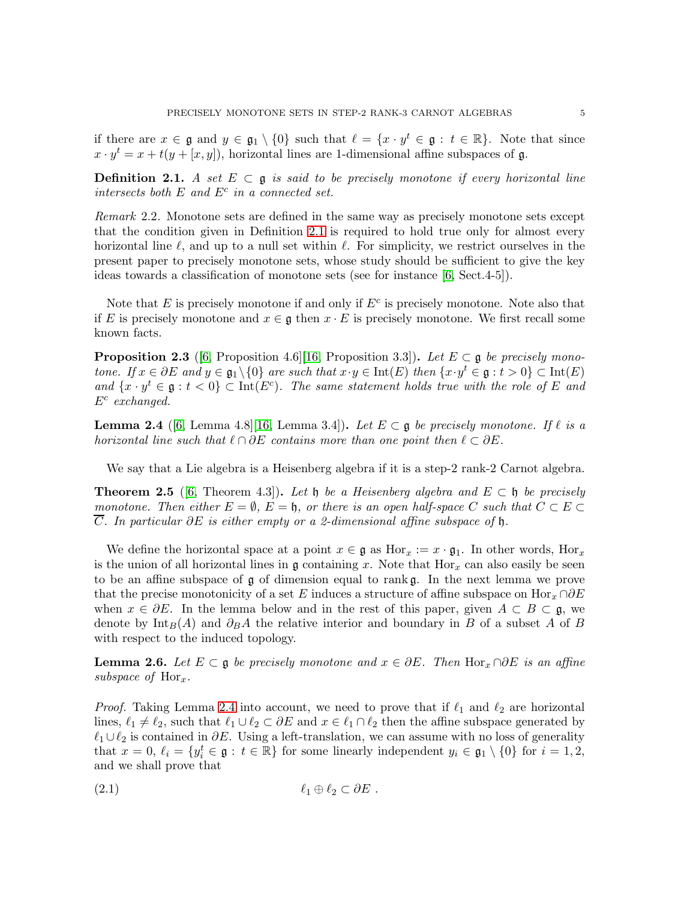if there are  $x \in \mathfrak{g}$  and  $y \in \mathfrak{g}_1 \setminus \{0\}$  such that  $\ell = \{x \cdot y^t \in \mathfrak{g} : t \in \mathbb{R}\}\$ . Note that since  $x \cdot y^t = x + t(y + [x, y])$ , horizontal lines are 1-dimensional affine subspaces of g.

<span id="page-4-1"></span>**Definition 2.1.** A set  $E \subset \mathfrak{g}$  is said to be precisely monotone if every horizontal line intersects both  $E$  and  $E<sup>c</sup>$  in a connected set.

<span id="page-4-0"></span>Remark 2.2. Monotone sets are defined in the same way as precisely monotone sets except that the condition given in Definition [2.1](#page-4-1) is required to hold true only for almost every horizontal line  $\ell$ , and up to a null set within  $\ell$ . For simplicity, we restrict ourselves in the present paper to precisely monotone sets, whose study should be sufficient to give the key ideas towards a classification of monotone sets (see for instance [\[6,](#page-31-0) Sect.4-5]).

Note that  $E$  is precisely monotone if and only if  $E<sup>c</sup>$  is precisely monotone. Note also that if E is precisely monotone and  $x \in \mathfrak{g}$  then  $x \cdot E$  is precisely monotone. We first recall some known facts.

<span id="page-4-4"></span>**Proposition 2.3** ([\[6,](#page-31-0) Proposition 4.6][\[16,](#page-32-9) Proposition 3.3]). Let  $E \subset \mathfrak{g}$  be precisely monotone. If  $x \in \partial E$  and  $y \in \mathfrak{g}_1 \setminus \{0\}$  are such that  $x \cdot y \in \text{Int}(E)$  then  $\{x \cdot y^t \in \mathfrak{g} : t > 0\} \subset \text{Int}(E)$ and  $\{x \cdot y^t \in \mathfrak{g} : t < 0\} \subset \text{Int}(E^c)$ . The same statement holds true with the role of E and  $E^c$  exchanged.

<span id="page-4-2"></span>**Lemma 2.4** ([\[6,](#page-31-0) Lemma 4.8][\[16,](#page-32-9) Lemma 3.4]). Let  $E \subset \mathfrak{g}$  be precisely monotone. If  $\ell$  is a horizontal line such that  $\ell \cap \partial E$  contains more than one point then  $\ell \subset \partial E$ .

We say that a Lie algebra is a Heisenberg algebra if it is a step-2 rank-2 Carnot algebra.

<span id="page-4-5"></span>**Theorem 2.5** ([\[6,](#page-31-0) Theorem 4.3]). Let h be a Heisenberg algebra and  $E \subset \mathfrak{h}$  be precisely monotone. Then either  $E = \emptyset$ ,  $E = \emptyset$ , or there is an open half-space C such that  $C \subset E \subset$ C. In particular ∂E is either empty or a 2-dimensional affine subspace of h.

We define the horizontal space at a point  $x \in \mathfrak{g}$  as  $\text{Hor}_x := x \cdot \mathfrak{g}_1$ . In other words,  $\text{Hor}_x$ is the union of all horizontal lines in  $\mathfrak g$  containing x. Note that  $\text{Hor}_x$  can also easily be seen to be an affine subspace of  $\mathfrak g$  of dimension equal to rank  $\mathfrak g$ . In the next lemma we prove that the precise monotonicity of a set E induces a structure of affine subspace on Hor $_x \cap \partial E$ when  $x \in \partial E$ . In the lemma below and in the rest of this paper, given  $A \subset B \subset \mathfrak{g}$ , we denote by Int<sub>B</sub>(A) and  $\partial_B A$  the relative interior and boundary in B of a subset A of B with respect to the induced topology.

<span id="page-4-6"></span>**Lemma 2.6.** Let  $E \subset \mathfrak{g}$  be precisely monotone and  $x \in \partial E$ . Then Hor<sub>x</sub> ∩ $\partial E$  is an affine subspace of  $\text{Hor}_x$ .

*Proof.* Taking Lemma [2.4](#page-4-2) into account, we need to prove that if  $\ell_1$  and  $\ell_2$  are horizontal lines,  $\ell_1 \neq \ell_2$ , such that  $\ell_1 \cup \ell_2 \subset \partial E$  and  $x \in \ell_1 \cap \ell_2$  then the affine subspace generated by  $\ell_1 \cup \ell_2$  is contained in  $\partial E$ . Using a left-translation, we can assume with no loss of generality that  $x = 0$ ,  $\ell_i = \{y_i^t \in \mathfrak{g} : t \in \mathbb{R}\}\)$  for some linearly independent  $y_i \in \mathfrak{g}_1 \setminus \{0\}$  for  $i = 1, 2$ , and we shall prove that

<span id="page-4-3"></span>
$$
(\text{2.1}) \quad \ell_1 \oplus \ell_2 \subset \partial E \ .
$$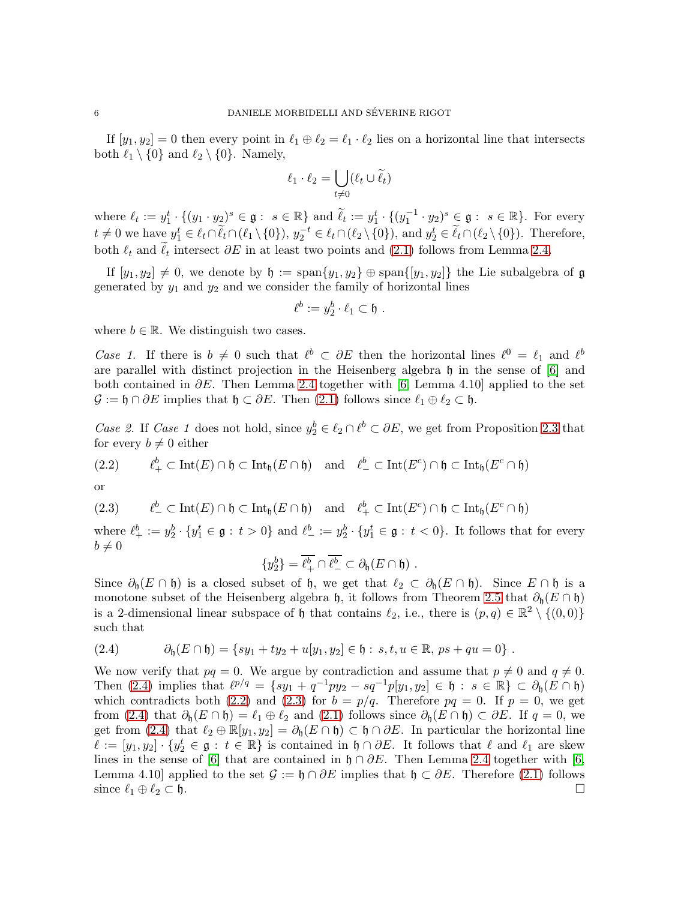If  $[y_1, y_2] = 0$  then every point in  $\ell_1 \oplus \ell_2 = \ell_1 \cdot \ell_2$  lies on a horizontal line that intersects both  $\ell_1 \setminus \{0\}$  and  $\ell_2 \setminus \{0\}$ . Namely,

$$
\ell_1 \cdot \ell_2 = \bigcup_{t \neq 0} (\ell_t \cup \widetilde{\ell}_t)
$$

where  $\ell_t := y_1^t \cdot \{(y_1 \cdot y_2)^s \in \mathfrak{g} : s \in \mathbb{R}\}\$  and  $\widetilde{\ell}_t := y_1^t \cdot \{(y_1^{-1} \cdot y_2)^s \in \mathfrak{g} : s \in \mathbb{R}\}\$ . For every  $t \neq 0$  we have  $y_1^t \in \ell_t \cap \tilde{\ell}_t \cap (\ell_1 \setminus \{0\}), y_2^{-t} \in \ell_t \cap (\ell_2 \setminus \{0\}),$  and  $y_2^t \in \tilde{\ell}_t \cap (\ell_2 \setminus \{0\}).$  Therefore, both  $\ell_t$  and  $\ell_t$  intersect  $\partial E$  in at least two points and [\(2.1\)](#page-4-3) follows from Lemma [2.4.](#page-4-2)

If  $[y_1, y_2] \neq 0$ , we denote by  $\mathfrak{h} := \text{span}\{y_1, y_2\} \oplus \text{span}\{[y_1, y_2]\}$  the Lie subalgebra of g generated by  $y_1$  and  $y_2$  and we consider the family of horizontal lines

$$
\ell^b := y_2^b \cdot \ell_1 \subset \mathfrak{h} \ .
$$

where  $b \in \mathbb{R}$ . We distinguish two cases.

Case 1. If there is  $b \neq 0$  such that  $\ell^b \subset \partial E$  then the horizontal lines  $\ell^0 = \ell_1$  and  $\ell^b$ are parallel with distinct projection in the Heisenberg algebra h in the sense of [\[6\]](#page-31-0) and both contained in  $\partial E$ . Then Lemma [2.4](#page-4-2) together with [\[6,](#page-31-0) Lemma 4.10] applied to the set  $\mathcal{G} := \mathfrak{h} \cap \partial E$  implies that  $\mathfrak{h} \subset \partial E$ . Then  $(2.1)$  follows since  $\ell_1 \oplus \ell_2 \subset \mathfrak{h}$ .

Case 2. If Case 1 does not hold, since  $y_2^b \in \ell_2 \cap \ell^b \subset \partial E$ , we get from Proposition [2.3](#page-4-4) that for every  $b \neq 0$  either

<span id="page-5-1"></span>(2.2) 
$$
\ell^b_+ \subset \text{Int}(E) \cap \mathfrak{h} \subset \text{Int}_{\mathfrak{h}}(E \cap \mathfrak{h})
$$
 and  $\ell^b_- \subset \text{Int}(E^c) \cap \mathfrak{h} \subset \text{Int}_{\mathfrak{h}}(E^c \cap \mathfrak{h})$ 

or

<span id="page-5-2"></span>(2.3) 
$$
\ell^b_-\subset \text{Int}(E)\cap\mathfrak{h}\subset \text{Int}_{\mathfrak{h}}(E\cap\mathfrak{h})
$$
 and  $\ell^b_+\subset \text{Int}(E^c)\cap\mathfrak{h}\subset \text{Int}_{\mathfrak{h}}(E^c\cap\mathfrak{h})$ 

where  $\ell_+^b := y_2^b \cdot \{y_1^t \in \mathfrak{g} : t > 0\}$  and  $\ell_-^b := y_2^b \cdot \{y_1^t \in \mathfrak{g} : t < 0\}$ . It follows that for every  $b\neq 0$ 

$$
\{y_2^b\}=\overline{\ell_+^b}\cap\overline{\ell_-^b}\subset\partial_{\mathfrak{h}}(E\cap\mathfrak{h})\ .
$$

Since  $\partial_{\mathfrak{h}}(E \cap \mathfrak{h})$  is a closed subset of  $\mathfrak{h}$ , we get that  $\ell_2 \subset \partial_{\mathfrak{h}}(E \cap \mathfrak{h})$ . Since  $E \cap \mathfrak{h}$  is a monotone subset of the Heisenberg algebra h, it follows from Theorem [2.5](#page-4-5) that  $\partial_{h}(E \cap \mathfrak{h})$ is a 2-dimensional linear subspace of h that contains  $\ell_2$ , i.e., there is  $(p,q) \in \mathbb{R}^2 \setminus \{(0,0)\}\$ such that

<span id="page-5-0"></span>(2.4) 
$$
\partial_{\mathfrak{h}}(E \cap \mathfrak{h}) = \{sy_1 + ty_2 + u[y_1, y_2] \in \mathfrak{h} : s, t, u \in \mathbb{R}, ps + qu = 0\}.
$$

We now verify that  $pq = 0$ . We argue by contradiction and assume that  $p \neq 0$  and  $q \neq 0$ . Then [\(2.4\)](#page-5-0) implies that  $\ell^{p/q} = \{ sy_1 + q^{-1}py_2 - sq^{-1}p[y_1, y_2] \in \mathfrak{h} : s \in \mathbb{R} \} \subset \partial_{\mathfrak{h}}(E \cap \mathfrak{h})$ which contradicts both [\(2.2\)](#page-5-1) and [\(2.3\)](#page-5-2) for  $b = p/q$ . Therefore  $pq = 0$ . If  $p = 0$ , we get from [\(2.4\)](#page-5-0) that  $\partial_{h}(E \cap \mathfrak{h}) = \ell_1 \oplus \ell_2$  and [\(2.1\)](#page-4-3) follows since  $\partial_{h}(E \cap \mathfrak{h}) \subset \partial E$ . If  $q = 0$ , we get from [\(2.4\)](#page-5-0) that  $\ell_2 \oplus \mathbb{R}[y_1, y_2] = \partial_{\mathfrak{h}}(E \cap \mathfrak{h}) \subset \mathfrak{h} \cap \partial E$ . In particular the horizontal line  $\ell := [y_1, y_2] \cdot \{y_2^t \in \mathfrak{g} : t \in \mathbb{R}\}\$ is contained in  $\mathfrak{h} \cap \partial E$ . It follows that  $\ell$  and  $\ell_1$  are skew lines in the sense of [\[6\]](#page-31-0) that are contained in  $\mathfrak{h} \cap \partial E$ . Then Lemma [2.4](#page-4-2) together with [\[6,](#page-31-0) Lemma 4.10] applied to the set  $\mathcal{G} := \mathfrak{h} \cap \partial E$  implies that  $\mathfrak{h} \subset \partial E$ . Therefore [\(2.1\)](#page-4-3) follows since  $\ell_1 \oplus \ell_2 \subset \mathfrak{h}$ .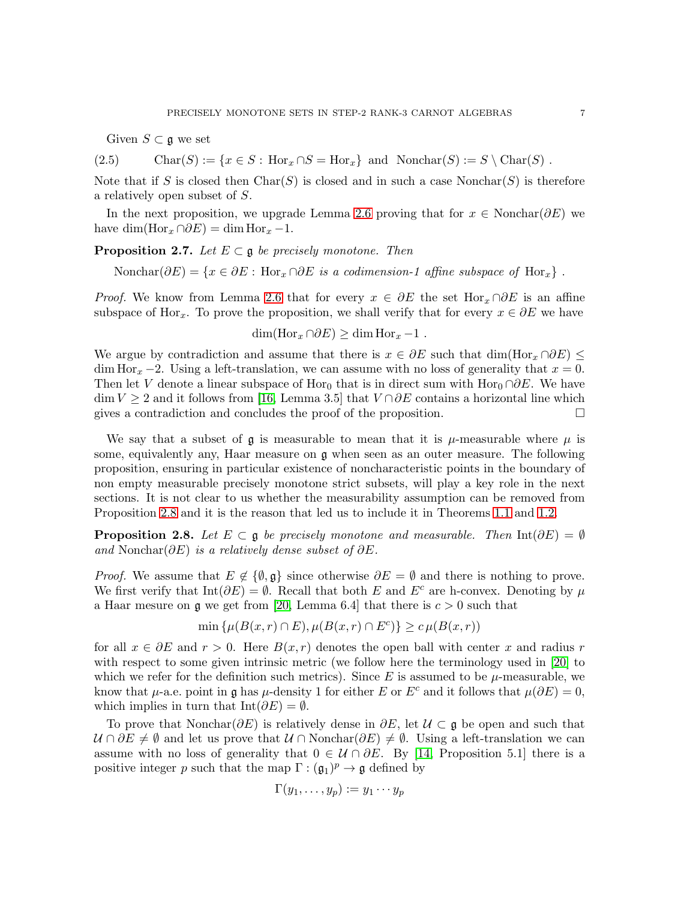<span id="page-6-0"></span>Given  $S \subset \mathfrak{g}$  we set

(2.5) Char(S) := { $x \in S$ : Hor $_x \cap S = \text{Hor}_x$ } and Nonchar(S) :=  $S \setminus \text{Char}(S)$ .

Note that if S is closed then  $Char(S)$  is closed and in such a case Nonchar(S) is therefore a relatively open subset of S.

In the next proposition, we upgrade Lemma [2.6](#page-4-6) proving that for  $x \in \text{Nonchar}(\partial E)$  we have dim(Hor<sub>x</sub> ∩∂E) = dim Hor<sub>x</sub> -1.

<span id="page-6-2"></span>**Proposition 2.7.** Let  $E \subset \mathfrak{g}$  be precisely monotone. Then

Nonchar( $\partial E$ ) = { $x \in \partial E$ : Hor<sub>x</sub> ∩ $\partial E$  is a codimension-1 affine subspace of Hor<sub>x</sub>}.

*Proof.* We know from Lemma [2.6](#page-4-6) that for every  $x \in \partial E$  the set Hor<sub>x</sub> ∩ $\partial E$  is an affine subspace of Hor<sub>x</sub>. To prove the proposition, we shall verify that for every  $x \in \partial E$  we have

$$
\dim(\text{Hor}_x \cap \partial E) \ge \dim \text{Hor}_x - 1.
$$

We argue by contradiction and assume that there is  $x \in \partial E$  such that  $\dim(\text{Hor}_x \cap \partial E)$ dim Hor<sub>x</sub> −2. Using a left-translation, we can assume with no loss of generality that  $x = 0$ . Then let V denote a linear subspace of Hor<sub>0</sub> that is in direct sum with Hor<sub>0</sub> ∩∂E. We have  $\dim V \geq 2$  and it follows from [\[16,](#page-32-9) Lemma 3.5] that  $V \cap \partial E$  contains a horizontal line which gives a contradiction and concludes the proof of the proposition.  $\Box$ 

We say that a subset of  $\mathfrak g$  is measurable to mean that it is  $\mu$ -measurable where  $\mu$  is some, equivalently any, Haar measure on g when seen as an outer measure. The following proposition, ensuring in particular existence of noncharacteristic points in the boundary of non empty measurable precisely monotone strict subsets, will play a key role in the next sections. It is not clear to us whether the measurability assumption can be removed from Proposition [2.8](#page-6-1) and it is the reason that led us to include it in Theorems [1.1](#page-2-0) and [1.2.](#page-2-1)

<span id="page-6-1"></span>**Proposition 2.8.** Let  $E \subset \mathfrak{g}$  be precisely monotone and measurable. Then Int( $\partial E$ ) =  $\emptyset$ and Nonchar $(\partial E)$  is a relatively dense subset of  $\partial E$ .

*Proof.* We assume that  $E \notin \{\emptyset, \mathfrak{g}\}\$  since otherwise  $\partial E = \emptyset$  and there is nothing to prove. We first verify that  $Int(\partial E) = \emptyset$ . Recall that both E and E<sup>c</sup> are h-convex. Denoting by  $\mu$ a Haar mesure on  $\mathfrak g$  we get from [\[20,](#page-32-8) Lemma 6.4] that there is  $c > 0$  such that

$$
\min \{ \mu(B(x,r) \cap E), \mu(B(x,r) \cap E^c) \} \ge c \mu(B(x,r))
$$

for all  $x \in \partial E$  and  $r > 0$ . Here  $B(x, r)$  denotes the open ball with center x and radius r with respect to some given intrinsic metric (we follow here the terminology used in [\[20\]](#page-32-8) to which we refer for the definition such metrics). Since E is assumed to be  $\mu$ -measurable, we know that  $\mu$ -a.e. point in g has  $\mu$ -density 1 for either E or E<sup>c</sup> and it follows that  $\mu(\partial E) = 0$ , which implies in turn that  $Int(\partial E) = \emptyset$ .

To prove that Nonchar $(\partial E)$  is relatively dense in  $\partial E$ , let  $\mathcal{U} \subset \mathfrak{g}$  be open and such that  $U \cap \partial E \neq \emptyset$  and let us prove that  $U \cap \text{Nonchar}(\partial E) \neq \emptyset$ . Using a left-translation we can assume with no loss of generality that  $0 \in \mathcal{U} \cap \partial E$ . By [\[14,](#page-32-12) Proposition 5.1] there is a positive integer p such that the map  $\Gamma : (\mathfrak{g}_1)^p \to \mathfrak{g}$  defined by

$$
\Gamma(y_1,\ldots,y_p):=y_1\cdots y_p
$$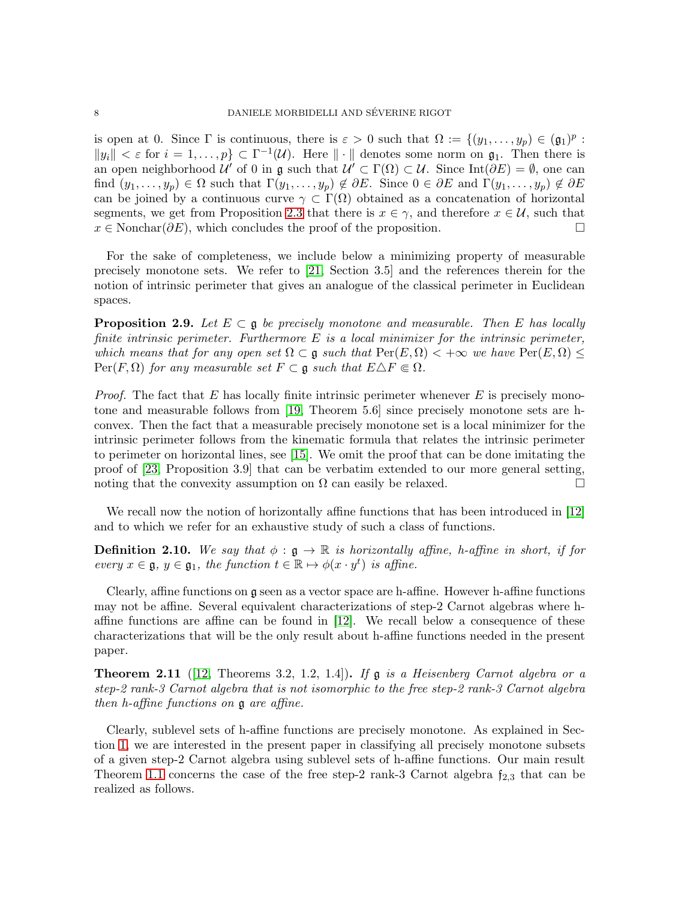is open at 0. Since  $\Gamma$  is continuous, there is  $\varepsilon > 0$  such that  $\Omega := \{(y_1, \ldots, y_p) \in (\mathfrak{g}_1)^p :$  $||y_i|| < \varepsilon$  for  $i = 1, ..., p$   $\subset \Gamma^{-1}(\mathcal{U})$ . Here  $||\cdot||$  denotes some norm on  $\mathfrak{g}_1$ . Then there is an open neighborhood  $\mathcal{U}'$  of 0 in g such that  $\mathcal{U}' \subset \Gamma(\Omega) \subset \mathcal{U}$ . Since Int $(\partial E) = \emptyset$ , one can find  $(y_1,\ldots,y_p)\in\Omega$  such that  $\Gamma(y_1,\ldots,y_p)\notin\partial E$ . Since  $0\in\partial E$  and  $\Gamma(y_1,\ldots,y_p)\notin\partial E$ can be joined by a continuous curve  $\gamma \subset \Gamma(\Omega)$  obtained as a concatenation of horizontal segments, we get from Proposition [2.3](#page-4-4) that there is  $x \in \gamma$ , and therefore  $x \in \mathcal{U}$ , such that  $x \in \text{Nonchar}(\partial E)$ , which concludes the proof of the proposition.

For the sake of completeness, we include below a minimizing property of measurable precisely monotone sets. We refer to [\[21,](#page-32-4) Section 3.5] and the references therein for the notion of intrinsic perimeter that gives an analogue of the classical perimeter in Euclidean spaces.

<span id="page-7-0"></span>**Proposition 2.9.** Let  $E \subset \mathfrak{g}$  be precisely monotone and measurable. Then E has locally finite intrinsic perimeter. Furthermore  $E$  is a local minimizer for the intrinsic perimeter, which means that for any open set  $\Omega \subset \mathfrak{g}$  such that  $\text{Per}(E,\Omega) < +\infty$  we have  $\text{Per}(E,\Omega) \le$  $\text{Per}(F,\Omega)$  for any measurable set  $F \subset \mathfrak{g}$  such that  $E \Delta F \in \Omega$ .

*Proof.* The fact that E has locally finite intrinsic perimeter whenever E is precisely monotone and measurable follows from [\[19,](#page-32-13) Theorem 5.6] since precisely monotone sets are hconvex. Then the fact that a measurable precisely monotone set is a local minimizer for the intrinsic perimeter follows from the kinematic formula that relates the intrinsic perimeter to perimeter on horizontal lines, see [\[15\]](#page-32-14). We omit the proof that can be done imitating the proof of [\[23,](#page-32-3) Proposition 3.9] that can be verbatim extended to our more general setting, noting that the convexity assumption on  $\Omega$  can easily be relaxed.

We recall now the notion of horizontally affine functions that has been introduced in [\[12\]](#page-32-10) and to which we refer for an exhaustive study of such a class of functions.

**Definition 2.10.** We say that  $\phi : \mathfrak{g} \to \mathbb{R}$  is horizontally affine, h-affine in short, if for every  $x \in \mathfrak{g}, y \in \mathfrak{g}_1$ , the function  $t \in \mathbb{R} \mapsto \phi(x \cdot y^t)$  is affine.

Clearly, affine functions on g seen as a vector space are h-affine. However h-affine functions may not be affine. Several equivalent characterizations of step-2 Carnot algebras where haffine functions are affine can be found in [\[12\]](#page-32-10). We recall below a consequence of these characterizations that will be the only result about h-affine functions needed in the present paper.

<span id="page-7-1"></span>**Theorem 2.11** ([\[12,](#page-32-10) Theorems 3.2, 1.2, 1.4]). If  $\mathfrak{g}$  is a Heisenberg Carnot algebra or a step-2 rank-3 Carnot algebra that is not isomorphic to the free step-2 rank-3 Carnot algebra then h-affine functions on g are affine.

Clearly, sublevel sets of h-affine functions are precisely monotone. As explained in Section [1,](#page-0-0) we are interested in the present paper in classifying all precisely monotone subsets of a given step-2 Carnot algebra using sublevel sets of h-affine functions. Our main result Theorem [1.1](#page-2-0) concerns the case of the free step-2 rank-3 Carnot algebra  $f_{2,3}$  that can be realized as follows.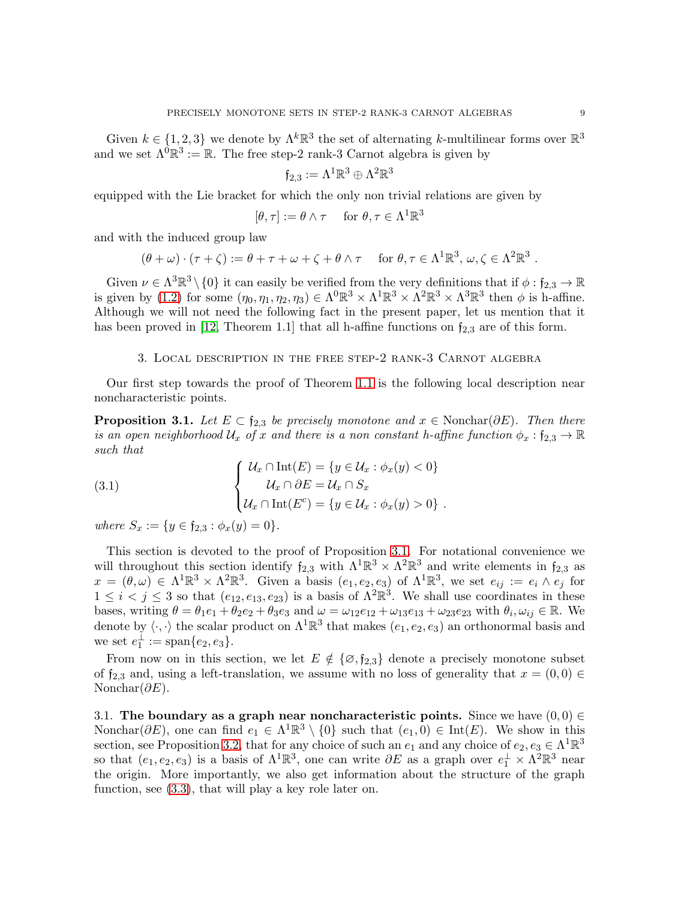Given  $k \in \{1, 2, 3\}$  we denote by  $\Lambda^k \mathbb{R}^3$  the set of alternating k-multilinear forms over  $\mathbb{R}^3$ and we set  $\Lambda^{\hat{0}}\mathbb{R}^3 := \mathbb{R}$ . The free step-2 rank-3 Carnot algebra is given by

$$
\mathfrak{f}_{2,3}:=\Lambda^1\mathbb{R}^3\oplus\Lambda^2\mathbb{R}^3
$$

equipped with the Lie bracket for which the only non trivial relations are given by

$$
[\theta, \tau] := \theta \wedge \tau \quad \text{ for } \theta, \tau \in \Lambda^1 \mathbb{R}^3
$$

and with the induced group law

$$
(\theta + \omega) \cdot (\tau + \zeta) := \theta + \tau + \omega + \zeta + \theta \wedge \tau \quad \text{for } \theta, \tau \in \Lambda^1 \mathbb{R}^3, \omega, \zeta \in \Lambda^2 \mathbb{R}^3.
$$

Given  $\nu \in \Lambda^3 \mathbb{R}^3 \setminus \{0\}$  it can easily be verified from the very definitions that if  $\phi : \mathfrak{f}_{2,3} \to \mathbb{R}$ is given by [\(1.2\)](#page-2-2) for some  $(\eta_0, \eta_1, \eta_2, \eta_3) \in \Lambda^0 \mathbb{R}^3 \times \Lambda^1 \mathbb{R}^3 \times \Lambda^2 \mathbb{R}^3 \times \Lambda^3 \mathbb{R}^3$  then  $\phi$  is h-affine. Although we will not need the following fact in the present paper, let us mention that it has been proved in [\[12,](#page-32-10) Theorem 1.1] that all h-affine functions on  $f_{2,3}$  are of this form.

### 3. Local description in the free step-2 rank-3 Carnot algebra

<span id="page-8-1"></span>Our first step towards the proof of Theorem [1.1](#page-2-0) is the following local description near noncharacteristic points.

<span id="page-8-0"></span>**Proposition 3.1.** Let  $E \subset \mathfrak{f}_{2,3}$  be precisely monotone and  $x \in \text{Nonchar}(\partial E)$ . Then there is an open neighborhood  $U_x$  of x and there is a non constant h-affine function  $\phi_x : \mathfrak{f}_{2,3} \to \mathbb{R}$ such that

<span id="page-8-2"></span>(3.1) 
$$
\begin{cases} \mathcal{U}_x \cap \text{Int}(E) = \{y \in \mathcal{U}_x : \phi_x(y) < 0 \} \\ \mathcal{U}_x \cap \partial E = \mathcal{U}_x \cap S_x \\ \mathcal{U}_x \cap \text{Int}(E^c) = \{y \in \mathcal{U}_x : \phi_x(y) > 0 \} \end{cases}.
$$

where  $S_x := \{y \in \mathfrak{f}_{2,3} : \phi_x(y) = 0\}.$ 

This section is devoted to the proof of Proposition [3.1.](#page-8-0) For notational convenience we will throughout this section identify  $f_{2,3}$  with  $\Lambda^1 \mathbb{R}^3 \times \Lambda^2 \mathbb{R}^3$  and write elements in  $f_{2,3}$  as  $x = (\theta, \omega) \in \Lambda^1 \mathbb{R}^3 \times \Lambda^2 \mathbb{R}^3$ . Given a basis  $(e_1, e_2, e_3)$  of  $\Lambda^1 \mathbb{R}^3$ , we set  $e_{ij} := e_i \wedge e_j$  for  $1 \leq i < j \leq 3$  so that  $(e_{12}, e_{13}, e_{23})$  is a basis of  $\Lambda^2 \mathbb{R}^3$ . We shall use coordinates in these bases, writing  $\theta = \theta_1 e_1 + \theta_2 e_2 + \theta_3 e_3$  and  $\omega = \omega_{12} e_{12} + \omega_{13} e_{13} + \omega_{23} e_{23}$  with  $\theta_i, \omega_{ij} \in \mathbb{R}$ . We denote by  $\langle \cdot, \cdot \rangle$  the scalar product on  $\Lambda^1 \mathbb{R}^3$  that makes  $(e_1, e_2, e_3)$  an orthonormal basis and we set  $e_1^{\perp} := \text{span}\{e_2, e_3\}.$ 

From now on in this section, we let  $E \notin \{ \emptyset, \mathfrak{f}_{2,3} \}$  denote a precisely monotone subset of  $f_{2,3}$  and, using a left-translation, we assume with no loss of generality that  $x = (0,0) \in$ Nonchar $(\partial E)$ .

3.1. The boundary as a graph near noncharacteristic points. Since we have  $(0,0) \in$ Nonchar $(\partial E)$ , one can find  $e_1 \in \Lambda^1 \mathbb{R}^3 \setminus \{0\}$  such that  $(e_1, 0) \in \text{Int}(E)$ . We show in this section, see Proposition [3.2,](#page-9-0) that for any choice of such an  $e_1$  and any choice of  $e_2, e_3 \in \Lambda^1 \mathbb{R}^3$ so that  $(e_1, e_2, e_3)$  is a basis of  $\Lambda^1 \mathbb{R}^3$ , one can write  $\partial E$  as a graph over  $e_1^{\perp} \times \Lambda^2 \mathbb{R}^3$  near the origin. More importantly, we also get information about the structure of the graph function, see [\(3.3\)](#page-9-1), that will play a key role later on.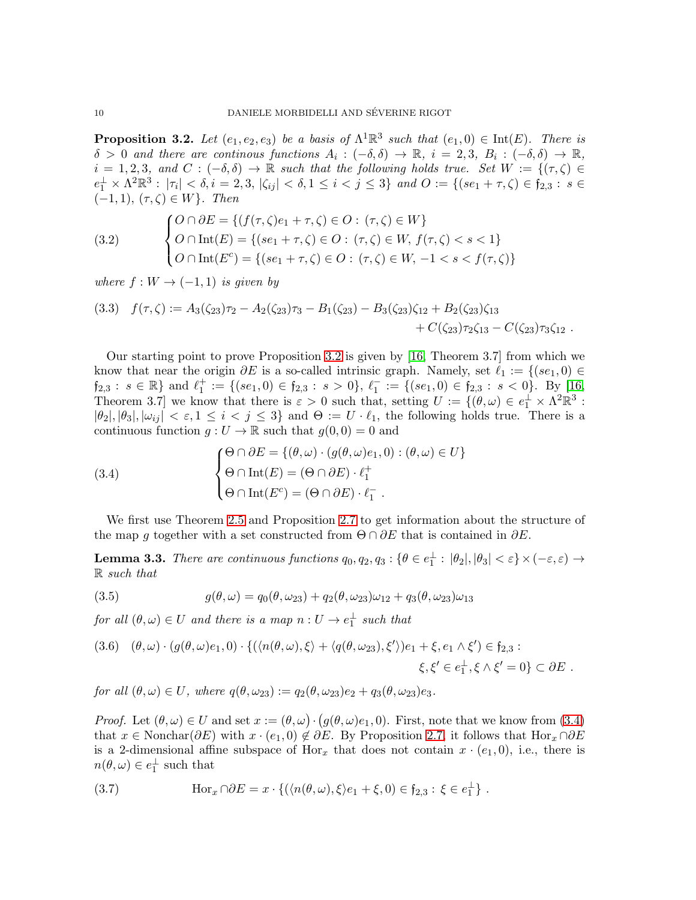<span id="page-9-0"></span>**Proposition 3.2.** Let  $(e_1, e_2, e_3)$  be a basis of  $\Lambda^1 \mathbb{R}^3$  such that  $(e_1, 0) \in \text{Int}(E)$ . There is  $\delta > 0$  and there are continous functions  $A_i : (-\delta, \delta) \to \mathbb{R}, i = 2, 3, B_i : (-\delta, \delta) \to \mathbb{R}$ ,  $i = 1, 2, 3, \text{ and } C : (-\delta, \delta) \to \mathbb{R}$  such that the following holds true. Set  $W := \{(\tau, \zeta) \in$  $e_1^{\perp} \times \Lambda^2 \mathbb{R}^3$ :  $|\tau_i| < \delta, i = 2, 3, |\zeta_{ij}| < \delta, 1 \leq i < j \leq 3\}$  and  $O := \{(se_1 + \tau, \zeta) \in \mathfrak{f}_{2,3} : s \in \mathfrak{f}_{2,3} \}$  $(-1, 1), (\tau, \zeta) \in W$ . Then

<span id="page-9-7"></span>(3.2) 
$$
\begin{cases} O \cap \partial E = \{ (f(\tau, \zeta)e_1 + \tau, \zeta) \in O : (\tau, \zeta) \in W \} \\ O \cap \text{Int}(E) = \{ (se_1 + \tau, \zeta) \in O : (\tau, \zeta) \in W, f(\tau, \zeta) < s < 1 \} \\ O \cap \text{Int}(E^c) = \{ (se_1 + \tau, \zeta) \in O : (\tau, \zeta) \in W, -1 < s < f(\tau, \zeta) \} \end{cases}
$$

where  $f: W \to (-1,1)$  is given by

<span id="page-9-1"></span>
$$
(3.3) \quad f(\tau,\zeta) := A_3(\zeta_{23})\tau_2 - A_2(\zeta_{23})\tau_3 - B_1(\zeta_{23}) - B_3(\zeta_{23})\zeta_{12} + B_2(\zeta_{23})\zeta_{13} + C(\zeta_{23})\tau_2\zeta_{13} - C(\zeta_{23})\tau_3\zeta_{12} .
$$

Our starting point to prove Proposition [3.2](#page-9-0) is given by [\[16,](#page-32-9) Theorem 3.7] from which we know that near the origin  $\partial E$  is a so-called intrinsic graph. Namely, set  $\ell_1 := \{(se_1, 0) \in$  $\mathfrak{f}_{2,3}: s \in \mathbb{R} \}$  and  $\ell_1^+ := \{(se_1,0) \in \mathfrak{f}_{2,3}: s > 0\}, \ell_1^- := \{(se_1,0) \in \mathfrak{f}_{2,3}: s < 0\}.$  By [\[16,](#page-32-9) Theorem 3.7] we know that there is  $\varepsilon > 0$  such that, setting  $U := \{(\theta, \omega) \in e_1^{\perp} \times \Lambda^2 \mathbb{R}^3 :$  $|\theta_2|, |\theta_3|, |\omega_{ij}| < \varepsilon, 1 \leq i < j \leq 3$  and  $\Theta := U \cdot \ell_1$ , the following holds true. There is a continuous function  $g: U \to \mathbb{R}$  such that  $g(0,0) = 0$  and

<span id="page-9-2"></span>(3.4) 
$$
\begin{cases} \Theta \cap \partial E = \{(\theta, \omega) \cdot (g(\theta, \omega)e_1, 0) : (\theta, \omega) \in U\} \\ \Theta \cap \text{Int}(E) = (\Theta \cap \partial E) \cdot \ell_1^+ \\ \Theta \cap \text{Int}(E^c) = (\Theta \cap \partial E) \cdot \ell_1^- \end{cases}
$$

We first use Theorem [2.5](#page-4-5) and Proposition [2.7](#page-6-2) to get information about the structure of the map g together with a set constructed from  $\Theta \cap \partial E$  that is contained in  $\partial E$ .

<span id="page-9-6"></span>**Lemma 3.3.** There are continuous functions  $q_0, q_2, q_3 : \{\theta \in e_1^{\perp} : |\theta_2|, |\theta_3| < \varepsilon\} \times (-\varepsilon, \varepsilon) \rightarrow$ R such that

<span id="page-9-4"></span>(3.5) 
$$
g(\theta,\omega) = q_0(\theta,\omega_{23}) + q_2(\theta,\omega_{23})\omega_{12} + q_3(\theta,\omega_{23})\omega_{13}
$$

for all  $(\theta, \omega) \in U$  and there is a map  $n: U \to e_1^{\perp}$  such that

<span id="page-9-5"></span>
$$
(3.6) \quad (\theta,\omega) \cdot (g(\theta,\omega)e_1,0) \cdot \{ (\langle n(\theta,\omega),\xi \rangle + \langle q(\theta,\omega_{23}),\xi' \rangle)e_1 + \xi, e_1 \wedge \xi' \in f_{2,3} : \xi,\xi' \in e_1^{\perp}, \xi \wedge \xi' = 0 \} \subset \partial E .
$$

for all  $(\theta, \omega) \in U$ , where  $q(\theta, \omega_{23}) := q_2(\theta, \omega_{23})e_2 + q_3(\theta, \omega_{23})e_3$ .

*Proof.* Let  $(\theta, \omega) \in U$  and set  $x := (\theta, \omega) \cdot (g(\theta, \omega)e_1, 0)$ . First, note that we know from [\(3.4\)](#page-9-2) that  $x \in \text{Nonchar}(\partial E)$  with  $x \cdot (e_1, 0) \notin \partial E$ . By Proposition [2.7,](#page-6-2) it follows that  $\text{Hor}_x \cap \partial E$ is a 2-dimensional affine subspace of  $Hor_x$  that does not contain  $x \cdot (e_1, 0)$ , i.e., there is  $n(\theta, \omega) \in e_1^{\perp}$  such that

<span id="page-9-3"></span>(3.7) 
$$
\text{Hor}_x \cap \partial E = x \cdot \{ (\langle n(\theta, \omega), \xi \rangle e_1 + \xi, 0) \in \mathfrak{f}_{2,3} : \xi \in e_1^{\perp} \}.
$$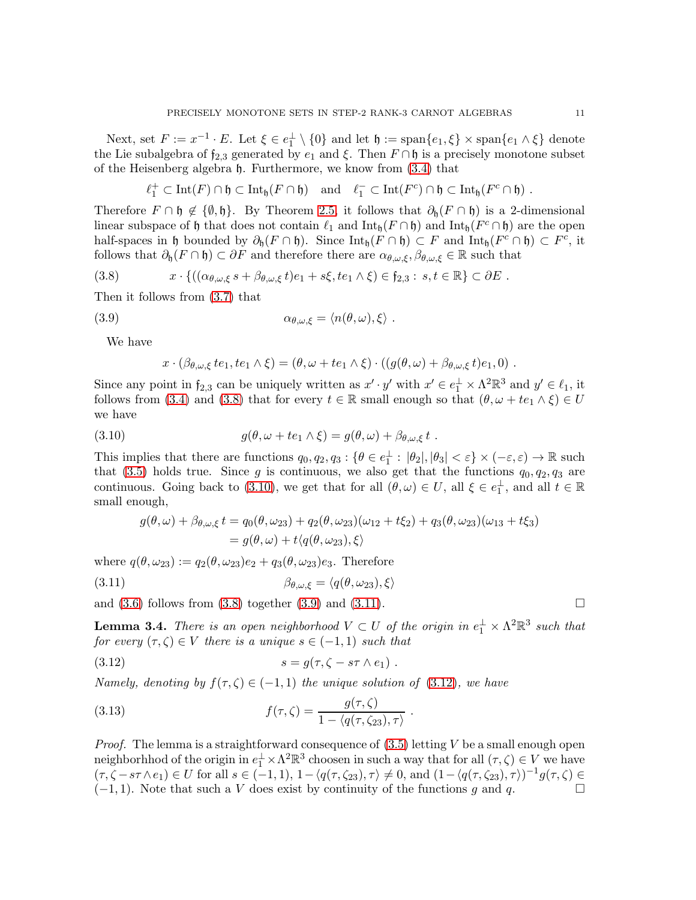Next, set  $F := x^{-1} \cdot E$ . Let  $\xi \in e_1^{\perp} \setminus \{0\}$  and let  $\mathfrak{h} := \text{span}\{e_1, \xi\} \times \text{span}\{e_1 \wedge \xi\}$  denote the Lie subalgebra of  $f_{2,3}$  generated by  $e_1$  and  $\xi$ . Then  $F \cap \mathfrak{h}$  is a precisely monotone subset of the Heisenberg algebra h. Furthermore, we know from [\(3.4\)](#page-9-2) that

$$
\ell_1^+ \subset \mathrm{Int}(F) \cap \mathfrak{h} \subset \mathrm{Int}_{\mathfrak{h}}(F \cap \mathfrak{h}) \quad \text{and} \quad \ell_1^- \subset \mathrm{Int}(F^c) \cap \mathfrak{h} \subset \mathrm{Int}_{\mathfrak{h}}(F^c \cap \mathfrak{h}) .
$$

Therefore  $F \cap \mathfrak{h} \notin \{\emptyset, \mathfrak{h}\}.$  By Theorem [2.5,](#page-4-5) it follows that  $\partial_{\mathfrak{h}}(F \cap \mathfrak{h})$  is a 2-dimensional linear subspace of h that does not contain  $\ell_1$  and  $\text{Int}_{\mathfrak{h}}(F \cap \mathfrak{h})$  and  $\text{Int}_{\mathfrak{h}}(F^c \cap \mathfrak{h})$  are the open half-spaces in h bounded by  $\partial_{\mathfrak{h}}(F \cap \mathfrak{h})$ . Since  $\mathrm{Int}_{\mathfrak{h}}(F \cap \mathfrak{h}) \subset F$  and  $\mathrm{Int}_{\mathfrak{h}}(F^c \cap \mathfrak{h}) \subset F^c$ , it follows that  $\partial_{\mathfrak{h}}(F \cap \mathfrak{h}) \subset \partial F$  and therefore there are  $\alpha_{\theta,\omega,\xi}, \beta_{\theta,\omega,\xi} \in \mathbb{R}$  such that

<span id="page-10-0"></span>(3.8) 
$$
x \cdot \{((\alpha_{\theta,\omega,\xi} s + \beta_{\theta,\omega,\xi} t)e_1 + s\xi, te_1 \wedge \xi) \in f_{2,3} : s, t \in \mathbb{R}\} \subset \partial E.
$$

Then it follows from [\(3.7\)](#page-9-3) that

(3.9) 
$$
\alpha_{\theta,\omega,\xi} = \langle n(\theta,\omega),\xi \rangle.
$$

We have

<span id="page-10-2"></span><span id="page-10-1"></span>
$$
x \cdot (\beta_{\theta,\omega,\xi} t e_1, t e_1 \wedge \xi) = (\theta, \omega + t e_1 \wedge \xi) \cdot ((g(\theta,\omega) + \beta_{\theta,\omega,\xi} t) e_1, 0).
$$

Since any point in  $f_{2,3}$  can be uniquely written as  $x' \cdot y'$  with  $x' \in e_1^{\perp} \times \Lambda^2 \mathbb{R}^3$  and  $y' \in \ell_1$ , it follows from [\(3.4\)](#page-9-2) and [\(3.8\)](#page-10-0) that for every  $t \in \mathbb{R}$  small enough so that  $(\theta, \omega + te_1 \wedge \xi) \in U$ we have

(3.10) 
$$
g(\theta, \omega + te_1 \wedge \xi) = g(\theta, \omega) + \beta_{\theta, \omega, \xi} t.
$$

This implies that there are functions  $q_0, q_2, q_3 : \{ \theta \in e_1^{\perp} : |\theta_2|, |\theta_3| < \varepsilon \} \times (-\varepsilon, \varepsilon) \to \mathbb{R}$  such that [\(3.5\)](#page-9-4) holds true. Since g is continuous, we also get that the functions  $q_0, q_2, q_3$  are continuous. Going back to [\(3.10\)](#page-10-1), we get that for all  $(\theta, \omega) \in U$ , all  $\xi \in e_1^{\perp}$ , and all  $t \in \mathbb{R}$ small enough,

<span id="page-10-3"></span>
$$
g(\theta,\omega) + \beta_{\theta,\omega,\xi} t = q_0(\theta,\omega_{23}) + q_2(\theta,\omega_{23})(\omega_{12} + t\xi_2) + q_3(\theta,\omega_{23})(\omega_{13} + t\xi_3)
$$
  
=  $g(\theta,\omega) + t\langle q(\theta,\omega_{23}),\xi\rangle$ 

where  $q(\theta, \omega_{23}) := q_2(\theta, \omega_{23})e_2 + q_3(\theta, \omega_{23})e_3$ . Therefore

(3.11) 
$$
\beta_{\theta,\omega,\xi} = \langle q(\theta,\omega_{23}),\xi \rangle
$$

and  $(3.6)$  follows from  $(3.8)$  together  $(3.9)$  and  $(3.11)$ .

<span id="page-10-5"></span>**Lemma 3.4.** There is an open neighborhood  $V \subset U$  of the origin in  $e_1^{\perp} \times \Lambda^2 \mathbb{R}^3$  such that for every  $(\tau, \zeta) \in V$  there is a unique  $s \in (-1, 1)$  such that

<span id="page-10-4"></span>(3.12) 
$$
s = g(\tau, \zeta - s\tau \wedge e_1) .
$$

Namely, denoting by  $f(\tau, \zeta) \in (-1, 1)$  the unique solution of [\(3.12\)](#page-10-4), we have

<span id="page-10-6"></span>(3.13) 
$$
f(\tau,\zeta) = \frac{g(\tau,\zeta)}{1 - \langle q(\tau,\zeta_{23}),\tau \rangle}.
$$

*Proof.* The lemma is a straightforward consequence of  $(3.5)$  letting V be a small enough open neighborhhod of the origin in  $e_1^{\perp} \times \Lambda^2 \mathbb{R}^3$  choosen in such a way that for all  $(\tau, \zeta) \in V$  we have  $(\tau, \zeta - s\tau \wedge e_1) \in U$  for all  $s \in (-1, 1), 1 - \langle q(\tau, \zeta_{23}), \tau \rangle \neq 0$ , and  $(1 - \langle q(\tau, \zeta_{23}), \tau \rangle)^{-1} g(\tau, \zeta) \in$  $(-1, 1)$ . Note that such a V does exist by continuity of the functions g and q.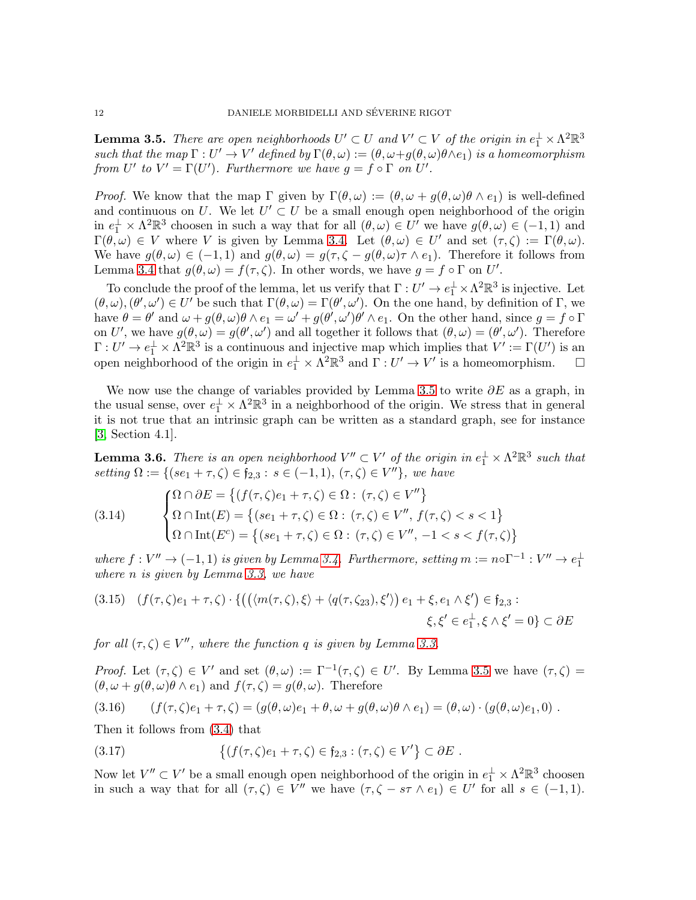<span id="page-11-0"></span>**Lemma 3.5.** There are open neighborhoods  $U' \subset U$  and  $V' \subset V$  of the origin in  $e_1^{\perp} \times \Lambda^2 \mathbb{R}^3$ such that the map  $\Gamma: U' \to V'$  defined by  $\Gamma(\theta,\omega) := (\theta, \omega + g(\theta, \omega)\theta \wedge e_1)$  is a homeomorphism from U' to  $V' = \Gamma(U')$ . Furthermore we have  $g = f \circ \Gamma$  on U'.

*Proof.* We know that the map  $\Gamma$  given by  $\Gamma(\theta,\omega) := (\theta,\omega + g(\theta,\omega)\theta \wedge e_1)$  is well-defined and continuous on U. We let  $U' \subset U$  be a small enough open neighborhood of the origin in  $e_1^{\perp} \times \Lambda^2 \mathbb{R}^3$  choosen in such a way that for all  $(\theta, \omega) \in U'$  we have  $g(\theta, \omega) \in (-1, 1)$  and  $\Gamma(\theta,\omega) \in V$  where V is given by Lemma [3.4.](#page-10-5) Let  $(\theta,\omega) \in U'$  and set  $(\tau,\zeta) := \Gamma(\theta,\omega)$ . We have  $g(\theta,\omega) \in (-1,1)$  and  $g(\theta,\omega) = g(\tau,\zeta - g(\theta,\omega)\tau \wedge e_1)$ . Therefore it follows from Lemma [3.4](#page-10-5) that  $g(\theta, \omega) = f(\tau, \zeta)$ . In other words, we have  $g = f \circ \Gamma$  on U'.

To conclude the proof of the lemma, let us verify that  $\Gamma: U' \to e_1^{\perp} \times \Lambda^2 \mathbb{R}^3$  is injective. Let  $(\theta,\omega),(\theta',\omega')\in U'$  be such that  $\Gamma(\theta,\omega)=\Gamma(\theta',\omega')$ . On the one hand, by definition of  $\Gamma$ , we have  $\theta = \theta'$  and  $\omega + g(\theta, \omega)\theta \wedge e_1 = \omega' + g(\theta', \omega')\theta' \wedge e_1$ . On the other hand, since  $g = f \circ \Gamma$ on U', we have  $g(\theta,\omega) = g(\theta',\omega')$  and all together it follows that  $(\theta,\omega) = (\theta',\omega')$ . Therefore  $\Gamma: U' \to e_1^{\perp} \times \Lambda^2 \mathbb{R}^3$  is a continuous and injective map which implies that  $V' := \Gamma(U')$  is an open neighborhood of the origin in  $e_1^{\perp} \times \Lambda^2 \mathbb{R}^3$  and  $\Gamma: U' \to V'$  is a homeomorphism.  $\Box$ 

We now use the change of variables provided by Lemma [3.5](#page-11-0) to write  $\partial E$  as a graph, in the usual sense, over  $e_1^{\perp} \times \Lambda^2 \mathbb{R}^3$  in a neighborhood of the origin. We stress that in general it is not true that an intrinsic graph can be written as a standard graph, see for instance [\[3,](#page-31-4) Section 4.1].

**Lemma 3.6.** There is an open neighborhood  $V'' \subset V'$  of the origin in  $e_1^{\perp} \times \Lambda^2 \mathbb{R}^3$  such that setting  $\Omega := \{ (se_1 + \tau, \zeta) \in \mathfrak{f}_{2,3} : s \in (-1,1), (\tau, \zeta) \in V'' \},$  we have

<span id="page-11-1"></span>(3.14) 
$$
\begin{cases} \Omega \cap \partial E = \left\{ (f(\tau, \zeta)e_1 + \tau, \zeta) \in \Omega : (\tau, \zeta) \in V'' \right\} \\ \Omega \cap \text{Int}(E) = \left\{ (se_1 + \tau, \zeta) \in \Omega : (\tau, \zeta) \in V'', f(\tau, \zeta) < s < 1 \right\} \\ \Omega \cap \text{Int}(E^c) = \left\{ (se_1 + \tau, \zeta) \in \Omega : (\tau, \zeta) \in V'', -1 < s < f(\tau, \zeta) \right\} \end{cases}
$$

where  $f: V'' \to (-1, 1)$  is given by Lemma [3.4.](#page-10-5) Furthermore, setting  $m := n \circ \Gamma^{-1}: V'' \to e_1^{\perp}$ where n is given by Lemma [3.3,](#page-9-6) we have

<span id="page-11-4"></span>
$$
(3.15) \quad (f(\tau,\zeta)e_1+\tau,\zeta) \cdot \{ \left( \left( \langle m(\tau,\zeta),\xi \rangle + \langle q(\tau,\zeta_{23}),\xi' \rangle \right) e_1 + \xi, e_1 \wedge \xi' \right) \in \mathfrak{f}_{2,3} : \\ \xi, \xi' \in e_1^{\perp}, \xi \wedge \xi' = 0 \} \subset \partial E
$$

for all  $(\tau, \zeta) \in V''$ , where the function q is given by Lemma [3.3.](#page-9-6)

Proof. Let  $(\tau,\zeta) \in V'$  and set  $(\theta,\omega) := \Gamma^{-1}(\tau,\zeta) \in U'$ . By Lemma [3.5](#page-11-0) we have  $(\tau,\zeta)$  $(\theta, \omega + q(\theta, \omega)\theta \wedge \epsilon_1)$  and  $f(\tau, \zeta) = g(\theta, \omega)$ . Therefore

<span id="page-11-3"></span>
$$
(3.16) \qquad (f(\tau,\zeta)e_1+\tau,\zeta)=(g(\theta,\omega)e_1+\theta,\omega+g(\theta,\omega)\theta\wedge e_1)=(\theta,\omega)\cdot(g(\theta,\omega)e_1,0).
$$

Then it follows from [\(3.4\)](#page-9-2) that

<span id="page-11-2"></span>(3.17) 
$$
\{(f(\tau,\zeta)e_1 + \tau,\zeta) \in f_{2,3} : (\tau,\zeta) \in V'\} \subset \partial E.
$$

Now let  $V'' \subset V'$  be a small enough open neighborhood of the origin in  $e_1^{\perp} \times \Lambda^2 \mathbb{R}^3$  choosen in such a way that for all  $(\tau, \zeta) \in V''$  we have  $(\tau, \zeta - s\tau \wedge e_1) \in U'$  for all  $s \in (-1, 1)$ .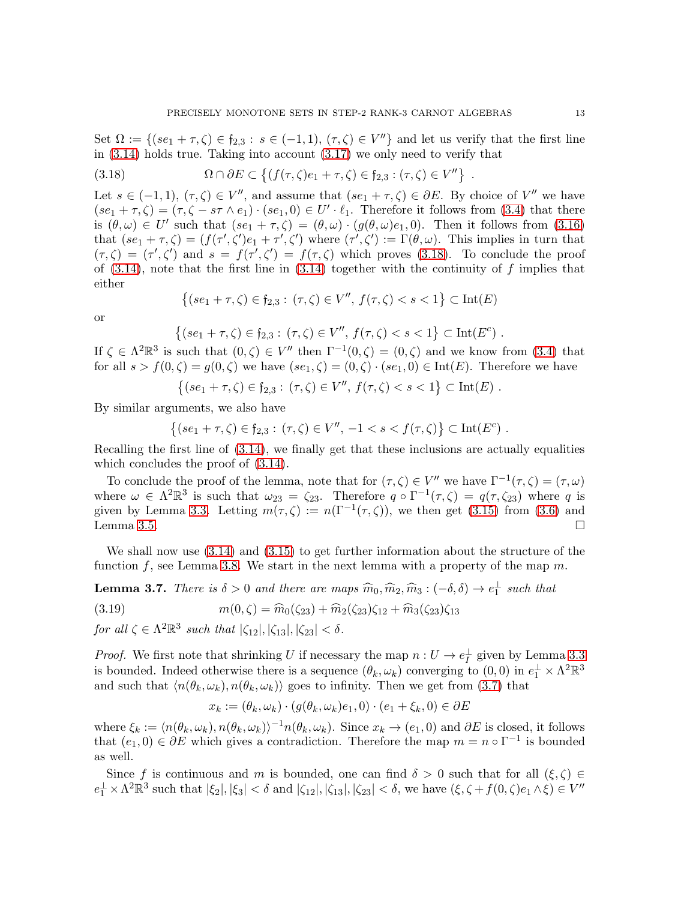Set  $\Omega := \{(se_1 + \tau, \zeta) \in f_{2,3} : s \in (-1,1), (\tau, \zeta) \in V''\}$  and let us verify that the first line in [\(3.14\)](#page-11-1) holds true. Taking into account [\(3.17\)](#page-11-2) we only need to verify that

<span id="page-12-0"></span>(3.18) 
$$
\Omega \cap \partial E \subset \{(f(\tau,\zeta)e_1 + \tau,\zeta) \in \mathfrak{f}_{2,3} : (\tau,\zeta) \in V''\}.
$$

Let  $s \in (-1,1)$ ,  $(\tau,\zeta) \in V''$ , and assume that  $(se_1 + \tau,\zeta) \in \partial E$ . By choice of  $V''$  we have  $(se_1 + \tau, \zeta) = (\tau, \zeta - s\tau \wedge e_1) \cdot (se_1, 0) \in U' \cdot \ell_1$ . Therefore it follows from [\(3.4\)](#page-9-2) that there is  $(\theta, \omega) \in U'$  such that  $(se_1 + \tau, \zeta) = (\theta, \omega) \cdot (g(\theta, \omega)e_1, 0)$ . Then it follows from [\(3.16\)](#page-11-3) that  $(se_1 + \tau, \zeta) = (f(\tau', \zeta')e_1 + \tau', \zeta')$  where  $(\tau', \zeta') := \Gamma(\theta, \omega)$ . This implies in turn that  $(\tau,\zeta)=(\tau',\zeta')$  and  $s=f(\tau',\zeta')=f(\tau,\zeta)$  which proves [\(3.18\)](#page-12-0). To conclude the proof of  $(3.14)$ , note that the first line in  $(3.14)$  together with the continuity of f implies that either

$$
\{(se_1 + \tau, \zeta) \in f_{2,3} : (\tau, \zeta) \in V'', f(\tau, \zeta) < s < 1\} \subset \text{Int}(E)
$$

or

$$
\{(se_1 + \tau,\zeta) \in \mathfrak{f}_{2,3} : (\tau,\zeta) \in V'', f(\tau,\zeta) < s < 1\} \subset \text{Int}(E^c) .
$$

If  $\zeta \in \Lambda^2 \mathbb{R}^3$  is such that  $(0,\zeta) \in V''$  then  $\Gamma^{-1}(0,\zeta) = (0,\zeta)$  and we know from  $(3.4)$  that for all  $s > f(0, \zeta) = g(0, \zeta)$  we have  $(se_1, \zeta) = (0, \zeta) \cdot (se_1, 0) \in \text{Int}(E)$ . Therefore we have

$$
\{(se_1 + \tau,\zeta) \in \mathfrak{f}_{2,3} : (\tau,\zeta) \in V'', f(\tau,\zeta) < s < 1\} \subset \text{Int}(E) .
$$

By similar arguments, we also have

$$
\{(se_1 + \tau, \zeta) \in f_{2,3} : (\tau, \zeta) \in V'', -1 < s < f(\tau, \zeta)\} \subset \text{Int}(E^c) .
$$

Recalling the first line of [\(3.14\)](#page-11-1), we finally get that these inclusions are actually equalities which concludes the proof of  $(3.14)$ .

To conclude the proof of the lemma, note that for  $(\tau, \zeta) \in V''$  we have  $\Gamma^{-1}(\tau, \zeta) = (\tau, \omega)$ where  $\omega \in \Lambda^2 \mathbb{R}^3$  is such that  $\omega_{23} = \zeta_{23}$ . Therefore  $q \circ \Gamma^{-1}(\tau, \zeta) = q(\tau, \zeta_{23})$  where q is given by Lemma [3.3.](#page-9-6) Letting  $m(\tau,\zeta) := n(\Gamma^{-1}(\tau,\zeta))$ , we then get [\(3.15\)](#page-11-4) from [\(3.6\)](#page-9-5) and Lemma [3.5.](#page-11-0)  $\Box$ 

We shall now use [\(3.14\)](#page-11-1) and [\(3.15\)](#page-11-4) to get further information about the structure of the function f, see Lemma [3.8.](#page-13-0) We start in the next lemma with a property of the map  $m$ .

**Lemma 3.7.** There is  $\delta > 0$  and there are maps  $\widehat{m}_0, \widehat{m}_2, \widehat{m}_3 : (-\delta, \delta) \to e_1^{\perp}$  such that

(3.19) 
$$
m(0,\zeta) = \widehat{m}_0(\zeta_{23}) + \widehat{m}_2(\zeta_{23})\zeta_{12} + \widehat{m}_3(\zeta_{23})\zeta_{13}
$$

for all  $\zeta \in \Lambda^2 \mathbb{R}^3$  such that  $|\zeta_{12}|, |\zeta_{13}|, |\zeta_{23}| < \delta$ .

*Proof.* We first note that shrinking U if necessary the map  $n: U \to e_I^{\perp}$  given by Lemma [3.3](#page-9-6) is bounded. Indeed otherwise there is a sequence  $(\theta_k, \omega_k)$  converging to  $(0,0)$  in  $e_1^{\perp} \times \Lambda^2 \mathbb{R}^3$ and such that  $\langle n(\theta_k, \omega_k), n(\theta_k, \omega_k) \rangle$  goes to infinity. Then we get from [\(3.7\)](#page-9-3) that

<span id="page-12-1"></span>
$$
x_k := (\theta_k, \omega_k) \cdot (g(\theta_k, \omega_k)e_1, 0) \cdot (e_1 + \xi_k, 0) \in \partial E
$$

where  $\xi_k := \langle n(\theta_k, \omega_k), n(\theta_k, \omega_k) \rangle^{-1} n(\theta_k, \omega_k)$ . Since  $x_k \to (e_1, 0)$  and  $\partial E$  is closed, it follows that  $(e_1, 0) \in \partial E$  which gives a contradiction. Therefore the map  $m = n \circ \Gamma^{-1}$  is bounded as well.

Since f is continuous and m is bounded, one can find  $\delta > 0$  such that for all  $(\xi, \zeta) \in$  $e_1^{\perp} \times \Lambda^2 \mathbb{R}^3$  such that  $|\xi_2|, |\xi_3| < \delta$  and  $|\zeta_{12}|, |\zeta_{13}|, |\zeta_{23}| < \delta$ , we have  $(\xi, \zeta + f(0, \zeta)e_1 \wedge \xi) \in V''$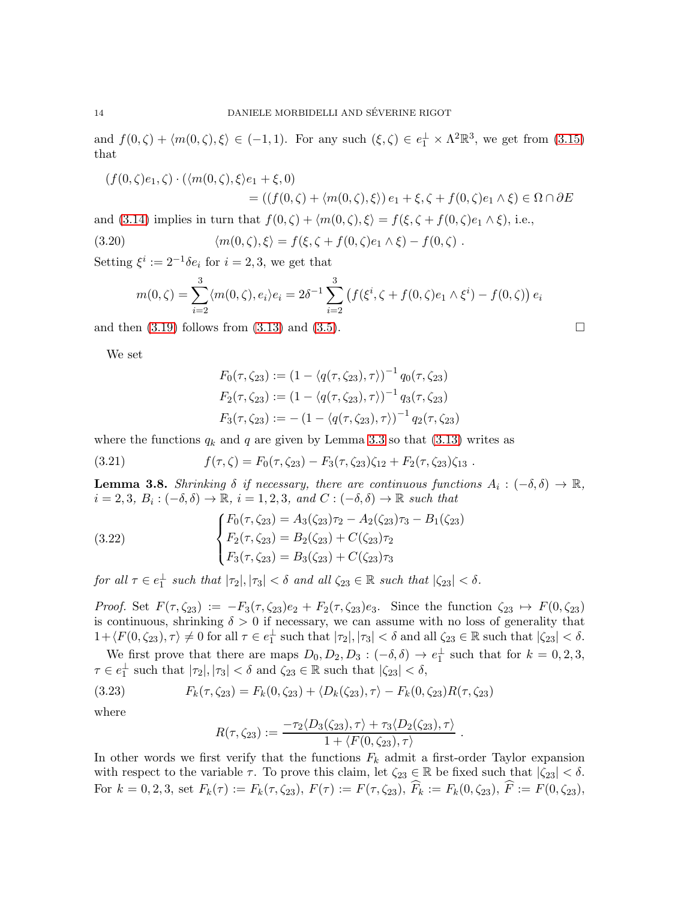and  $f(0,\zeta) + \langle m(0,\zeta), \xi \rangle \in (-1,1)$ . For any such  $(\xi,\zeta) \in e_1^{\perp} \times \Lambda^2 \mathbb{R}^3$ , we get from  $(3.15)$ that

$$
(f(0,\zeta)e_1,\zeta) \cdot (\langle m(0,\zeta),\xi\rangle e_1 + \xi,0)
$$
  
= 
$$
((f(0,\zeta) + \langle m(0,\zeta),\xi\rangle) e_1 + \xi, \zeta + f(0,\zeta)e_1 \wedge \xi) \in \Omega \cap \partial E
$$

and [\(3.14\)](#page-11-1) implies in turn that  $f(0, \zeta) + \langle m(0, \zeta), \xi \rangle = f(\xi, \zeta + f(0, \zeta)e_1 \wedge \xi)$ , i.e.,

(3.20)  $\langle m(0, \zeta), \xi \rangle = f(\xi, \zeta + f(0, \zeta)e_1 \wedge \xi) - f(0, \zeta)$ .

Setting  $\xi^i := 2^{-1} \delta e_i$  for  $i = 2, 3$ , we get that

<span id="page-13-1"></span>
$$
m(0,\zeta) = \sum_{i=2}^{3} \langle m(0,\zeta), e_i \rangle e_i = 2\delta^{-1} \sum_{i=2}^{3} \left( f(\xi^i, \zeta + f(0,\zeta)e_1 \wedge \xi^i) - f(0,\zeta) \right) e_i
$$

and then  $(3.19)$  follows from  $(3.13)$  and  $(3.5)$ .

We set

<span id="page-13-4"></span>
$$
F_0(\tau, \zeta_{23}) := (1 - \langle q(\tau, \zeta_{23}), \tau \rangle)^{-1} q_0(\tau, \zeta_{23})
$$
  
\n
$$
F_2(\tau, \zeta_{23}) := (1 - \langle q(\tau, \zeta_{23}), \tau \rangle)^{-1} q_3(\tau, \zeta_{23})
$$
  
\n
$$
F_3(\tau, \zeta_{23}) := -(1 - \langle q(\tau, \zeta_{23}), \tau \rangle)^{-1} q_2(\tau, \zeta_{23})
$$

where the functions  $q_k$  and q are given by Lemma [3.3](#page-9-6) so that [\(3.13\)](#page-10-6) writes as

(3.21) 
$$
f(\tau,\zeta) = F_0(\tau,\zeta_{23}) - F_3(\tau,\zeta_{23})\zeta_{12} + F_2(\tau,\zeta_{23})\zeta_{13}.
$$

<span id="page-13-0"></span>**Lemma 3.8.** Shrinking  $\delta$  if necessary, there are continuous functions  $A_i: (-\delta, \delta) \to \mathbb{R}$ ,  $i = 2, 3, B_i: (-\delta, \delta) \to \mathbb{R}, i = 1, 2, 3, and C: (-\delta, \delta) \to \mathbb{R} \text{ such that}$ 

<span id="page-13-3"></span>(3.22) 
$$
\begin{cases} F_0(\tau, \zeta_{23}) = A_3(\zeta_{23})\tau_2 - A_2(\zeta_{23})\tau_3 - B_1(\zeta_{23}) \\ F_2(\tau, \zeta_{23}) = B_2(\zeta_{23}) + C(\zeta_{23})\tau_2 \\ F_3(\tau, \zeta_{23}) = B_3(\zeta_{23}) + C(\zeta_{23})\tau_3 \end{cases}
$$

for all  $\tau \in e_1^{\perp}$  such that  $|\tau_2|, |\tau_3| < \delta$  and all  $\zeta_{23} \in \mathbb{R}$  such that  $|\zeta_{23}| < \delta$ .

Proof. Set  $F(\tau, \zeta_{23}) := -F_3(\tau, \zeta_{23})e_2 + F_2(\tau, \zeta_{23})e_3$ . Since the function  $\zeta_{23} \mapsto F(0, \zeta_{23})$ is continuous, shrinking  $\delta > 0$  if necessary, we can assume with no loss of generality that  $1 + \langle F(0, \zeta_{23}), \tau \rangle \neq 0$  for all  $\tau \in e_1^{\perp}$  such that  $|\tau_2|, |\tau_3| < \delta$  and all  $\zeta_{23} \in \mathbb{R}$  such that  $|\zeta_{23}| < \delta$ .

We first prove that there are maps  $D_0, D_2, D_3: (-\delta, \delta) \to e_1^{\perp}$  such that for  $k = 0, 2, 3$ ,  $\tau \in e_1^{\perp}$  such that  $|\tau_2|, |\tau_3| < \delta$  and  $\zeta_{23} \in \mathbb{R}$  such that  $|\zeta_{23}| < \delta$ ,

(3.23) 
$$
F_k(\tau, \zeta_{23}) = F_k(0, \zeta_{23}) + \langle D_k(\zeta_{23}), \tau \rangle - F_k(0, \zeta_{23})R(\tau, \zeta_{23})
$$

where

<span id="page-13-2"></span>
$$
R(\tau,\zeta_{23}) := \frac{-\tau_2\langle D_3(\zeta_{23}),\tau\rangle + \tau_3\langle D_2(\zeta_{23}),\tau\rangle}{1 + \langle F(0,\zeta_{23}),\tau\rangle}
$$

.

In other words we first verify that the functions  $F_k$  admit a first-order Taylor expansion with respect to the variable  $\tau$ . To prove this claim, let  $\zeta_{23} \in \mathbb{R}$  be fixed such that  $|\zeta_{23}| < \delta$ . For  $k = 0, 2, 3$ , set  $F_k(\tau) := F_k(\tau, \zeta_{23}), F(\tau) := F(\tau, \zeta_{23}), \widehat{F}_k := F_k(0, \zeta_{23}), \widehat{F} := F(0, \zeta_{23}),$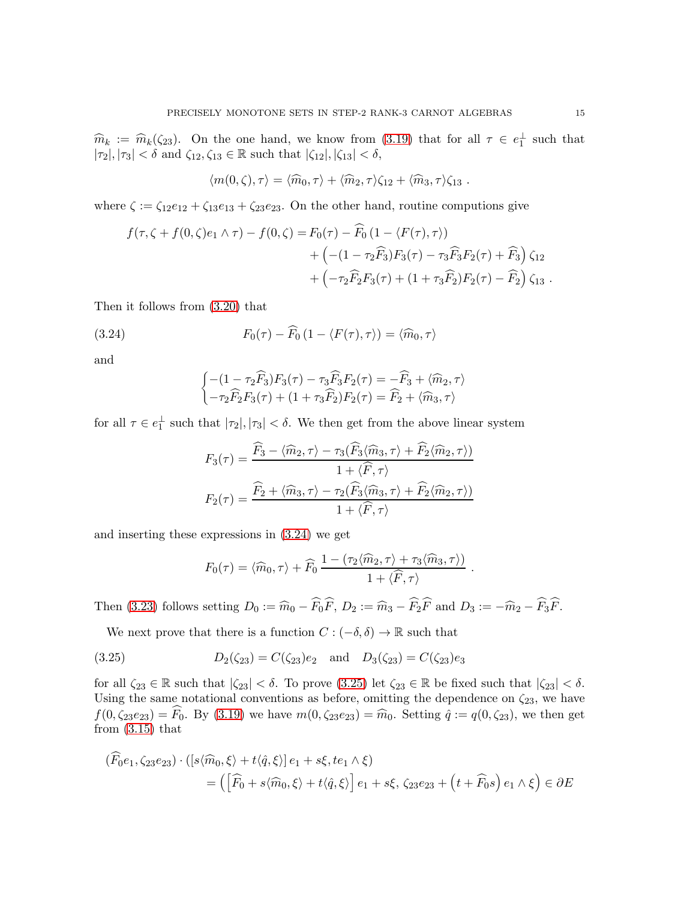$\widehat{m}_k := \widehat{m}_k(\zeta_{23}).$  On the one hand, we know from [\(3.19\)](#page-12-1) that for all  $\tau \in e_1^{\perp}$  such that  $|\tau_2|, |\tau_3| < \delta$  and  $\zeta_{12}, \zeta_{13} \in \mathbb{R}$  such that  $|\zeta_{12}|, |\zeta_{13}| < \delta$ ,

$$
\langle m(0,\zeta),\tau\rangle=\langle \widehat{m}_0,\tau\rangle+\langle \widehat{m}_2,\tau\rangle\zeta_{12}+\langle \widehat{m}_3,\tau\rangle\zeta_{13}.
$$

where  $\zeta := \zeta_{12}e_{12} + \zeta_{13}e_{13} + \zeta_{23}e_{23}$ . On the other hand, routine computions give

$$
f(\tau, \zeta + f(0, \zeta)e_1 \wedge \tau) - f(0, \zeta) = F_0(\tau) - \widehat{F}_0 (1 - \langle F(\tau), \tau \rangle) + \left( -(1 - \tau_2 \widehat{F}_3) F_3(\tau) - \tau_3 \widehat{F}_3 F_2(\tau) + \widehat{F}_3 \right) \zeta_{12} + \left( -\tau_2 \widehat{F}_2 F_3(\tau) + (1 + \tau_3 \widehat{F}_2) F_2(\tau) - \widehat{F}_2 \right) \zeta_{13} .
$$

Then it follows from [\(3.20\)](#page-13-1) that

(3.24) 
$$
F_0(\tau) - \widehat{F}_0 \left(1 - \langle F(\tau), \tau \rangle \right) = \langle \widehat{m}_0, \tau \rangle
$$

and

<span id="page-14-0"></span>
$$
\begin{cases}\n-(1 - \tau_2 \widehat{F}_3) F_3(\tau) - \tau_3 \widehat{F}_3 F_2(\tau) = -\widehat{F}_3 + \langle \widehat{m}_2, \tau \rangle \\
-\tau_2 \widehat{F}_2 F_3(\tau) + (1 + \tau_3 \widehat{F}_2) F_2(\tau) = \widehat{F}_2 + \langle \widehat{m}_3, \tau \rangle\n\end{cases}
$$

for all  $\tau \in e_1^{\perp}$  such that  $|\tau_2|, |\tau_3| < \delta$ . We then get from the above linear system

$$
F_3(\tau) = \frac{\widehat{F}_3 - \langle \widehat{m}_2, \tau \rangle - \tau_3(\widehat{F}_3 \langle \widehat{m}_3, \tau \rangle + \widehat{F}_2 \langle \widehat{m}_2, \tau \rangle)}{1 + \langle \widehat{F}, \tau \rangle}
$$

$$
F_2(\tau) = \frac{\widehat{F}_2 + \langle \widehat{m}_3, \tau \rangle - \tau_2(\widehat{F}_3 \langle \widehat{m}_3, \tau \rangle + \widehat{F}_2 \langle \widehat{m}_2, \tau \rangle)}{1 + \langle \widehat{F}, \tau \rangle}
$$

and inserting these expressions in [\(3.24\)](#page-14-0) we get

<span id="page-14-1"></span>
$$
F_0(\tau) = \langle \widehat{m}_0, \tau \rangle + \widehat{F}_0 \, \frac{1 - (\tau_2 \langle \widehat{m}_2, \tau \rangle + \tau_3 \langle \widehat{m}_3, \tau \rangle)}{1 + \langle \widehat{F}, \tau \rangle} \ .
$$

Then [\(3.23\)](#page-13-2) follows setting  $D_0 := \widehat{m}_0 - \widehat{F}_0\widehat{F}$ ,  $D_2 := \widehat{m}_3 - \widehat{F}_2\widehat{F}$  and  $D_3 := -\widehat{m}_2 - \widehat{F}_3\widehat{F}$ .

We next prove that there is a function  $C : (-\delta, \delta) \to \mathbb{R}$  such that

(3.25) 
$$
D_2(\zeta_{23}) = C(\zeta_{23})e_2 \text{ and } D_3(\zeta_{23}) = C(\zeta_{23})e_3
$$

for all  $\zeta_{23} \in \mathbb{R}$  such that  $|\zeta_{23}| < \delta$ . To prove  $(3.25)$  let  $\zeta_{23} \in \mathbb{R}$  be fixed such that  $|\zeta_{23}| < \delta$ . Using the same notational conventions as before, omitting the dependence on  $\zeta_{23}$ , we have  $f(0, \zeta_{23}e_{23}) = \widehat{F}_0$ . By  $(3.19)$  we have  $m(0, \zeta_{23}e_{23}) = \widehat{m}_0$ . Setting  $\hat{q} := q(0, \zeta_{23})$ , we then get from  $(3.15)$  that

$$
(F_0e_1, \zeta_2e_2s) \cdot ([s\langle \widehat{m}_0, \xi \rangle + t\langle \widehat{q}, \xi \rangle]e_1 + s\xi, te_1 \wedge \xi)
$$
  
= 
$$
\left( \left[ \widehat{F}_0 + s\langle \widehat{m}_0, \xi \rangle + t\langle \widehat{q}, \xi \rangle \right] e_1 + s\xi, \zeta_2e_2s + \left( t + \widehat{F}_0s \right) e_1 \wedge \xi \right) \in \partial E
$$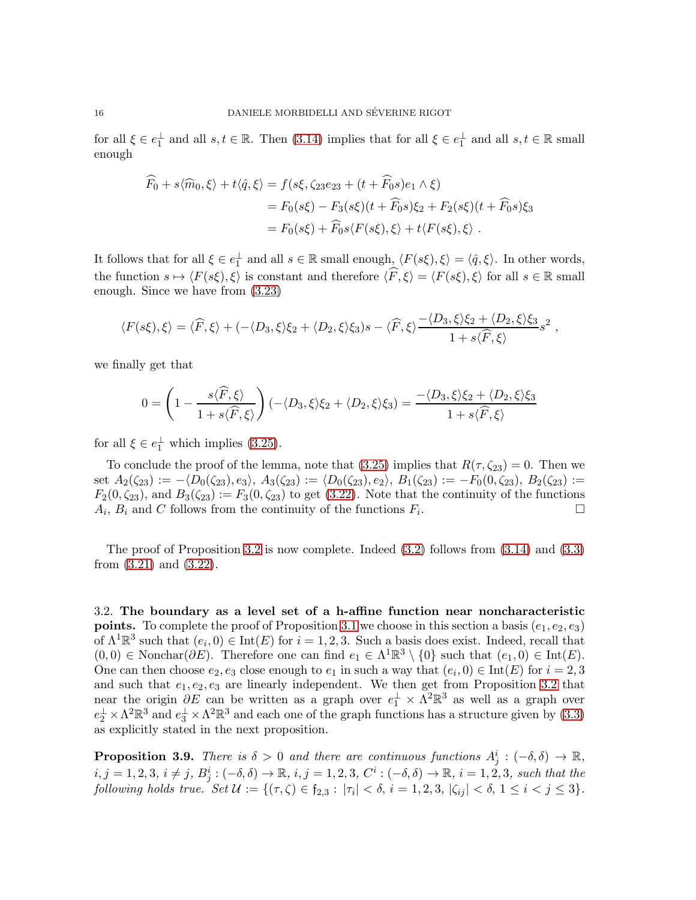for all  $\xi \in e_1^{\perp}$  and all  $s, t \in \mathbb{R}$ . Then [\(3.14\)](#page-11-1) implies that for all  $\xi \in e_1^{\perp}$  and all  $s, t \in \mathbb{R}$  small enough

$$
\widehat{F}_0 + s\langle \widehat{m}_0, \xi \rangle + t\langle \widehat{q}, \xi \rangle = f(s\xi, \zeta_{23}e_{23} + (t + \widehat{F}_0s)e_1 \wedge \xi)
$$
  
\n
$$
= F_0(s\xi) - F_3(s\xi)(t + \widehat{F}_0s)\xi_2 + F_2(s\xi)(t + \widehat{F}_0s)\xi_3
$$
  
\n
$$
= F_0(s\xi) + \widehat{F}_0s\langle F(s\xi), \xi \rangle + t\langle F(s\xi), \xi \rangle.
$$

It follows that for all  $\xi \in e_1^{\perp}$  and all  $s \in \mathbb{R}$  small enough,  $\langle F(s\xi), \xi \rangle = \langle \hat{q}, \xi \rangle$ . In other words, the function  $s \mapsto \langle F(s\xi), \xi \rangle$  is constant and therefore  $\langle \widehat{F}, \xi \rangle = \langle F(s\xi), \xi \rangle$  for all  $s \in \mathbb{R}$  small enough. Since we have from [\(3.23\)](#page-13-2)

$$
\langle F(s\xi),\xi\rangle = \langle \widehat{F},\xi\rangle + \langle -\langle D_3,\xi\rangle \xi_2 + \langle D_2,\xi\rangle \xi_3\rangle s - \langle \widehat{F},\xi\rangle \frac{-\langle D_3,\xi\rangle \xi_2 + \langle D_2,\xi\rangle \xi_3}{1 + s\langle \widehat{F},\xi\rangle} s^2,
$$

we finally get that

$$
0 = \left(1 - \frac{s\langle \widehat{F}, \xi \rangle}{1 + s\langle \widehat{F}, \xi \rangle}\right) (-\langle D_3, \xi \rangle \xi_2 + \langle D_2, \xi \rangle \xi_3) = \frac{-\langle D_3, \xi \rangle \xi_2 + \langle D_2, \xi \rangle \xi_3}{1 + s\langle \widehat{F}, \xi \rangle}
$$

for all  $\xi \in e_1^{\perp}$  which implies [\(3.25\)](#page-14-1).

To conclude the proof of the lemma, note that  $(3.25)$  implies that  $R(\tau, \zeta_{23}) = 0$ . Then we set  $A_2(\zeta_{23}) := -\langle D_0(\zeta_{23}), e_3 \rangle, A_3(\zeta_{23}) := \langle D_0(\zeta_{23}), e_2 \rangle, B_1(\zeta_{23}) := -F_0(0, \zeta_{23}), B_2(\zeta_{23}) :=$  $F_2(0,\zeta_{23})$ , and  $B_3(\zeta_{23}) := F_3(0,\zeta_{23})$  to get  $(3.22)$ . Note that the continuity of the functions  $A_i$ ,  $B_i$  and C follows from the continuity of the functions  $F_i$ . — Первый процесс в постановки программа в серверном становки производительно становки производите с производ<br>В серверном становки производительно становки производительно становки производительно становки производительн

The proof of Proposition [3.2](#page-9-0) is now complete. Indeed  $(3.2)$  follows from  $(3.14)$  and  $(3.3)$ from [\(3.21\)](#page-13-4) and [\(3.22\)](#page-13-3).

3.2. The boundary as a level set of a h-affine function near noncharacteristic **points.** To complete the proof of Proposition [3.1](#page-8-0) we choose in this section a basis  $(e_1, e_2, e_3)$ of  $\Lambda^1 \mathbb{R}^3$  such that  $(e_i, 0) \in \text{Int}(E)$  for  $i = 1, 2, 3$ . Such a basis does exist. Indeed, recall that  $(0,0) \in \text{Nonchar}(\partial E)$ . Therefore one can find  $e_1 \in \Lambda^1 \mathbb{R}^3 \setminus \{0\}$  such that  $(e_1,0) \in \text{Int}(E)$ . One can then choose  $e_2, e_3$  close enough to  $e_1$  in such a way that  $(e_i, 0) \in \text{Int}(E)$  for  $i = 2, 3$ and such that  $e_1, e_2, e_3$  are linearly independent. We then get from Proposition [3.2](#page-9-0) that near the origin  $\partial E$  can be written as a graph over  $e_1^{\perp} \times \bar{\Lambda}^2 \mathbb{R}^3$  as well as a graph over  $e_2^{\perp} \times \Lambda^2 \mathbb{R}^3$  and  $e_3^{\perp} \times \Lambda^2 \mathbb{R}^3$  and each one of the graph functions has a structure given by  $(3.3)$ as explicitly stated in the next proposition.

<span id="page-15-0"></span>**Proposition 3.9.** There is  $\delta > 0$  and there are continuous functions  $A_j^i : (-\delta, \delta) \to \mathbb{R}$ ,  $i, j = 1, 2, 3, i \neq j, B^i_j: (-\delta, \delta) \to \mathbb{R}, i, j = 1, 2, 3, C^i: (-\delta, \delta) \to \mathbb{R}, i = 1, 2, 3, \text{ such that the } i$  $\text{following holds true. Set } U := \{ (\tau, \zeta) \in \mathfrak{f}_{2,3} : |\tau_i| < \delta, i = 1, 2, 3, |\zeta_{ij}| < \delta, 1 \leq i < j \leq 3 \}.$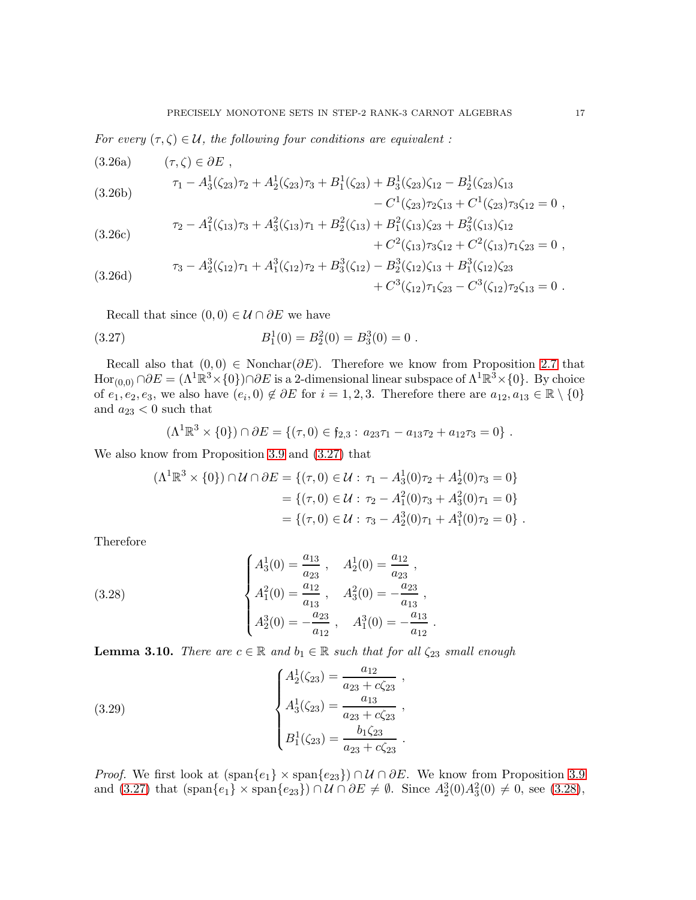For every  $(\tau, \zeta) \in \mathcal{U}$ , the following four conditions are equivalent:

<span id="page-16-7"></span><span id="page-16-4"></span>(3.26a) 
$$
(\tau, \zeta) \in \partial E, \tau_1 - A_3^1(\zeta_{23})\tau_2 + A_2^1(\zeta_{23})\tau_3 + B_1^1(\zeta_{23}) + B_3^1(\zeta_{23})\zeta_{12} - B_2^1(\zeta_{23})\zeta_{13} \n- C^1(\zeta_{23})\tau_2\zeta_{13} + C^1(\zeta_{23})\tau_3\zeta_{12} = 0,
$$

<span id="page-16-2"></span>(3.26c)  
\n
$$
\tau_2 - A_1^2(\zeta_{13})\tau_3 + A_3^2(\zeta_{13})\tau_1 + B_2^2(\zeta_{13}) + B_1^2(\zeta_{13})\zeta_{23} + B_3^2(\zeta_{13})\zeta_{12} + C^2(\zeta_{13})\tau_1\zeta_{23} = 0,
$$

<span id="page-16-3"></span>(3.26d) 
$$
\tau_3 - A_2^3(\zeta_{12})\tau_1 + A_1^3(\zeta_{12})\tau_2 + B_3^3(\zeta_{12}) - B_2^3(\zeta_{12})\zeta_{13} + B_1^3(\zeta_{12})\zeta_{23} + C^3(\zeta_{12})\tau_1\zeta_{23} - C^3(\zeta_{12})\tau_2\zeta_{13} = 0.
$$

Recall that since  $(0,0) \in \mathcal{U} \cap \partial E$  we have

(3.27) 
$$
B_1^1(0) = B_2^2(0) = B_3^3(0) = 0.
$$

Recall also that  $(0,0) \in \text{Nonchar}(\partial E)$ . Therefore we know from Proposition [2.7](#page-6-2) that  $\text{Hor}_{(0,0)} \cap \partial E = (\Lambda^1 \mathbb{R}^3 \times \{0\}) \cap \partial E$  is a 2-dimensional linear subspace of  $\Lambda^1 \mathbb{R}^3 \times \{0\}$ . By choice of  $e_1, e_2, e_3$ , we also have  $(e_i, 0) \notin \partial E$  for  $i = 1, 2, 3$ . Therefore there are  $a_{12}, a_{13} \in \mathbb{R} \setminus \{0\}$ and  $a_{23}$  < 0 such that

<span id="page-16-0"></span>
$$
(\Lambda^1 \mathbb{R}^3 \times \{0\}) \cap \partial E = \{(\tau, 0) \in \mathfrak{f}_{2,3} : a_{23}\tau_1 - a_{13}\tau_2 + a_{12}\tau_3 = 0\}.
$$

We also know from Proposition [3.9](#page-15-0) and [\(3.27\)](#page-16-0) that

<span id="page-16-1"></span>
$$
(\Lambda^{1}\mathbb{R}^{3} \times \{0\}) \cap \mathcal{U} \cap \partial E = \{(\tau, 0) \in \mathcal{U} : \tau_{1} - A_{3}^{1}(0)\tau_{2} + A_{2}^{1}(0)\tau_{3} = 0\}
$$
  
=  $\{(\tau, 0) \in \mathcal{U} : \tau_{2} - A_{1}^{2}(0)\tau_{3} + A_{3}^{2}(0)\tau_{1} = 0\}$   
=  $\{(\tau, 0) \in \mathcal{U} : \tau_{3} - A_{2}^{3}(0)\tau_{1} + A_{1}^{3}(0)\tau_{2} = 0\}$ .

.

Therefore

(3.28) 
$$
\begin{cases} A_3^1(0) = \frac{a_{13}}{a_{23}}, & A_2^1(0) = \frac{a_{12}}{a_{23}}, \\ A_1^2(0) = \frac{a_{12}}{a_{13}}, & A_3^2(0) = -\frac{a_{23}}{a_{13}}, \\ A_2^3(0) = -\frac{a_{23}}{a_{12}}, & A_1^3(0) = -\frac{a_{13}}{a_{12}} \end{cases}
$$

<span id="page-16-6"></span>**Lemma 3.10.** There are  $c \in \mathbb{R}$  and  $b_1 \in \mathbb{R}$  such that for all  $\zeta_{23}$  small enough

<span id="page-16-5"></span>(3.29) 
$$
\begin{cases} A_2^1(\zeta_{23}) = \frac{a_{12}}{a_{23} + c\zeta_{23}} ,\\ A_3^1(\zeta_{23}) = \frac{a_{13}}{a_{23} + c\zeta_{23}} ,\\ B_1^1(\zeta_{23}) = \frac{b_1\zeta_{23}}{a_{23} + c\zeta_{23}} . \end{cases}
$$

*Proof.* We first look at  $(\text{span}\{e_1\} \times \text{span}\{e_{23}\}) \cap \mathcal{U} \cap \partial E$ . We know from Proposition [3.9](#page-15-0) and  $(3.27)$  that  $(\text{span}\{e_1\} \times \text{span}\{e_{23}\}) \cap \mathcal{U} \cap \partial E \neq \emptyset$ . Since  $A_2^3(0)A_3^2(0) \neq 0$ , see  $(3.28)$ ,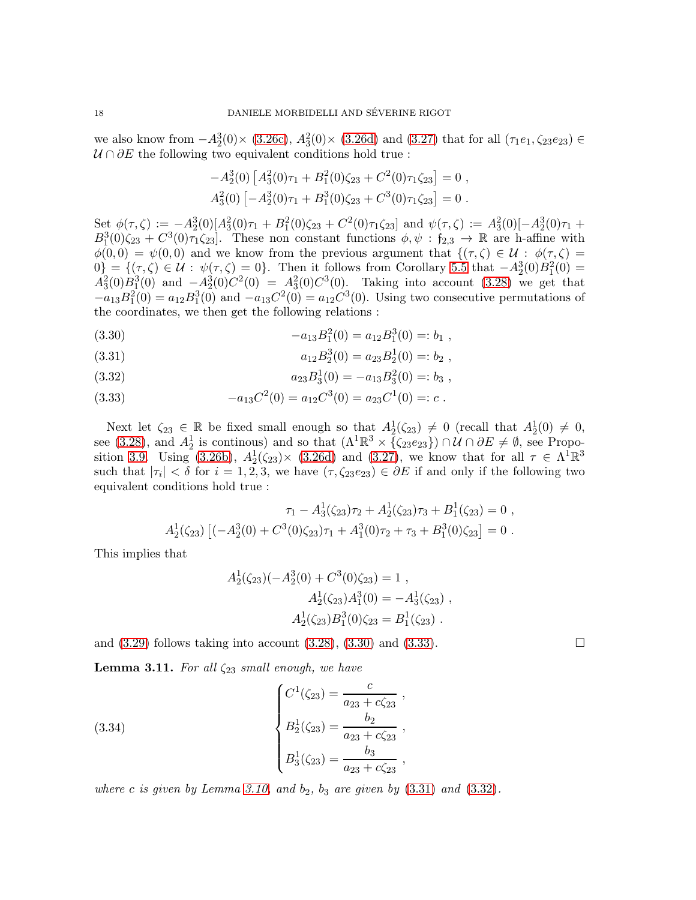we also know from  $-A_2^3(0) \times (3.26c)$  $-A_2^3(0) \times (3.26c)$ ,  $A_3^2(0) \times (3.26d)$  $A_3^2(0) \times (3.26d)$  and  $(3.27)$  that for all  $(\tau_1e_1, \zeta_2e_{23}) \in$  $U \cap \partial E$  the following two equivalent conditions hold true :

$$
-A_2^3(0)\left[A_3^2(0)\tau_1 + B_1^2(0)\zeta_{23} + C^2(0)\tau_1\zeta_{23}\right] = 0,
$$
  

$$
A_3^2(0)\left[-A_2^3(0)\tau_1 + B_1^3(0)\zeta_{23} + C^3(0)\tau_1\zeta_{23}\right] = 0.
$$

Set  $\phi(\tau,\zeta) := -A_2^3(0)[A_3^2(0)\tau_1 + B_1^2(0)\zeta_{23} + C^2(0)\tau_1\zeta_{23}]$  and  $\psi(\tau,\zeta) := A_3^2(0)[-A_2^3(0)\tau_1 +$  $B_1^3(0)\zeta_{23} + C^3(0)\tau_1\zeta_{23}$ . These non constant functions  $\phi, \psi : f_{2,3} \to \mathbb{R}$  are h-affine with  $\phi(0,0) = \psi(0,0)$  and we know from the previous argument that  $\{(\tau,\zeta) \in \mathcal{U} : \phi(\tau,\zeta) =$  $0\} = \{(\tau,\zeta) \in \mathcal{U} : \psi(\tau,\zeta) = 0\}.$  Then it follows from Corollary [5.5](#page-29-0) that  $-A_2^3(0)B_1^2(0) =$  $A_3^2(0)B_1^3(0)$  and  $-A_2^3(0)C^2(0) = A_3^2(0)C^3(0)$ . Taking into account [\(3.28\)](#page-16-1) we get that  $-a_{13}B_1^2(0) = a_{12}B_1^3(0)$  and  $-a_{13}C^2(0) = a_{12}C^3(0)$ . Using two consecutive permutations of the coordinates, we then get the following relations :

<span id="page-17-0"></span>(3.30) 
$$
-a_{13}B_1^2(0) = a_{12}B_1^3(0) =: b_1,
$$

<span id="page-17-2"></span>(3.31) 
$$
a_{12}B_2^3(0) = a_{23}B_2^1(0) =: b_2,
$$

<span id="page-17-3"></span>(3.32) 
$$
a_{23}B_3^1(0) = -a_{13}B_3^2(0) =: b_3,
$$

<span id="page-17-1"></span>(3.33) 
$$
-a_{13}C^2(0) = a_{12}C^3(0) = a_{23}C^1(0) =: c.
$$

Next let  $\zeta_{23} \in \mathbb{R}$  be fixed small enough so that  $A_2^1(\zeta_{23}) \neq 0$  (recall that  $A_2^1(0) \neq 0$ , see [\(3.28\)](#page-16-1), and  $A_2^1$  is continuous) and so that  $(\Lambda^1 \mathbb{R}^3 \times {\zeta_{23}e_{23}}) \cap \mathcal{U} \cap \partial E \neq \emptyset$ , see Propo-sition [3.9.](#page-15-0) Using [\(3.26b\)](#page-16-4),  $A_2^1(\zeta_{23}) \times (3.26d)$  $A_2^1(\zeta_{23}) \times (3.26d)$  and [\(3.27\)](#page-16-0), we know that for all  $\tau \in \Lambda^1 \mathbb{R}^3$ such that  $|\tau_i| < \delta$  for  $i = 1, 2, 3$ , we have  $(\tau, \zeta_{23}e_{23}) \in \partial E$  if and only if the following two equivalent conditions hold true :

$$
\tau_1 - A_3^1(\zeta_{23})\tau_2 + A_2^1(\zeta_{23})\tau_3 + B_1^1(\zeta_{23}) = 0,
$$
  

$$
A_2^1(\zeta_{23}) [(-A_2^3(0) + C^3(0)\zeta_{23})\tau_1 + A_1^3(0)\tau_2 + \tau_3 + B_1^3(0)\zeta_{23}] = 0.
$$

This implies that

<span id="page-17-4"></span>
$$
A_2^1(\zeta_{23})(-A_2^3(0) + C^3(0)\zeta_{23}) = 1,
$$
  
\n
$$
A_2^1(\zeta_{23})A_1^3(0) = -A_3^1(\zeta_{23}),
$$
  
\n
$$
A_2^1(\zeta_{23})B_1^3(0)\zeta_{23} = B_1^1(\zeta_{23}).
$$

and  $(3.29)$  follows taking into account  $(3.28)$ ,  $(3.30)$  and  $(3.33)$ .

**Lemma 3.11.** For all  $\zeta_{23}$  small enough, we have

(3.34) 
$$
\begin{cases}\nC^1(\zeta_{23}) = \frac{c}{a_{23} + c\zeta_{23}} ,\\
B_2^1(\zeta_{23}) = \frac{b_2}{a_{23} + c\zeta_{23}} ,\\
B_3^1(\zeta_{23}) = \frac{b_3}{a_{23} + c\zeta_{23}} ,\n\end{cases}
$$

where c is given by Lemma [3.10,](#page-16-6) and  $b_2$ ,  $b_3$  are given by  $(3.31)$  and  $(3.32)$ .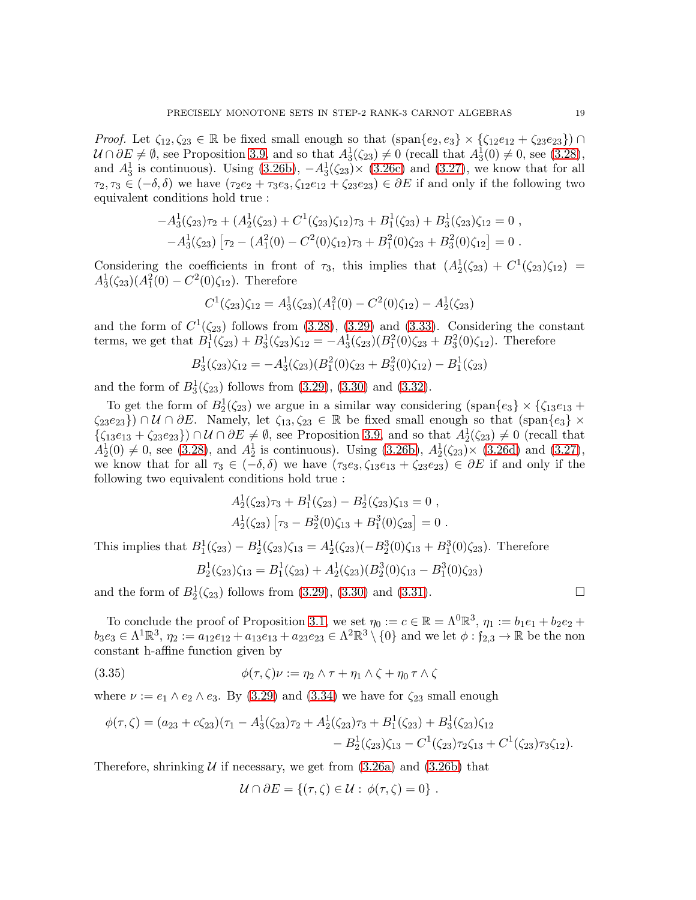Proof. Let  $\zeta_{12}, \zeta_{23} \in \mathbb{R}$  be fixed small enough so that  $(\text{span}\{e_2, e_3\} \times \{\zeta_{12}e_{12} + \zeta_{23}e_{23}\})$  $\mathcal{U} \cap \partial E \neq \emptyset$ , see Proposition [3.9,](#page-15-0) and so that  $A_3^1(\zeta_{23}) \neq 0$  (recall that  $A_3^1(0) \neq 0$ , see [\(3.28\)](#page-16-1), and  $A_3^1$  is continuous). Using  $(3.26b)$ ,  $-A_3^1(\zeta_{23}) \times (3.26c)$  $-A_3^1(\zeta_{23}) \times (3.26c)$  and  $(3.27)$ , we know that for all  $\tau_2, \tau_3 \in (-\delta, \delta)$  we have  $(\tau_2e_2 + \tau_3e_3, \zeta_1e_1e_1 + \zeta_2e_2e_3) \in \partial E$  if and only if the following two equivalent conditions hold true :

$$
-A_3^1(\zeta_{23})\tau_2 + (A_2^1(\zeta_{23}) + C^1(\zeta_{23})\zeta_{12})\tau_3 + B_1^1(\zeta_{23}) + B_3^1(\zeta_{23})\zeta_{12} = 0,
$$
  

$$
-A_3^1(\zeta_{23}) [\tau_2 - (A_1^2(0) - C^2(0)\zeta_{12})\tau_3 + B_1^2(0)\zeta_{23} + B_3^2(0)\zeta_{12}] = 0.
$$

Considering the coefficients in front of  $\tau_3$ , this implies that  $(A_2^1(\zeta_{23}) + C^1(\zeta_{23})\zeta_{12}) =$  $A_3^1(\zeta_{23})(A_1^2(0) - C^2(0)\zeta_{12})$ . Therefore

$$
C^{1}(\zeta_{23})\zeta_{12} = A_{3}^{1}(\zeta_{23})(A_{1}^{2}(0) - C^{2}(0)\zeta_{12}) - A_{2}^{1}(\zeta_{23})
$$

and the form of  $C^1(\zeta_{23})$  follows from [\(3.28\)](#page-16-1), [\(3.29\)](#page-16-5) and [\(3.33\)](#page-17-1). Considering the constant terms, we get that  $B_1^1(\zeta_{23}) + B_3^1(\zeta_{23})\zeta_{12} = -A_3^1(\zeta_{23})(B_1^2(0)\zeta_{23} + B_3^2(0)\zeta_{12})$ . Therefore

$$
B_3^1(\zeta_{23})\zeta_{12} = -A_3^1(\zeta_{23})(B_1^2(0)\zeta_{23} + B_3^2(0)\zeta_{12}) - B_1^1(\zeta_{23})
$$

and the form of  $B_3^1(\zeta_{23})$  follows from  $(3.29)$ ,  $(3.30)$  and  $(3.32)$ .

To get the form of  $B_2^1(\zeta_{23})$  we argue in a similar way considering  $(\text{span}\{e_3\} \times {\zeta_{13}e_{13}} +$  $\zeta_{23}e_{23}\}\) \cap U \cap \partial E$ . Namely, let  $\zeta_{13}, \zeta_{23} \in \mathbb{R}$  be fixed small enough so that  $(\text{span}\{e_3\} \times$  $\{\zeta_{13}e_{13} + \zeta_{23}e_{23}\}\)cap \mathcal{U} \cap \partial E \neq \emptyset$ , see Proposition [3.9,](#page-15-0) and so that  $A_2^1(\zeta_{23}) \neq 0$  (recall that  $A_2^1(0) \neq 0$ , see [\(3.28\)](#page-16-1), and  $A_2^1$  is continuous). Using [\(3.26b\)](#page-16-4),  $A_2^1(\zeta_{23}) \times (3.26d)$  $A_2^1(\zeta_{23}) \times (3.26d)$  and [\(3.27\)](#page-16-0), we know that for all  $\tau_3 \in (-\delta, \delta)$  we have  $(\tau_3e_3, \zeta_{13}e_{13} + \zeta_{23}e_{23}) \in \partial E$  if and only if the following two equivalent conditions hold true :

$$
A_2^1(\zeta_{23})\tau_3 + B_1^1(\zeta_{23}) - B_2^1(\zeta_{23})\zeta_{13} = 0,
$$
  

$$
A_2^1(\zeta_{23}) [\tau_3 - B_2^3(0)\zeta_{13} + B_1^3(0)\zeta_{23}] = 0.
$$

This implies that  $B_1^1(\zeta_{23}) - B_2^1(\zeta_{23})\zeta_{13} = A_2^1(\zeta_{23})\left(-B_2^3(0)\zeta_{13} + B_1^3(0)\zeta_{23}\right)$ . Therefore

<span id="page-18-0"></span>
$$
B_2^1(\zeta_{23})\zeta_{13} = B_1^1(\zeta_{23}) + A_2^1(\zeta_{23})\left(B_2^3(0)\zeta_{13} - B_1^3(0)\zeta_{23}\right)
$$

and the form of  $B_2^1(\zeta_{23})$  follows from [\(3.29\)](#page-16-5), [\(3.30\)](#page-17-0) and [\(3.31\)](#page-17-2).

To conclude the proof of Proposition [3.1,](#page-8-0) we set  $\eta_0 := c \in \mathbb{R} = \Lambda^0 \mathbb{R}^3$ ,  $\eta_1 := b_1 e_1 + b_2 e_2 +$  $b_3e_3 \in \Lambda^1 \mathbb{R}^3$ ,  $\eta_2 := a_{12}e_{12} + a_{13}e_{13} + a_{23}e_{23} \in \Lambda^2 \mathbb{R}^3 \setminus \{0\}$  and we let  $\phi : \mathfrak{f}_{2,3} \to \mathbb{R}$  be the non constant h-affine function given by

(3.35) 
$$
\phi(\tau,\zeta)\nu := \eta_2 \wedge \tau + \eta_1 \wedge \zeta + \eta_0 \tau \wedge \zeta
$$

where  $\nu := e_1 \wedge e_2 \wedge e_3$ . By [\(3.29\)](#page-16-5) and [\(3.34\)](#page-17-4) we have for  $\zeta_{23}$  small enough

$$
\phi(\tau,\zeta) = (a_{23} + c\zeta_{23})(\tau_1 - A_3^1(\zeta_{23})\tau_2 + A_2^1(\zeta_{23})\tau_3 + B_1^1(\zeta_{23}) + B_3^1(\zeta_{23})\zeta_{12} - B_2^1(\zeta_{23})\zeta_{13} - C^1(\zeta_{23})\tau_2\zeta_{13} + C^1(\zeta_{23})\tau_3\zeta_{12}).
$$

Therefore, shrinking  $U$  if necessary, we get from  $(3.26a)$  and  $(3.26b)$  that

$$
\mathcal{U} \cap \partial E = \{ (\tau, \zeta) \in \mathcal{U} : \phi(\tau, \zeta) = 0 \} .
$$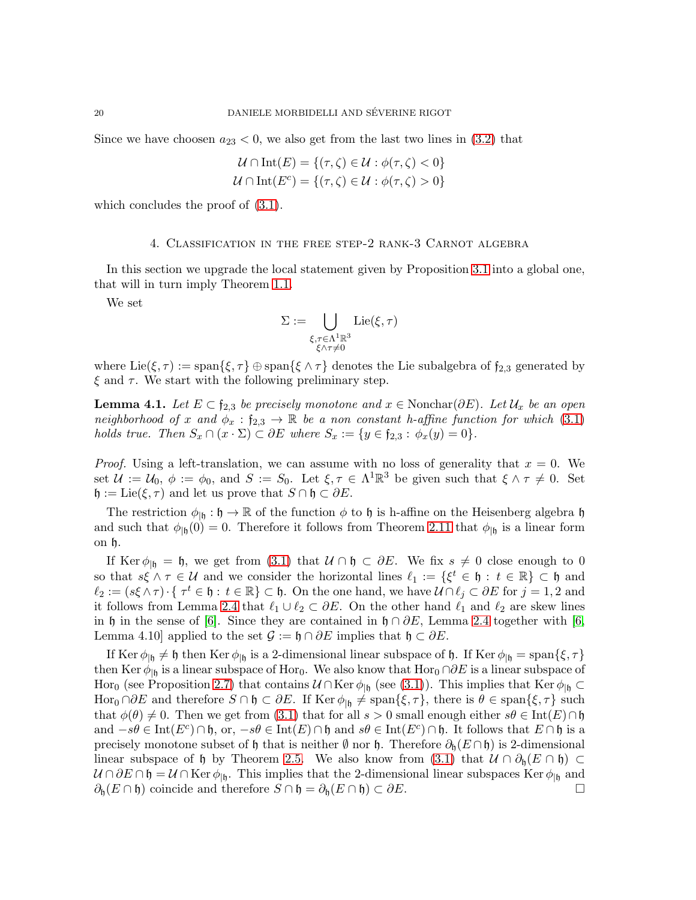Since we have choosen  $a_{23} < 0$ , we also get from the last two lines in [\(3.2\)](#page-9-7) that

$$
\mathcal{U} \cap \text{Int}(E) = \{ (\tau, \zeta) \in \mathcal{U} : \phi(\tau, \zeta) < 0 \}
$$
\n
$$
\mathcal{U} \cap \text{Int}(E^c) = \{ (\tau, \zeta) \in \mathcal{U} : \phi(\tau, \zeta) > 0 \}
$$

<span id="page-19-0"></span>which concludes the proof of [\(3.1\)](#page-8-2).

## 4. Classification in the free step-2 rank-3 Carnot algebra

In this section we upgrade the local statement given by Proposition [3.1](#page-8-0) into a global one, that will in turn imply Theorem [1.1.](#page-2-0)

We set

$$
\Sigma := \bigcup_{\substack{\xi, \tau \in \Lambda^1\mathbb{R}^3 \\ \xi \wedge \tau \neq 0}} \mathrm{Lie}(\xi, \tau)
$$

where  $Lie(\xi, \tau) := \text{span}\{\xi, \tau\} \oplus \text{span}\{\xi \wedge \tau\}$  denotes the Lie subalgebra of  $f_{2,3}$  generated by  $\xi$  and  $\tau$ . We start with the following preliminary step.

<span id="page-19-1"></span>**Lemma 4.1.** Let  $E \subset \mathfrak{f}_{2,3}$  be precisely monotone and  $x \in \text{Nonchar}(\partial E)$ . Let  $\mathcal{U}_x$  be an open neighborhood of x and  $\phi_x : f_{2,3} \to \mathbb{R}$  be a non constant h-affine function for which [\(3.1\)](#page-8-2) holds true. Then  $S_x \cap (x \cdot \Sigma) \subset \partial E$  where  $S_x := \{y \in \mathfrak{f}_{2,3} : \phi_x(y) = 0\}.$ 

*Proof.* Using a left-translation, we can assume with no loss of generality that  $x = 0$ . We set  $\mathcal{U} := \mathcal{U}_0, \ \phi := \phi_0$ , and  $S := S_0$ . Let  $\xi, \tau \in \Lambda^1 \mathbb{R}^3$  be given such that  $\xi \wedge \tau \neq 0$ . Set  $\mathfrak{h} := \text{Lie}(\xi, \tau)$  and let us prove that  $S \cap \mathfrak{h} \subset \partial E$ .

The restriction  $\phi_{\vert \mathfrak{h}} : \mathfrak{h} \to \mathbb{R}$  of the function  $\phi$  to  $\mathfrak{h}$  is h-affine on the Heisenberg algebra  $\mathfrak{h}$ and such that  $\phi_{\vert \mathfrak{h}}(0) = 0$ . Therefore it follows from Theorem [2.11](#page-7-1) that  $\phi_{\vert \mathfrak{h}}$  is a linear form on h.

If Ker  $\phi_{\vert \mathfrak{h}} = \mathfrak{h}$ , we get from [\(3.1\)](#page-8-2) that  $U \cap \mathfrak{h} \subset \partial E$ . We fix  $s \neq 0$  close enough to 0 so that  $s\xi \wedge \tau \in \mathcal{U}$  and we consider the horizontal lines  $\ell_1 := \{\xi^t \in \mathfrak{h} : t \in \mathbb{R}\}\subset \mathfrak{h}$  and  $\ell_2 := (s\xi \wedge \tau) \cdot \{\ \tau^t \in \mathfrak{h} : t \in \mathbb{R}\} \subset \mathfrak{h}$ . On the one hand, we have  $\mathcal{U} \cap \ell_j \subset \partial E$  for  $j = 1, 2$  and it follows from Lemma [2.4](#page-4-2) that  $\ell_1 \cup \ell_2 \subset \partial E$ . On the other hand  $\ell_1$  and  $\ell_2$  are skew lines in h in the sense of [\[6\]](#page-31-0). Since they are contained in h ∩  $\partial E$ , Lemma [2.4](#page-4-2) together with [\[6,](#page-31-0) Lemma 4.10] applied to the set  $\mathcal{G} := \mathfrak{h} \cap \partial E$  implies that  $\mathfrak{h} \subset \partial E$ .

If Ker  $\phi_{\vert \mathfrak{h}} \neq \mathfrak{h}$  then Ker  $\phi_{\vert \mathfrak{h}}$  is a 2-dimensional linear subspace of  $\mathfrak{h}$ . If Ker  $\phi_{\vert \mathfrak{h}} = \text{span}\{\xi, \tau\}$ then Ker  $\phi_{\vert \mathfrak{h}}$  is a linear subspace of Hor<sub>0</sub>. We also know that Hor<sub>0</sub> ∩∂E is a linear subspace of Hor<sub>0</sub> (see Proposition [2.7\)](#page-6-2) that contains  $\mathcal{U} \cap \text{Ker } \phi_{| \mathfrak{h}}$  (see [\(3.1\)](#page-8-2)). This implies that  $\text{Ker } \phi_{| \mathfrak{h}} \subset$ Hor<sub>0</sub> ∩∂E and therefore  $S \cap \mathfrak{h} \subset \partial E$ . If Ker  $\phi_{|\mathfrak{h}} \neq \text{span}\{\xi, \tau\}$ , there is  $\theta \in \text{span}\{\xi, \tau\}$  such that  $\phi(\theta) \neq 0$ . Then we get from [\(3.1\)](#page-8-2) that for all  $s > 0$  small enough either  $s\theta \in \text{Int}(E) \cap \mathfrak{h}$ and  $-s\theta \in \text{Int}(E^c) \cap \mathfrak{h}$ , or,  $-s\theta \in \text{Int}(E) \cap \mathfrak{h}$  and  $s\theta \in \text{Int}(E^c) \cap \mathfrak{h}$ . It follows that  $E \cap \mathfrak{h}$  is a precisely monotone subset of h that is neither  $\emptyset$  nor h. Therefore  $\partial_h(E \cap \mathfrak{h})$  is 2-dimensional linear subspace of h by Theorem [2.5.](#page-4-5) We also know from [\(3.1\)](#page-8-2) that  $U \cap \partial_{\mathfrak{h}}(E \cap \mathfrak{h}) \subset$  $\mathcal{U} \cap \partial E \cap \mathfrak{h} = \mathcal{U} \cap \text{Ker } \phi_{|\mathfrak{h}}$ . This implies that the 2-dimensional linear subspaces Ker $\phi_{|\mathfrak{h}}$  and  $\partial_{\mathfrak{h}}(E \cap \mathfrak{h})$  coincide and therefore  $S \cap \mathfrak{h} = \partial_{\mathfrak{h}}(E \cap \mathfrak{h}) \subset \partial E$ .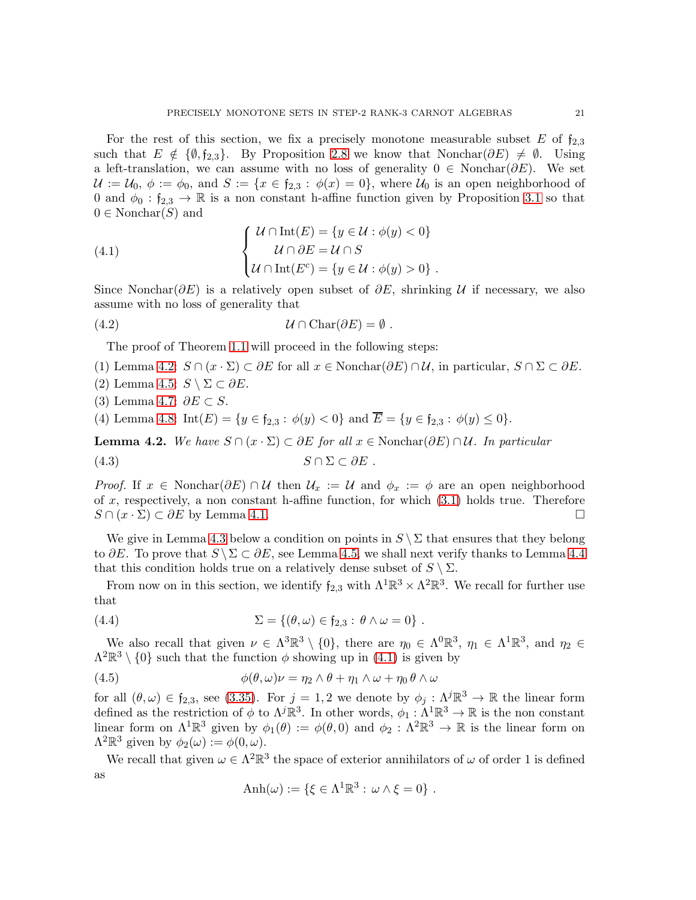For the rest of this section, we fix a precisely monotone measurable subset  $E$  of  $f_{2,3}$ such that  $E \notin \{\emptyset, \mathfrak{f}_{2,3}\}.$  By Proposition [2.8](#page-6-1) we know that Nonchar $(\partial E) \neq \emptyset$ . Using a left-translation, we can assume with no loss of generality  $0 \in \text{Nonchar}(\partial E)$ . We set  $\mathcal{U} := \mathcal{U}_0, \phi := \phi_0$ , and  $S := \{x \in \mathfrak{f}_{2,3} : \phi(x) = 0\}$ , where  $\mathcal{U}_0$  is an open neighborhood of 0 and  $\phi_0$  :  $f_{2,3} \to \mathbb{R}$  is a non constant h-affine function given by Proposition [3.1](#page-8-0) so that  $0 \in \text{Nonchar}(S)$  and

<span id="page-20-1"></span>(4.1) 
$$
\begin{cases} \mathcal{U} \cap \text{Int}(E) = \{y \in \mathcal{U} : \phi(y) < 0\} \\ \mathcal{U} \cap \partial E = \mathcal{U} \cap S \\ \mathcal{U} \cap \text{Int}(E^c) = \{y \in \mathcal{U} : \phi(y) > 0\} \end{cases}.
$$

Since Nonchar $(\partial E)$  is a relatively open subset of  $\partial E$ , shrinking U if necessary, we also assume with no loss of generality that

(4.2) U ∩ Char(∂E) = ∅ .

<span id="page-20-4"></span>The proof of Theorem [1.1](#page-2-0) will proceed in the following steps:

- (1) Lemma [4.2:](#page-20-0)  $S \cap (x \cdot \Sigma) \subset \partial E$  for all  $x \in \text{Nonchar}(\partial E) \cap \mathcal{U}$ , in particular,  $S \cap \Sigma \subset \partial E$ .
- (2) Lemma [4.5:](#page-23-0)  $S \setminus \Sigma \subset \partial E$ .
- (3) Lemma [4.7:](#page-23-1)  $\partial E \subset S$ .

(4) Lemma [4.8:](#page-25-1)  $Int(E) = \{y \in \mathfrak{f}_{2,3} : \phi(y) < 0\}$  and  $\overline{E} = \{y \in \mathfrak{f}_{2,3} : \phi(y) \le 0\}.$ 

<span id="page-20-0"></span>**Lemma 4.2.** We have  $S \cap (x \cdot \Sigma) \subset \partial E$  for all  $x \in \text{Nonchar}(\partial E) \cap \mathcal{U}$ . In particular

<span id="page-20-2"></span>
$$
(4.3) \t\t S \cap \Sigma \subset \partial E .
$$

*Proof.* If  $x \in \text{Nonchar}(\partial E) \cap \mathcal{U}$  then  $\mathcal{U}_x := \mathcal{U}$  and  $\phi_x := \phi$  are an open neighborhood of x, respectively, a non constant h-affine function, for which  $(3.1)$  holds true. Therefore  $S \cap (x \cdot \Sigma) \subset \partial E$  by Lemma [4.1.](#page-19-1)

We give in Lemma [4.3](#page-21-0) below a condition on points in  $S \setminus \Sigma$  that ensures that they belong to ∂E. To prove that  $S \setminus \Sigma \subset \partial E$ , see Lemma [4.5,](#page-23-0) we shall next verify thanks to Lemma [4.4](#page-22-0) that this condition holds true on a relatively dense subset of  $S \setminus \Sigma$ .

From now on in this section, we identify  $f_{2,3}$  with  $\Lambda^1 \mathbb{R}^3 \times \Lambda^2 \mathbb{R}^3$ . We recall for further use that

<span id="page-20-3"></span>(4.4) 
$$
\Sigma = \{(\theta, \omega) \in \mathfrak{f}_{2,3} : \theta \wedge \omega = 0\}.
$$

We also recall that given  $\nu \in \Lambda^3 \mathbb{R}^3 \setminus \{0\}$ , there are  $\eta_0 \in \Lambda^0 \mathbb{R}^3$ ,  $\eta_1 \in \Lambda^1 \mathbb{R}^3$ , and  $\eta_2 \in$  $\Lambda^2 \mathbb{R}^3 \setminus \{0\}$  such that the function  $\phi$  showing up in [\(4.1\)](#page-20-1) is given by

(4.5) 
$$
\phi(\theta,\omega)\nu = \eta_2 \wedge \theta + \eta_1 \wedge \omega + \eta_0 \theta \wedge \omega
$$

for all  $(\theta, \omega) \in \mathfrak{f}_{2,3}$ , see [\(3.35\)](#page-18-0). For  $j = 1, 2$  we denote by  $\phi_j : \Lambda^j \mathbb{R}^3 \to \mathbb{R}$  the linear form defined as the restriction of  $\phi$  to  $\Lambda^j \mathbb{R}^3$ . In other words,  $\phi_1 : \Lambda^1 \mathbb{R}^3 \to \mathbb{R}$  is the non constant linear form on  $\Lambda^1 \mathbb{R}^3$  given by  $\phi_1(\theta) := \phi(\theta,0)$  and  $\phi_2 : \Lambda^2 \mathbb{R}^3 \to \mathbb{R}$  is the linear form on  $\Lambda^2 \mathbb{R}^3$  given by  $\phi_2(\omega) := \phi(0, \omega)$ .

We recall that given  $\omega \in \Lambda^2 \mathbb{R}^3$  the space of exterior annihilators of  $\omega$  of order 1 is defined as

<span id="page-20-5"></span>
$$
Anh(\omega) := \{ \xi \in \Lambda^1 \mathbb{R}^3 : \omega \wedge \xi = 0 \} .
$$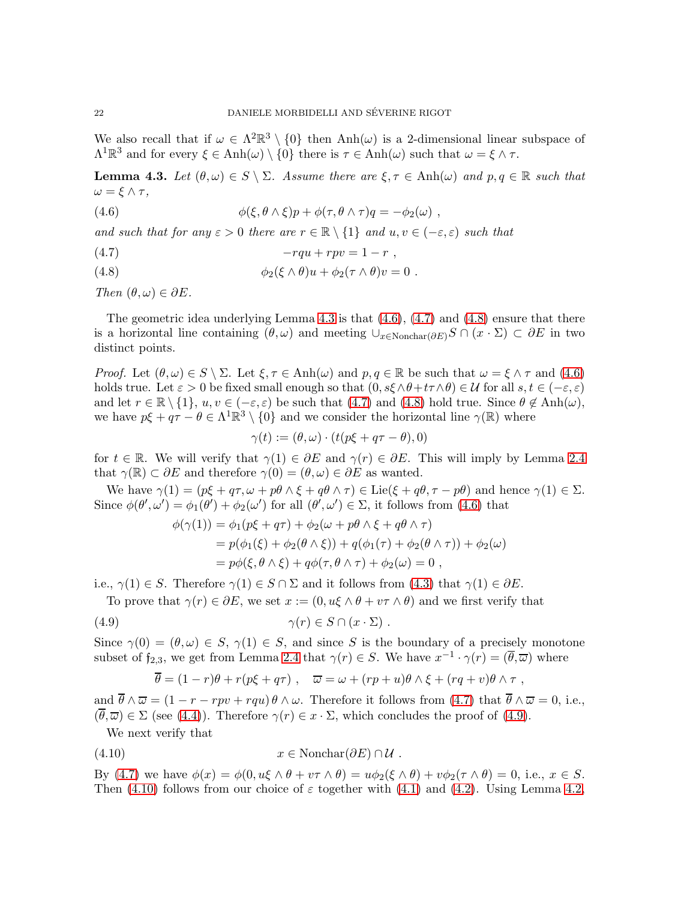We also recall that if  $\omega \in \Lambda^2 \mathbb{R}^3 \setminus \{0\}$  then  $\text{Anh}(\omega)$  is a 2-dimensional linear subspace of  $\Lambda^1 \mathbb{R}^3$  and for every  $\xi \in \text{Anh}(\omega) \setminus \{0\}$  there is  $\tau \in \text{Anh}(\omega)$  such that  $\omega = \xi \wedge \tau$ .

<span id="page-21-0"></span>**Lemma 4.3.** Let  $(\theta, \omega) \in S \setminus \Sigma$ . Assume there are  $\xi, \tau \in \text{Anh}(\omega)$  and  $p, q \in \mathbb{R}$  such that  $\omega = \xi \wedge \tau,$ 

<span id="page-21-1"></span>(4.6) 
$$
\phi(\xi, \theta \wedge \xi)p + \phi(\tau, \theta \wedge \tau)q = -\phi_2(\omega) ,
$$

and such that for any  $\varepsilon > 0$  there are  $r \in \mathbb{R} \setminus \{1\}$  and  $u, v \in (-\varepsilon, \varepsilon)$  such that

- <span id="page-21-2"></span>(4.7)  $-rqu + rpv = 1 - r$ ,
- <span id="page-21-3"></span>(4.8)  $\phi_2(\xi \wedge \theta)u + \phi_2(\tau \wedge \theta)v = 0$ .

Then  $(\theta, \omega) \in \partial E$ .

The geometric idea underlying Lemma [4.3](#page-21-0) is that  $(4.6)$ ,  $(4.7)$  and  $(4.8)$  ensure that there is a horizontal line containing  $(\theta, \omega)$  and meeting  $\cup_{x \in \text{Nonchar}(\partial E)} S \cap (x \cdot \Sigma) \subset \partial E$  in two distinct points.

Proof. Let  $(\theta, \omega) \in S \setminus \Sigma$ . Let  $\xi, \tau \in \text{Anh}(\omega)$  and  $p, q \in \mathbb{R}$  be such that  $\omega = \xi \wedge \tau$  and  $(4.6)$ holds true. Let  $\varepsilon > 0$  be fixed small enough so that  $(0, s\xi \wedge \theta + t\tau \wedge \theta) \in \mathcal{U}$  for all  $s, t \in (-\varepsilon, \varepsilon)$ and let  $r \in \mathbb{R} \setminus \{1\}$ ,  $u, v \in (-\varepsilon, \varepsilon)$  be such that  $(4.7)$  and  $(4.8)$  hold true. Since  $\theta \notin \text{Anh}(\omega)$ , we have  $p\xi + q\tau - \theta \in \Lambda^1\mathbb{R}^3 \setminus \{0\}$  and we consider the horizontal line  $\gamma(\mathbb{R})$  where

$$
\gamma(t) := (\theta, \omega) \cdot (t(p\xi + q\tau - \theta), 0)
$$

for  $t \in \mathbb{R}$ . We will verify that  $\gamma(1) \in \partial E$  and  $\gamma(r) \in \partial E$ . This will imply by Lemma [2.4](#page-4-2) that  $\gamma(\mathbb{R}) \subset \partial E$  and therefore  $\gamma(0) = (\theta, \omega) \in \partial E$  as wanted.

We have  $\gamma(1) = (p\xi + q\tau, \omega + p\theta \wedge \xi + q\theta \wedge \tau) \in \text{Lie}(\xi + q\theta, \tau - p\theta)$  and hence  $\gamma(1) \in \Sigma$ . Since  $\phi(\theta', \omega') = \phi_1(\theta') + \phi_2(\omega')$  for all  $(\theta', \omega') \in \Sigma$ , it follows from [\(4.6\)](#page-21-1) that

$$
\phi(\gamma(1)) = \phi_1(p\xi + q\tau) + \phi_2(\omega + p\theta \wedge \xi + q\theta \wedge \tau)
$$
  
=  $p(\phi_1(\xi) + \phi_2(\theta \wedge \xi)) + q(\phi_1(\tau) + \phi_2(\theta \wedge \tau)) + \phi_2(\omega)$   
=  $p\phi(\xi, \theta \wedge \xi) + q\phi(\tau, \theta \wedge \tau) + \phi_2(\omega) = 0$ ,

i.e.,  $\gamma(1) \in S$ . Therefore  $\gamma(1) \in S \cap \Sigma$  and it follows from  $(4.3)$  that  $\gamma(1) \in \partial E$ .

To prove that  $\gamma(r) \in \partial E$ , we set  $x := (0, u\xi \wedge \theta + v\tau \wedge \theta)$  and we first verify that

(4.9) 
$$
\gamma(r) \in S \cap (x \cdot \Sigma).
$$

Since  $\gamma(0) = (\theta, \omega) \in S$ ,  $\gamma(1) \in S$ , and since S is the boundary of a precisely monotone subset of  $f_{2,3}$ , we get from Lemma [2.4](#page-4-2) that  $\gamma(r) \in S$ . We have  $x^{-1} \cdot \gamma(r) = (\overline{\theta}, \overline{\omega})$  where

<span id="page-21-5"></span><span id="page-21-4"></span>
$$
\overline{\theta} = (1 - r)\theta + r(p\xi + q\tau) , \quad \overline{\omega} = \omega + (rp + u)\theta \wedge \xi + (rq + v)\theta \wedge \tau ,
$$

and  $\overline{\theta} \wedge \overline{\omega} = (1 - r - rpv + rqu)\theta \wedge \omega$ . Therefore it follows from [\(4.7\)](#page-21-2) that  $\overline{\theta} \wedge \overline{\omega} = 0$ , i.e.,  $(\overline{\theta}, \overline{\omega}) \in \Sigma$  (see [\(4.4\)](#page-20-3)). Therefore  $\gamma(r) \in x \cdot \Sigma$ , which concludes the proof of [\(4.9\)](#page-21-4).

We next verify that

$$
(4.10) \t x \in \text{Nonchar}(\partial E) \cap \mathcal{U} .
$$

By [\(4.7\)](#page-21-2) we have  $\phi(x) = \phi(0, u\xi \wedge \theta + v\tau \wedge \theta) = u\phi_2(\xi \wedge \theta) + v\phi_2(\tau \wedge \theta) = 0$ , i.e.,  $x \in S$ . Then [\(4.10\)](#page-21-5) follows from our choice of  $\varepsilon$  together with [\(4.1\)](#page-20-1) and [\(4.2\)](#page-20-4). Using Lemma [4.2,](#page-20-0)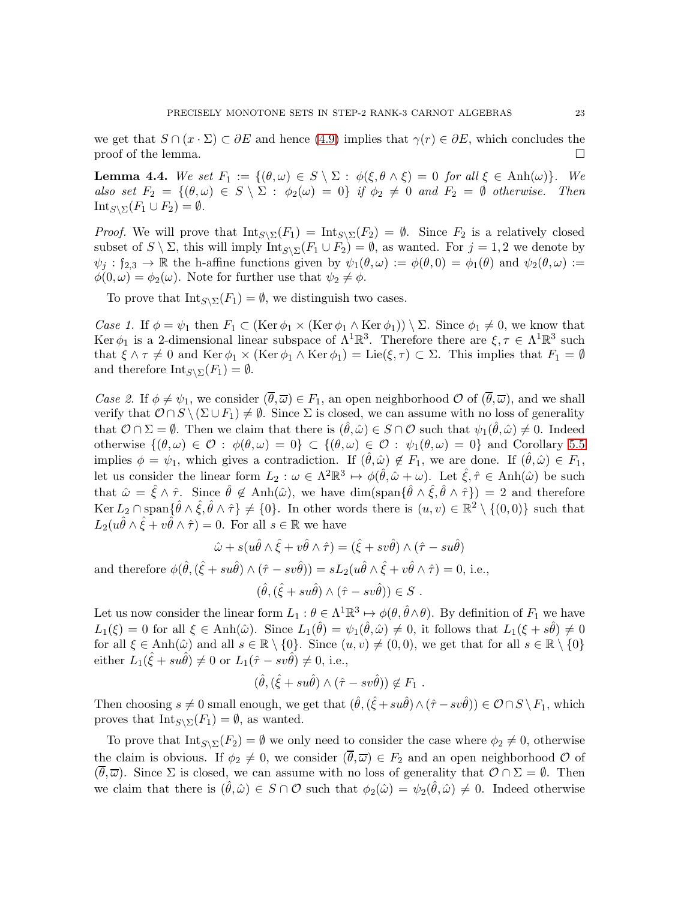we get that  $S \cap (x \cdot \Sigma) \subset \partial E$  and hence [\(4.9\)](#page-21-4) implies that  $\gamma(r) \in \partial E$ , which concludes the proof of the lemma.  $\Box$ 

<span id="page-22-0"></span>**Lemma 4.4.** We set  $F_1 := \{(\theta, \omega) \in S \setminus \Sigma : \phi(\xi, \theta \wedge \xi) = 0 \text{ for all } \xi \in \text{Anh}(\omega)\}.$  We also set  $F_2 = \{(\theta, \omega) \in S \setminus \Sigma : \phi_2(\omega) = 0\}$  if  $\phi_2 \neq 0$  and  $F_2 = \emptyset$  otherwise. Then Int<sub>S</sub>\ $\Sigma(F_1 \cup F_2) = \emptyset$ .

*Proof.* We will prove that  $Int_{S\setminus\Sigma}(F_1) = Int_{S\setminus\Sigma}(F_2) = \emptyset$ . Since  $F_2$  is a relatively closed subset of  $S \setminus \Sigma$ , this will imply  $\text{Int}_{S \setminus \Sigma}(F_1 \cup F_2) = \emptyset$ , as wanted. For  $j = 1, 2$  we denote by  $\psi_j : \mathfrak{f}_{2,3} \to \mathbb{R}$  the h-affine functions given by  $\psi_1(\theta,\omega) := \phi(\theta,0) = \phi_1(\theta)$  and  $\psi_2(\theta,\omega) :=$  $\phi(0,\omega) = \phi_2(\omega)$ . Note for further use that  $\psi_2 \neq \phi$ .

To prove that  $Int_{S\setminus\Sigma}(F_1) = \emptyset$ , we distinguish two cases.

Case 1. If  $\phi = \psi_1$  then  $F_1 \subset (\text{Ker } \phi_1 \times (\text{Ker } \phi_1 \wedge \text{Ker } \phi_1)) \setminus \Sigma$ . Since  $\phi_1 \neq 0$ , we know that Ker  $\phi_1$  is a 2-dimensional linear subspace of  $\Lambda^1 \mathbb{R}^3$ . Therefore there are  $\xi, \tau \in \Lambda^1 \mathbb{R}^3$  such that  $\xi \wedge \tau \neq 0$  and Ker  $\phi_1 \times (\text{Ker } \phi_1 \wedge \text{Ker } \phi_1) = \text{Lie}(\xi, \tau) \subset \Sigma$ . This implies that  $F_1 = \emptyset$ and therefore  $\text{Int}_{S\setminus\Sigma}(F_1)=\emptyset$ .

Case 2. If  $\phi \neq \psi_1$ , we consider  $(\overline{\theta}, \overline{\omega}) \in F_1$ , an open neighborhood  $\mathcal{O}$  of  $(\overline{\theta}, \overline{\omega})$ , and we shall verify that  $\mathcal{O} \cap S \setminus (\Sigma \cup F_1) \neq \emptyset$ . Since  $\Sigma$  is closed, we can assume with no loss of generality that  $\mathcal{O} \cap \Sigma = \emptyset$ . Then we claim that there is  $(\hat{\theta}, \hat{\omega}) \in S \cap \mathcal{O}$  such that  $\psi_1(\hat{\theta}, \hat{\omega}) \neq 0$ . Indeed otherwise  $\{(\theta,\omega)\in\mathcal{O}:\phi(\theta,\omega)=0\}\subset\{(\theta,\omega)\in\mathcal{O}:\psi_1(\theta,\omega)=0\}$  and Corollary [5.5](#page-29-0) implies  $\phi = \psi_1$ , which gives a contradiction. If  $(\theta, \hat{\omega}) \notin F_1$ , we are done. If  $(\theta, \hat{\omega}) \in F_1$ , let us consider the linear form  $L_2: \omega \in \Lambda^2 \mathbb{R}^3 \mapsto \phi(\hat{\theta}, \hat{\omega} + \omega)$ . Let  $\hat{\xi}, \hat{\tau} \in \text{Anh}(\hat{\omega})$  be such that  $\hat{\omega} = \hat{\xi} \wedge \hat{\tau}$ . Since  $\hat{\theta} \notin \text{Anh}(\hat{\omega})$ , we have  $\dim(\text{span}\{\hat{\theta} \wedge \hat{\xi}, \hat{\theta} \wedge \hat{\tau}\}) = 2$  and therefore  $\text{Ker } L_2 \cap \text{span}\{\hat{\theta} \wedge \hat{\xi}, \hat{\theta} \wedge \hat{\tau}\} \neq \{0\}.$  In other words there is  $(u, v) \in \mathbb{R}^2 \setminus \{(0, 0)\}\$  such that  $L_2(u\hat{\theta}\wedge \hat{\xi}+v\hat{\theta}\wedge \hat{\tau})=0.$  For all  $s\in\mathbb{R}$  we have

$$
\hat{\omega} + s(u\hat{\theta} \wedge \hat{\xi} + v\hat{\theta} \wedge \hat{\tau}) = (\hat{\xi} + sv\hat{\theta}) \wedge (\hat{\tau} - su\hat{\theta})
$$

and therefore  $\phi(\hat{\theta}, (\hat{\xi} + su\hat{\theta}) \wedge (\hat{\tau} - sv\hat{\theta})) = sL_2(u\hat{\theta} \wedge \hat{\xi} + v\hat{\theta} \wedge \hat{\tau}) = 0$ , i.e.,

$$
(\hat{\theta}, (\hat{\xi} + su\hat{\theta}) \wedge (\hat{\tau} - sv\hat{\theta})) \in S .
$$

Let us now consider the linear form  $L_1: \theta \in \Lambda^1 \mathbb{R}^3 \mapsto \phi(\theta, \hat{\theta} \wedge \theta)$ . By definition of  $F_1$  we have  $L_1(\xi) = 0$  for all  $\xi \in \text{Anh}(\hat{\omega})$ . Since  $L_1(\hat{\theta}) = \psi_1(\hat{\theta}, \hat{\omega}) \neq 0$ , it follows that  $L_1(\xi + s\hat{\theta}) \neq 0$ for all  $\xi \in \text{Anh}(\hat{\omega})$  and all  $s \in \mathbb{R} \setminus \{0\}$ . Since  $(u, v) \neq (0, 0)$ , we get that for all  $s \in \mathbb{R} \setminus \{0\}$ either  $L_1(\hat{\xi} + su\hat{\theta}) \neq 0$  or  $L_1(\hat{\tau} - sv\hat{\theta}) \neq 0$ , i.e.,

$$
(\hat{\theta}, (\hat{\xi} + su\hat{\theta}) \wedge (\hat{\tau} - sv\hat{\theta})) \notin F_1 .
$$

Then choosing  $s \neq 0$  small enough, we get that  $(\hat{\theta}, (\hat{\xi} + su\hat{\theta}) \wedge (\hat{\tau} - sv\hat{\theta})) \in \mathcal{O} \cap S \setminus F_1$ , which proves that  $\text{Int}_{S\setminus\Sigma}(F_1) = \emptyset$ , as wanted.

To prove that  $\text{Int}_{S\setminus\Sigma}(F_2) = \emptyset$  we only need to consider the case where  $\phi_2 \neq 0$ , otherwise the claim is obvious. If  $\phi_2 \neq 0$ , we consider  $(\theta, \overline{\omega}) \in F_2$  and an open neighborhood  $\mathcal O$  of  $(\theta,\overline{\omega})$ . Since  $\Sigma$  is closed, we can assume with no loss of generality that  $\mathcal{O} \cap \Sigma = \emptyset$ . Then we claim that there is  $(\hat{\theta}, \hat{\omega}) \in S \cap \mathcal{O}$  such that  $\phi_2(\hat{\omega}) = \psi_2(\hat{\theta}, \hat{\omega}) \neq 0$ . Indeed otherwise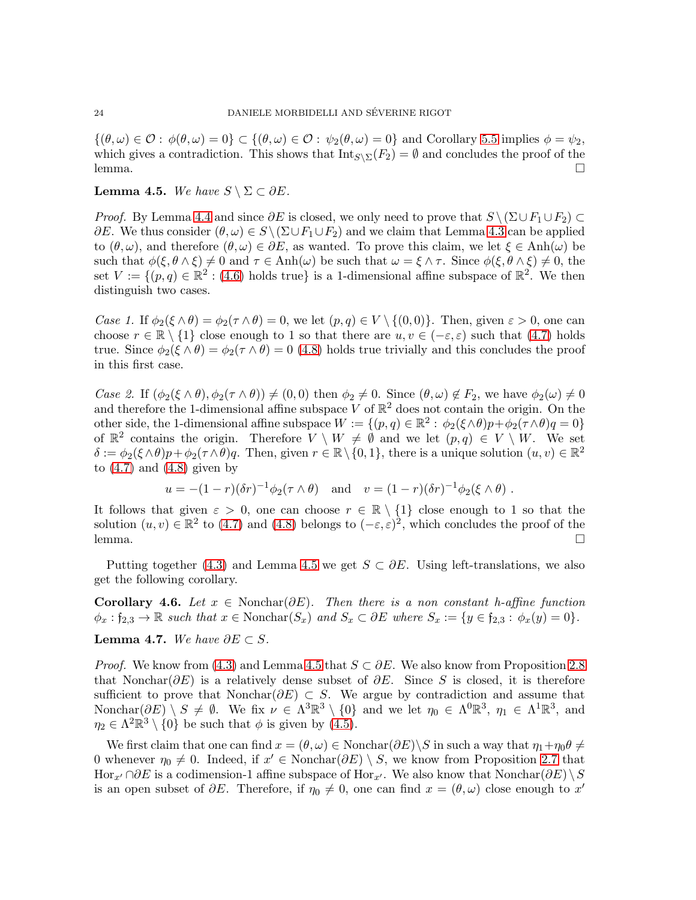$\{(\theta,\omega)\in\mathcal{O}: \phi(\theta,\omega)=0\}\subset\{(\theta,\omega)\in\mathcal{O}: \psi_2(\theta,\omega)=0\}\$ and Corollary [5.5](#page-29-0) implies  $\phi=\psi_2$ , which gives a contradiction. This shows that  $Int_{S\setminus\Sigma}(F_2) = \emptyset$  and concludes the proof of the lemma. □

### <span id="page-23-0"></span>Lemma 4.5. We have  $S \setminus \Sigma \subset \partial E$ .

*Proof.* By Lemma [4.4](#page-22-0) and since  $\partial E$  is closed, we only need to prove that  $S \setminus (\Sigma \cup F_1 \cup F_2) \subset$  $\partial E$ . We thus consider  $(\theta, \omega) \in S \setminus (\Sigma \cup F_1 \cup F_2)$  and we claim that Lemma [4.3](#page-21-0) can be applied to  $(\theta, \omega)$ , and therefore  $(\theta, \omega) \in \partial E$ , as wanted. To prove this claim, we let  $\xi \in \text{Anh}(\omega)$  be such that  $\phi(\xi, \theta \wedge \xi) \neq 0$  and  $\tau \in \text{Anh}(\omega)$  be such that  $\omega = \xi \wedge \tau$ . Since  $\phi(\xi, \theta \wedge \xi) \neq 0$ , the set  $V := \{(p,q) \in \mathbb{R}^2 : (4.6) \text{ holds true}\}\$  $V := \{(p,q) \in \mathbb{R}^2 : (4.6) \text{ holds true}\}\$  $V := \{(p,q) \in \mathbb{R}^2 : (4.6) \text{ holds true}\}\$ is a 1-dimensional affine subspace of  $\mathbb{R}^2$ . We then distinguish two cases.

Case 1. If  $\phi_2(\xi \wedge \theta) = \phi_2(\tau \wedge \theta) = 0$ , we let  $(p, q) \in V \setminus \{(0, 0)\}$ . Then, given  $\varepsilon > 0$ , one can choose  $r \in \mathbb{R} \setminus \{1\}$  close enough to 1 so that there are  $u, v \in (-\varepsilon, \varepsilon)$  such that  $(4.7)$  holds true. Since  $\phi_2(\xi \wedge \theta) = \phi_2(\tau \wedge \theta) = 0$  [\(4.8\)](#page-21-3) holds true trivially and this concludes the proof in this first case.

Case 2. If  $(\phi_2(\xi \wedge \theta), \phi_2(\tau \wedge \theta)) \neq (0, 0)$  then  $\phi_2 \neq 0$ . Since  $(\theta, \omega) \notin F_2$ , we have  $\phi_2(\omega) \neq 0$ and therefore the 1-dimensional affine subspace V of  $\mathbb{R}^2$  does not contain the origin. On the other side, the 1-dimensional affine subspace  $W := \{(p,q) \in \mathbb{R}^2 : \phi_2(\xi \wedge \theta)p + \phi_2(\tau \wedge \theta)q = 0\}$ of  $\mathbb{R}^2$  contains the origin. Therefore  $V \setminus W \neq \emptyset$  and we let  $(p,q) \in V \setminus W$ . We set  $\delta := \phi_2(\xi \wedge \theta)p + \phi_2(\tau \wedge \theta)q$ . Then, given  $r \in \mathbb{R} \setminus \{0,1\}$ , there is a unique solution  $(u, v) \in \mathbb{R}^2$ to  $(4.7)$  and  $(4.8)$  given by

$$
u = -(1-r)(\delta r)^{-1} \phi_2(\tau \wedge \theta)
$$
 and  $v = (1-r)(\delta r)^{-1} \phi_2(\xi \wedge \theta)$ .

It follows that given  $\varepsilon > 0$ , one can choose  $r \in \mathbb{R} \setminus \{1\}$  close enough to 1 so that the solution  $(u, v) \in \mathbb{R}^2$  to [\(4.7\)](#page-21-2) and [\(4.8\)](#page-21-3) belongs to  $(-\varepsilon, \varepsilon)^2$ , which concludes the proof of the lemma. □

Putting together [\(4.3\)](#page-20-2) and Lemma [4.5](#page-23-0) we get  $S \subset \partial E$ . Using left-translations, we also get the following corollary.

<span id="page-23-2"></span>**Corollary 4.6.** Let  $x \in \text{Nonchar}(\partial E)$ . Then there is a non-constant h-affine function  $\phi_x : f_{2,3} \to \mathbb{R}$  such that  $x \in \text{Nonchar}(S_x)$  and  $S_x \subset \partial E$  where  $S_x := \{y \in f_{2,3} : \phi_x(y) = 0\}.$ 

<span id="page-23-1"></span>Lemma 4.7. We have  $\partial E \subset S$ .

*Proof.* We know from [\(4.3\)](#page-20-2) and Lemma [4.5](#page-23-0) that  $S \subset \partial E$ . We also know from Proposition [2.8](#page-6-1) that Nonchar( $\partial E$ ) is a relatively dense subset of  $\partial E$ . Since S is closed, it is therefore sufficient to prove that Nonchar( $\partial E$ ) ⊂ S. We argue by contradiction and assume that Nonchar $(\partial E) \setminus S \neq \emptyset$ . We fix  $\nu \in \Lambda^3 \mathbb{R}^3 \setminus \{0\}$  and we let  $\eta_0 \in \Lambda^0 \mathbb{R}^3$ ,  $\eta_1 \in \Lambda^1 \mathbb{R}^3$ , and  $\eta_2 \in \Lambda^2 \mathbb{R}^3 \setminus \{0\}$  be such that  $\phi$  is given by [\(4.5\)](#page-20-5).

We first claim that one can find  $x = (\theta, \omega) \in \text{Nonchar}(\partial E) \backslash S$  in such a way that  $\eta_1 + \eta_0 \theta \neq$ 0 whenever  $\eta_0 \neq 0$ . Indeed, if  $x' \in \text{Nonchar}(\partial E) \setminus S$ , we know from Proposition [2.7](#page-6-2) that Hor<sub>x'</sub> ∩∂E is a codimension-1 affine subspace of Hor<sub>x'</sub>. We also know that Nonchar(∂E) \S is an open subset of  $\partial E$ . Therefore, if  $\eta_0 \neq 0$ , one can find  $x = (\theta, \omega)$  close enough to x'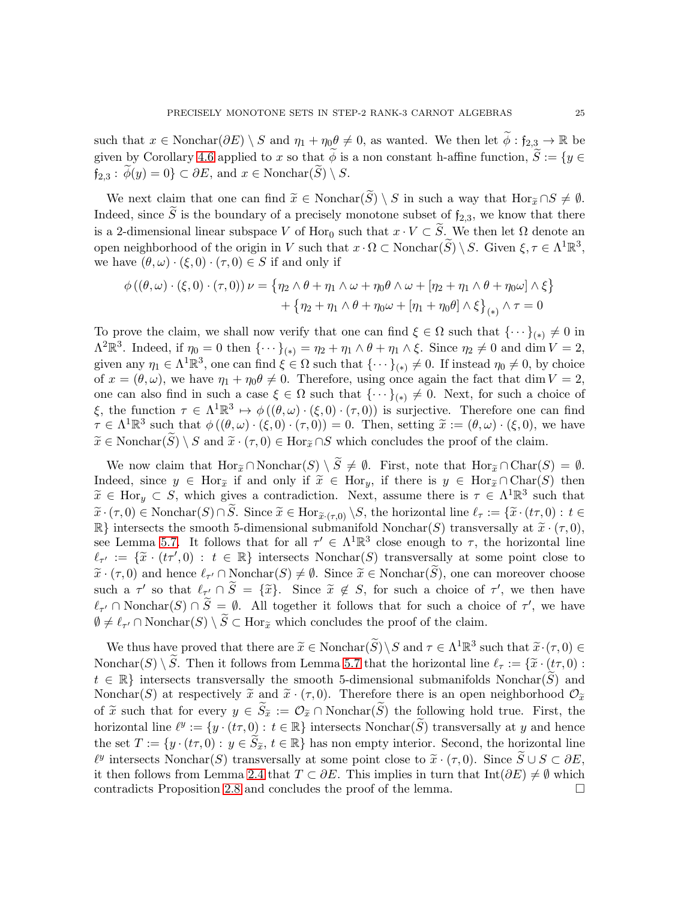such that  $x \in \text{Nonchar}(\partial E) \setminus S$  and  $\eta_1 + \eta_0 \theta \neq 0$ , as wanted. We then let  $\widetilde{\phi} : \mathfrak{f}_{2,3} \to \mathbb{R}$  be given by Corollary [4.6](#page-23-2) applied to x so that  $\widetilde{\phi}$  is a non constant h-affine function,  $\widetilde{S} := \{y \in$  $f_{2,3}$ :  $\phi(y) = 0$   $\subset \partial E$ , and  $x \in \text{Nonchar}(\widetilde{S}) \setminus S$ .

We next claim that one can find  $\widetilde{x} \in \text{Nonchar}(S) \setminus S$  in such a way that  $\text{Hor}_{\widetilde{x}} \cap S \neq \emptyset$ . Indeed, since  $\widetilde{S}$  is the boundary of a precisely monotone subset of  $f_{2,3}$ , we know that there is a 2-dimensional linear subspace V of Hor<sub>0</sub> such that  $x \cdot V \subset \widetilde{S}$ . We then let  $\Omega$  denote an open neighborhood of the origin in V such that  $x \cdot \Omega \subset \text{Nonchar}(\widetilde{S}) \setminus S$ . Given  $\xi, \tau \in \Lambda^1 \mathbb{R}^3$ , we have  $(\theta, \omega) \cdot (\xi, 0) \cdot (\tau, 0) \in S$  if and only if

$$
\phi((\theta,\omega)\cdot(\xi,0)\cdot(\tau,0))\nu = \{\eta_2 \wedge \theta + \eta_1 \wedge \omega + \eta_0 \theta \wedge \omega + [\eta_2 + \eta_1 \wedge \theta + \eta_0 \omega] \wedge \xi\}
$$

$$
+ \{\eta_2 + \eta_1 \wedge \theta + \eta_0 \omega + [\eta_1 + \eta_0 \theta] \wedge \xi\}_{(*)} \wedge \tau = 0
$$

To prove the claim, we shall now verify that one can find  $\xi \in \Omega$  such that  $\{\cdots\}_{(*)} \neq 0$  in  $\Lambda^2 \mathbb{R}^3$ . Indeed, if  $\eta_0 = 0$  then  $\{\cdots\}_{(*)} = \eta_2 + \eta_1 \wedge \theta + \eta_1 \wedge \xi$ . Since  $\eta_2 \neq 0$  and dim  $V = 2$ , given any  $\eta_1 \in \Lambda^1 \mathbb{R}^3$ , one can find  $\xi \in \Omega$  such that  $\{\cdots\}_{(*)} \neq 0$ . If instead  $\eta_0 \neq 0$ , by choice of  $x = (\theta, \omega)$ , we have  $\eta_1 + \eta_0 \theta \neq 0$ . Therefore, using once again the fact that dim  $V = 2$ , one can also find in such a case  $\xi \in \Omega$  such that  $\{\cdots\}_{(*)} \neq 0$ . Next, for such a choice of ξ, the function  $\tau \in \Lambda^1 \mathbb{R}^3 \mapsto \phi((\theta,\omega) \cdot (\xi,0) \cdot (\tau,0))$  is surjective. Therefore one can find  $\tau \in \Lambda^1 \mathbb{R}^3$  such that  $\phi((\theta,\omega)\cdot(\xi,0)\cdot(\tau,0)) = 0$ . Then, setting  $\tilde{x} := (\theta,\omega)\cdot(\xi,0)$ , we have  $\widetilde{x} \in \text{Nonchar}(\widetilde{S}) \setminus S$  and  $\widetilde{x} \cdot (\tau, 0) \in \text{Hor}_{\widetilde{x}} \cap S$  which concludes the proof of the claim.

We now claim that  $\text{Hor}_{\widetilde{x}} \cap \text{Nonchar}(S) \setminus \widetilde{S} \neq \emptyset$ . First, note that  $\text{Hor}_{\widetilde{x}} \cap \text{Char}(S) = \emptyset$ . Indeed, since  $y \in \text{Hor}_{\tilde{x}}$  if and only if  $\tilde{x} \in \text{Hor}_{y}$ , if there is  $y \in \text{Hor}_{\tilde{x}} \cap \text{Char}(S)$  then  $\widetilde{x} \in \text{Hor}_y \subset S$ , which gives a contradiction. Next, assume there is  $\tau \in \Lambda^1\mathbb{R}^3$  such that  $\widetilde{x} \cdot(\tau, 0) \in \text{Nonchar}(S) \cap \widetilde{S}$ . Since  $\widetilde{x} \in \text{Hor}_{\widetilde{x} \cdot(\tau,0)} \setminus S$ , the horizontal line  $\ell_{\tau} := \{ \widetilde{x} \cdot(t\tau,0) : t \in$  $\mathbb{R}$  intersects the smooth 5-dimensional submanifold Nonchar(S) transversally at  $\tilde{x} \cdot (\tau, 0)$ , see Lemma [5.7.](#page-30-1) It follows that for all  $\tau' \in \Lambda^1 \mathbb{R}^3$  close enough to  $\tau$ , the horizontal line  $\ell_{\tau'} := \{\tilde{x} \cdot (t\tau', 0) : t \in \mathbb{R}\}$  intersects Nonchar(S) transversally at some point close to  $\widetilde{x} \cdot (\tau, 0)$  and hence  $\ell_{\tau'} \cap \text{Nonchar}(S) \neq \emptyset$ . Since  $\widetilde{x} \in \text{Nonchar}(S)$ , one can moreover choose such a  $\tau'$  so that  $\ell_{\tau'} \cap \tilde{S} = {\tilde{x}}$ . Since  $\tilde{x} \notin S$ , for such a choice of  $\tau'$ , we then have  $\ell_{\tau'} \cap \text{Nonchar}(S) \cap \tilde{S} = \emptyset$ . All together it follows that for such a choice of  $\tau'$ , we have  $\emptyset \neq \ell_{\tau'} \cap \text{Nonchar}(S) \setminus S \subset \text{Hor}_{\tilde{x}}$  which concludes the proof of the claim.

We thus have proved that there are  $\widetilde{x} \in \text{Nonchar}(\widetilde{S}) \setminus S$  and  $\tau \in \Lambda^1 \mathbb{R}^3$  such that  $\widetilde{x} \cdot (\tau, 0) \in \Lambda^1(\widetilde{S}) \setminus \widetilde{S}$ Nonchar(S) \ $\widetilde{S}$ . Then it follows from Lemma [5.7](#page-30-1) that the horizontal line  $\ell_{\tau} := {\widetilde{\chi} \cdot (t\tau, 0)}$ :  $t \in \mathbb{R}$  intersects transversally the smooth 5-dimensional submanifolds Nonchar $(\tilde{S})$  and Nonchar(S) at respectively  $\tilde{x}$  and  $\tilde{x} \cdot (\tau, 0)$ . Therefore there is an open neighborhood  $\mathcal{O}_{\tilde{x}}$ of  $\tilde{x}$  such that for every  $y \in S_{\tilde{x}} := \mathcal{O}_{\tilde{x}} \cap \text{Nonchar}(S)$  the following hold true. First, the horizontal line  $\ell^y := \{y \cdot (t\tau, 0) : t \in \mathbb{R}\}$  intersects Nonchar $(\widetilde{S})$  transversally at y and hence the set  $T := \{y \cdot (t\tau, 0) : y \in \widetilde{S}_{\widetilde{x}}, t \in \mathbb{R}\}$  has non empty interior. Second, the horizontal line  $\ell^y$  intersects Nonchar(S) transversally at some point close to  $\tilde{x} \cdot (\tau, 0)$ . Since  $\tilde{S} \cup S \subset \partial E$ , it then follows from Lemma [2.4](#page-4-2) that  $T \subset \partial E$ . This implies in turn that Int( $\partial E$ )  $\neq \emptyset$  which contradicts Proposition [2.8](#page-6-1) and concludes the proof of the lemma.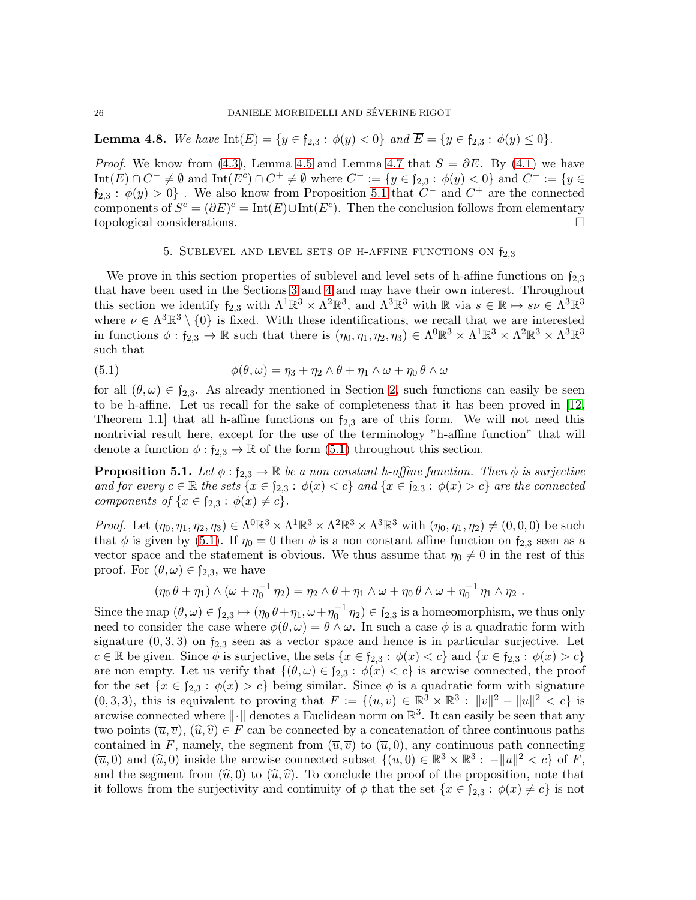<span id="page-25-1"></span>**Lemma 4.8.** We have  $Int(E) = \{y \in \mathfrak{f}_{2,3} : \phi(y) < 0\}$  and  $\overline{E} = \{y \in \mathfrak{f}_{2,3} : \phi(y) \le 0\}.$ 

*Proof.* We know from [\(4.3\)](#page-20-2), Lemma [4.5](#page-23-0) and Lemma [4.7](#page-23-1) that  $S = \partial E$ . By [\(4.1\)](#page-20-1) we have  $\text{Int}(E) \cap C^- \neq \emptyset \text{ and } \text{Int}(E^c) \cap C^+ \neq \emptyset \text{ where } C^- := \{y \in \mathfrak{f}_{2,3} : \phi(y) < 0\} \text{ and } C^+ := \{y \in \mathfrak{f}_{2,3} : \phi(y) < 0\}$  $f_{2,3} : \phi(y) > 0$ . We also know from Proposition [5.1](#page-25-2) that  $C^-$  and  $C^+$  are the connected components of  $S^c = (\partial E)^c = \text{Int}(E) \cup \text{Int}(E^c)$ . Then the conclusion follows from elementary topological considerations.

### <span id="page-25-3"></span>5. SUBLEVEL AND LEVEL SETS OF H-AFFINE FUNCTIONS ON  $f_{2,3}$

<span id="page-25-0"></span>We prove in this section properties of sublevel and level sets of h-affine functions on  $f_{2,3}$ that have been used in the Sections [3](#page-8-1) and [4](#page-19-0) and may have their own interest. Throughout this section we identify  $f_{2,3}$  with  $\Lambda^1 \mathbb{R}^3 \times \Lambda^2 \mathbb{R}^3$ , and  $\Lambda^3 \mathbb{R}^3$  with  $\mathbb{R}$  via  $s \in \mathbb{R} \mapsto s\nu \in \Lambda^3 \mathbb{R}^3$ where  $\nu \in \Lambda^3 \mathbb{R}^3 \setminus \{0\}$  is fixed. With these identifications, we recall that we are interested in functions  $\phi: \mathfrak{f}_{2,3} \to \mathbb{R}$  such that there is  $(\eta_0, \eta_1, \eta_2, \eta_3) \in \Lambda^0 \mathbb{R}^3 \times \Lambda^1 \mathbb{R}^3 \times \Lambda^2 \mathbb{R}^3 \times \Lambda^3 \mathbb{R}^3$ such that

(5.1) 
$$
\phi(\theta,\omega) = \eta_3 + \eta_2 \wedge \theta + \eta_1 \wedge \omega + \eta_0 \theta \wedge \omega
$$

for all  $(\theta, \omega) \in \mathfrak{f}_{2,3}$ . As already mentioned in Section [2,](#page-3-0) such functions can easily be seen to be h-affine. Let us recall for the sake of completeness that it has been proved in [\[12,](#page-32-10) Theorem 1.1 that all h-affine functions on  $f_{2,3}$  are of this form. We will not need this nontrivial result here, except for the use of the terminology "h-affine function" that will denote a function  $\phi : \mathfrak{f}_{2,3} \to \mathbb{R}$  of the form  $(5.1)$  throughout this section.

<span id="page-25-2"></span>**Proposition 5.1.** Let  $\phi: \mathfrak{f}_{2,3} \to \mathbb{R}$  be a non constant h-affine function. Then  $\phi$  is surjective and for every  $c \in \mathbb{R}$  the sets  $\{x \in f_{2,3} : \phi(x) < c\}$  and  $\{x \in f_{2,3} : \phi(x) > c\}$  are the connected components of  $\{x \in \mathfrak{f}_{2,3} : \phi(x) \neq c\}.$ 

Proof. Let  $(\eta_0, \eta_1, \eta_2, \eta_3) \in \Lambda^0 \mathbb{R}^3 \times \Lambda^1 \mathbb{R}^3 \times \Lambda^2 \mathbb{R}^3 \times \Lambda^3 \mathbb{R}^3$  with  $(\eta_0, \eta_1, \eta_2) \neq (0, 0, 0)$  be such that  $\phi$  is given by [\(5.1\)](#page-25-3). If  $\eta_0 = 0$  then  $\phi$  is a non constant affine function on  $f_{2,3}$  seen as a vector space and the statement is obvious. We thus assume that  $\eta_0 \neq 0$  in the rest of this proof. For  $(\theta, \omega) \in \mathfrak{f}_{2,3}$ , we have

$$
(\eta_0 \theta + \eta_1) \wedge (\omega + \eta_0^{-1} \eta_2) = \eta_2 \wedge \theta + \eta_1 \wedge \omega + \eta_0 \theta \wedge \omega + \eta_0^{-1} \eta_1 \wedge \eta_2.
$$

Since the map  $(\theta, \omega) \in \mathfrak{f}_{2,3} \mapsto (\eta_0 \theta + \eta_1, \omega + \eta_0^{-1} \eta_2) \in \mathfrak{f}_{2,3}$  is a homeomorphism, we thus only need to consider the case where  $\phi(\theta, \omega) = \theta \wedge \omega$ . In such a case  $\phi$  is a quadratic form with signature  $(0, 3, 3)$  on  $f_{2,3}$  seen as a vector space and hence is in particular surjective. Let  $c \in \mathbb{R}$  be given. Since  $\phi$  is surjective, the sets  $\{x \in \mathfrak{f}_{2,3} : \phi(x) < c\}$  and  $\{x \in \mathfrak{f}_{2,3} : \phi(x) > c\}$ are non empty. Let us verify that  $\{(\theta, \omega) \in \mathfrak{f}_{2,3} : \phi(x) < c\}$  is arcwise connected, the proof for the set  $\{x \in f_{2,3} : \phi(x) > c\}$  being similar. Since  $\phi$  is a quadratic form with signature  $(0, 3, 3)$ , this is equivalent to proving that  $F := \{(u, v) \in \mathbb{R}^3 \times \mathbb{R}^3 : ||v||^2 - ||u||^2 < c\}$  is arcwise connected where  $\|\cdot\|$  denotes a Euclidean norm on  $\mathbb{R}^3$ . It can easily be seen that any two points  $(\overline{u}, \overline{v})$ ,  $(\widehat{u}, \widehat{v}) \in F$  can be connected by a concatenation of three continuous paths contained in F, namely, the segment from  $(\overline{u}, \overline{v})$  to  $(\overline{u}, 0)$ , any continuous path connecting  $(\overline{u}, 0)$  and  $(\widehat{u}, 0)$  inside the arcwise connected subset  $\{(u, 0) \in \mathbb{R}^3 \times \mathbb{R}^3 : -\|u\|^2 < c\}$  of F, and the segment from  $(\widehat{u}, 0)$  to  $(\widehat{u}, \widehat{v})$ . To conclude the proof of the proposition, note that it follows from the surjectivity and continuity of  $\phi$  that the set  $\{x \in f_{2,3} : \phi(x) \neq c\}$  is not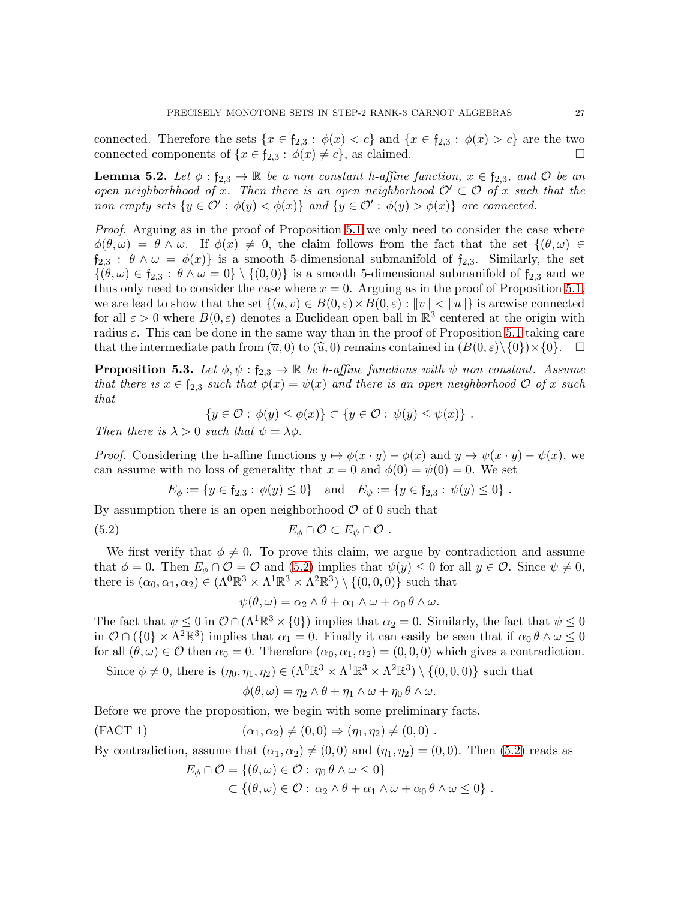connected. Therefore the sets  $\{x \in f_{2,3} : \phi(x) < c\}$  and  $\{x \in f_{2,3} : \phi(x) > c\}$  are the two connected components of  $\{x \in \mathfrak{f}_{2,3} : \phi(x) \neq c\}$ , as claimed.

<span id="page-26-3"></span>**Lemma 5.2.** Let  $\phi : \mathfrak{f}_{2,3} \to \mathbb{R}$  be a non constant h-affine function,  $x \in \mathfrak{f}_{2,3}$ , and  $\mathcal{O}$  be an open neighborhhood of x. Then there is an open neighborhood  $\mathcal{O}' \subset \mathcal{O}$  of x such that the non empty sets  $\{y \in \mathcal{O}' : \phi(y) < \phi(x)\}\$ and  $\{y \in \mathcal{O}' : \phi(y) > \phi(x)\}\$ are connected.

Proof. Arguing as in the proof of Proposition [5.1](#page-25-2) we only need to consider the case where  $\phi(\theta,\omega) = \theta \wedge \omega$ . If  $\phi(x) \neq 0$ , the claim follows from the fact that the set  $\{(\theta,\omega) \in$  $f_{2,3}$ :  $\theta \wedge \omega = \phi(x)$  is a smooth 5-dimensional submanifold of  $f_{2,3}$ . Similarly, the set  $\{(\theta,\omega)\in f_{2,3}:\theta\wedge\omega=0\}\setminus\{(0,0)\}\$ is a smooth 5-dimensional submanifold of  $f_{2,3}$  and we thus only need to consider the case where  $x = 0$ . Arguing as in the proof of Proposition [5.1,](#page-25-2) we are lead to show that the set  $\{(u, v) \in B(0, \varepsilon) \times B(0, \varepsilon) : ||v|| < ||u||\}$  is arcwise connected for all  $\varepsilon > 0$  where  $B(0,\varepsilon)$  denotes a Euclidean open ball in  $\mathbb{R}^3$  centered at the origin with radius  $\varepsilon$ . This can be done in the same way than in the proof of Proposition [5.1](#page-25-2) taking care that the intermediate path from  $(\overline{u}, 0)$  to  $(\widehat{u}, 0)$  remains contained in  $(B(0, \varepsilon) \setminus \{0\}) \times \{0\}$ .

<span id="page-26-2"></span>**Proposition 5.3.** Let  $\phi, \psi : f_{2,3} \to \mathbb{R}$  be h-affine functions with  $\psi$  non constant. Assume that there is  $x \in \mathfrak{f}_{2,3}$  such that  $\phi(x) = \psi(x)$  and there is an open neighborhood  $\mathcal{O}$  of x such that

$$
\{y \in \mathcal{O} : \phi(y) \le \phi(x)\} \subset \{y \in \mathcal{O} : \psi(y) \le \psi(x)\} .
$$

Then there is  $\lambda > 0$  such that  $\psi = \lambda \phi$ .

*Proof.* Considering the h-affine functions  $y \mapsto \phi(x \cdot y) - \phi(x)$  and  $y \mapsto \psi(x \cdot y) - \psi(x)$ , we can assume with no loss of generality that  $x = 0$  and  $\phi(0) = \psi(0) = 0$ . We set

$$
E_{\phi} := \{ y \in \mathfrak{f}_{2,3} : \phi(y) \le 0 \} \text{ and } E_{\psi} := \{ y \in \mathfrak{f}_{2,3} : \psi(y) \le 0 \} .
$$

By assumption there is an open neighborhood  $\mathcal O$  of 0 such that

(5.2) 
$$
E_{\phi} \cap \mathcal{O} \subset E_{\psi} \cap \mathcal{O} .
$$

We first verify that  $\phi \neq 0$ . To prove this claim, we argue by contradiction and assume that  $\phi = 0$ . Then  $E_{\phi} \cap \mathcal{O} = \mathcal{O}$  and [\(5.2\)](#page-26-0) implies that  $\psi(y) \leq 0$  for all  $y \in \mathcal{O}$ . Since  $\psi \neq 0$ , there is  $(\alpha_0, \alpha_1, \alpha_2) \in (\Lambda^0 \mathbb{R}^3 \times \Lambda^1 \mathbb{R}^3 \times \Lambda^2 \mathbb{R}^3) \setminus \{(0,0,0)\}\$  such that

<span id="page-26-0"></span>
$$
\psi(\theta,\omega)=\alpha_2\wedge\theta+\alpha_1\wedge\omega+\alpha_0\theta\wedge\omega.
$$

The fact that  $\psi \leq 0$  in  $\mathcal{O} \cap (\Lambda^1 \mathbb{R}^3 \times \{0\})$  implies that  $\alpha_2 = 0$ . Similarly, the fact that  $\psi \leq 0$ in  $\mathcal{O} \cap (\{0\} \times \Lambda^2 \mathbb{R}^3)$  implies that  $\alpha_1 = 0$ . Finally it can easily be seen that if  $\alpha_0 \theta \wedge \omega \leq 0$ for all  $(\theta, \omega) \in \mathcal{O}$  then  $\alpha_0 = 0$ . Therefore  $(\alpha_0, \alpha_1, \alpha_2) = (0, 0, 0)$  which gives a contradiction.

Since  $\phi \neq 0$ , there is  $(\eta_0, \eta_1, \eta_2) \in (\Lambda^0 \mathbb{R}^3 \times \Lambda^1 \mathbb{R}^3 \times \Lambda^2 \mathbb{R}^3) \setminus \{(0,0,0)\}\$  such that

$$
\phi(\theta,\omega)=\eta_2\wedge\theta+\eta_1\wedge\omega+\eta_0\,\theta\wedge\omega.
$$

Before we prove the proposition, we begin with some preliminary facts.

<span id="page-26-1"></span>(FACT 1) 
$$
(\alpha_1, \alpha_2) \neq (0, 0) \Rightarrow (\eta_1, \eta_2) \neq (0, 0)
$$
.

By contradiction, assume that  $(\alpha_1, \alpha_2) \neq (0, 0)$  and  $(\eta_1, \eta_2) = (0, 0)$ . Then [\(5.2\)](#page-26-0) reads as

$$
E_{\phi} \cap \mathcal{O} = \{(\theta, \omega) \in \mathcal{O} : \eta_0 \theta \wedge \omega \le 0\}
$$
  

$$
\subset \{(\theta, \omega) \in \mathcal{O} : \alpha_2 \wedge \theta + \alpha_1 \wedge \omega + \alpha_0 \theta \wedge \omega \le 0\}.
$$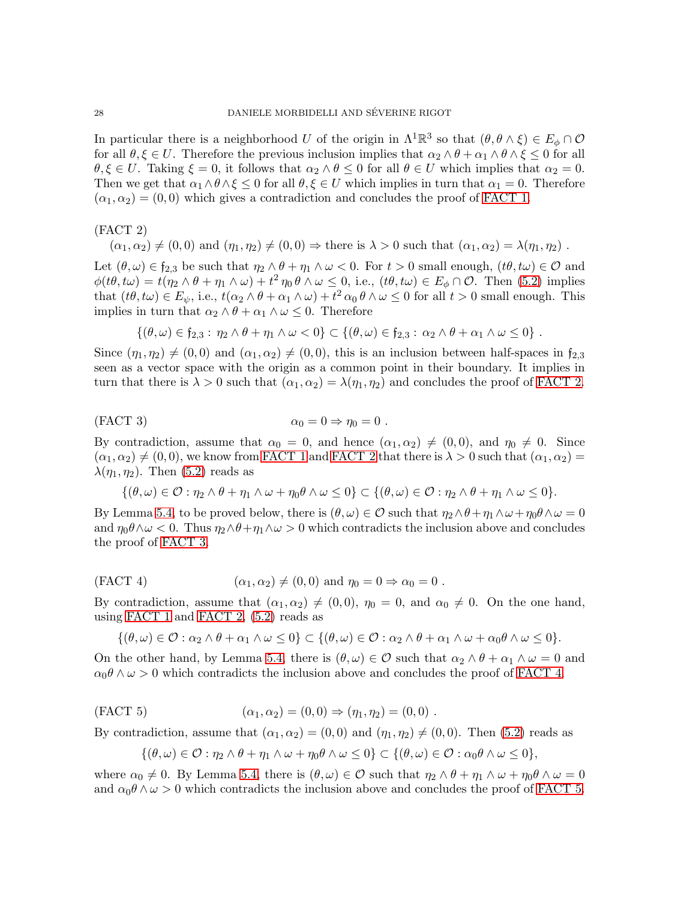In particular there is a neighborhood U of the origin in  $\Lambda^1 \mathbb{R}^3$  so that  $(\theta, \theta \wedge \xi) \in E_\phi \cap \mathcal{O}$ for all  $\theta, \xi \in U$ . Therefore the previous inclusion implies that  $\alpha_2 \wedge \theta + \alpha_1 \wedge \theta \wedge \xi \leq 0$  for all  $\theta, \xi \in U$ . Taking  $\xi = 0$ , it follows that  $\alpha_2 \wedge \theta \leq 0$  for all  $\theta \in U$  which implies that  $\alpha_2 = 0$ . Then we get that  $\alpha_1 \wedge \theta \wedge \xi \leq 0$  for all  $\theta, \xi \in U$  which implies in turn that  $\alpha_1 = 0$ . Therefore  $(\alpha_1, \alpha_2) = (0, 0)$  which gives a contradiction and concludes the proof of [FACT 1.](#page-26-1)

<span id="page-27-0"></span>(FACT 2)

$$
(\alpha_1, \alpha_2) \neq (0, 0)
$$
 and  $(\eta_1, \eta_2) \neq (0, 0) \Rightarrow$  there is  $\lambda > 0$  such that  $(\alpha_1, \alpha_2) = \lambda(\eta_1, \eta_2)$ .

Let  $(\theta, \omega) \in \mathfrak{f}_{2,3}$  be such that  $\eta_2 \wedge \theta + \eta_1 \wedge \omega < 0$ . For  $t > 0$  small enough,  $(t\theta, t\omega) \in \mathcal{O}$  and  $\phi(t\theta, t\omega) = t(\eta_2 \wedge \theta + \eta_1 \wedge \omega) + t^2 \eta_0 \theta \wedge \omega \leq 0$ , i.e.,  $(t\theta, t\omega) \in E_\phi \cap \mathcal{O}$ . Then [\(5.2\)](#page-26-0) implies that  $(t\theta, t\omega) \in E_{\psi}$ , i.e.,  $t(\alpha_2 \wedge \theta + \alpha_1 \wedge \omega) + t^2 \alpha_0 \theta \wedge \omega \leq 0$  for all  $t > 0$  small enough. This implies in turn that  $\alpha_2 \wedge \theta + \alpha_1 \wedge \omega \leq 0$ . Therefore

$$
\{(\theta,\omega)\in \mathfrak{f}_{2,3}:\,\eta_2\wedge\theta+\eta_1\wedge\omega<0\}\subset\{(\theta,\omega)\in \mathfrak{f}_{2,3}:\,\alpha_2\wedge\theta+\alpha_1\wedge\omega\leq 0\}.
$$

Since  $(\eta_1, \eta_2) \neq (0, 0)$  and  $(\alpha_1, \alpha_2) \neq (0, 0)$ , this is an inclusion between half-spaces in  $f_{2,3}$ seen as a vector space with the origin as a common point in their boundary. It implies in turn that there is  $\lambda > 0$  such that  $(\alpha_1, \alpha_2) = \lambda(\eta_1, \eta_2)$  and concludes the proof of [FACT 2.](#page-27-0)

<span id="page-27-1"></span>
$$
\alpha_0 = 0 \Rightarrow \eta_0 = 0 .
$$
 (FACT 3)

By contradiction, assume that  $\alpha_0 = 0$ , and hence  $(\alpha_1, \alpha_2) \neq (0, 0)$ , and  $\eta_0 \neq 0$ . Since  $(\alpha_1, \alpha_2) \neq (0, 0)$ , we know from [FACT 1](#page-26-1) and [FACT 2](#page-27-0) that there is  $\lambda > 0$  such that  $(\alpha_1, \alpha_2) =$  $\lambda(\eta_1, \eta_2)$ . Then [\(5.2\)](#page-26-0) reads as

$$
\{(\theta,\omega)\in\mathcal{O}:\eta_2\wedge\theta+\eta_1\wedge\omega+\eta_0\theta\wedge\omega\leq 0\}\subset\{(\theta,\omega)\in\mathcal{O}:\eta_2\wedge\theta+\eta_1\wedge\omega\leq 0\}.
$$

By Lemma [5.4,](#page-28-0) to be proved below, there is  $(\theta, \omega) \in \mathcal{O}$  such that  $\eta_2 \wedge \theta + \eta_1 \wedge \omega + \eta_0 \theta \wedge \omega = 0$ and  $\eta_0\theta\wedge\omega < 0$ . Thus  $\eta_2\wedge\theta + \eta_1\wedge\omega > 0$  which contradicts the inclusion above and concludes the proof of [FACT 3.](#page-27-1)

<span id="page-27-2"></span>(FACT 4) 
$$
(\alpha_1, \alpha_2) \neq (0, 0) \text{ and } \eta_0 = 0 \Rightarrow \alpha_0 = 0.
$$

By contradiction, assume that  $(\alpha_1, \alpha_2) \neq (0, 0)$ ,  $\eta_0 = 0$ , and  $\alpha_0 \neq 0$ . On the one hand, using [FACT 1](#page-26-1) and [FACT 2,](#page-27-0) [\(5.2\)](#page-26-0) reads as

$$
\{(\theta,\omega)\in\mathcal{O}:\alpha_2\wedge\theta+\alpha_1\wedge\omega\leq 0\}\subset\{(\theta,\omega)\in\mathcal{O}:\alpha_2\wedge\theta+\alpha_1\wedge\omega+\alpha_0\theta\wedge\omega\leq 0\}.
$$

On the other hand, by Lemma [5.4,](#page-28-0) there is  $(\theta, \omega) \in \mathcal{O}$  such that  $\alpha_2 \wedge \theta + \alpha_1 \wedge \omega = 0$  and  $\alpha_0 \theta \wedge \omega > 0$  which contradicts the inclusion above and concludes the proof of [FACT 4.](#page-27-2)

<span id="page-27-3"></span>(FACT 5) 
$$
(\alpha_1, \alpha_2) = (0, 0) \Rightarrow (\eta_1, \eta_2) = (0, 0) .
$$

By contradiction, assume that  $(\alpha_1, \alpha_2) = (0, 0)$  and  $(\eta_1, \eta_2) \neq (0, 0)$ . Then [\(5.2\)](#page-26-0) reads as

$$
\{(\theta,\omega)\in\mathcal{O}:\eta_2\wedge\theta+\eta_1\wedge\omega+\eta_0\theta\wedge\omega\leq 0\}\subset\{(\theta,\omega)\in\mathcal{O}:\alpha_0\theta\wedge\omega\leq 0\},\
$$

where  $\alpha_0 \neq 0$ . By Lemma [5.4,](#page-28-0) there is  $(\theta, \omega) \in \mathcal{O}$  such that  $\eta_2 \wedge \theta + \eta_1 \wedge \omega + \eta_0 \theta \wedge \omega = 0$ and  $\alpha_0 \theta \wedge \omega > 0$  which contradicts the inclusion above and concludes the proof of [FACT 5.](#page-27-3)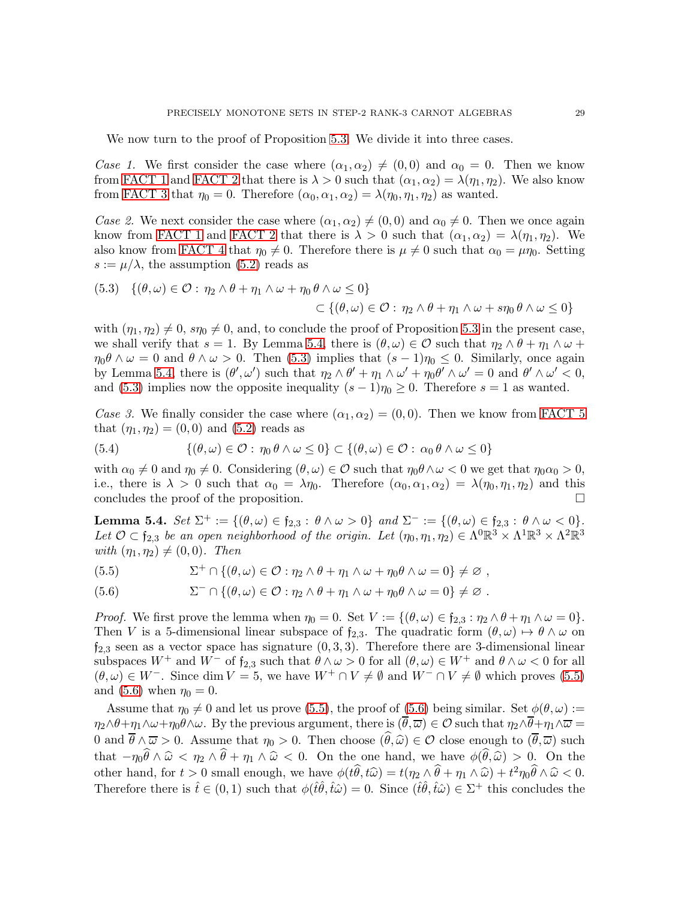We now turn to the proof of Proposition [5.3.](#page-26-2) We divide it into three cases.

Case 1. We first consider the case where  $(\alpha_1, \alpha_2) \neq (0, 0)$  and  $\alpha_0 = 0$ . Then we know from [FACT 1](#page-26-1) and [FACT 2](#page-27-0) that there is  $\lambda > 0$  such that  $(\alpha_1, \alpha_2) = \lambda(\eta_1, \eta_2)$ . We also know from [FACT 3](#page-27-1) that  $\eta_0 = 0$ . Therefore  $(\alpha_0, \alpha_1, \alpha_2) = \lambda(\eta_0, \eta_1, \eta_2)$  as wanted.

Case 2. We next consider the case where  $(\alpha_1, \alpha_2) \neq (0, 0)$  and  $\alpha_0 \neq 0$ . Then we once again know from [FACT 1](#page-26-1) and [FACT 2](#page-27-0) that there is  $\lambda > 0$  such that  $(\alpha_1, \alpha_2) = \lambda(\eta_1, \eta_2)$ . We also know from [FACT 4](#page-27-2) that  $\eta_0 \neq 0$ . Therefore there is  $\mu \neq 0$  such that  $\alpha_0 = \mu \eta_0$ . Setting  $s := \mu/\lambda$ , the assumption [\(5.2\)](#page-26-0) reads as

<span id="page-28-1"></span>(5.3) 
$$
\{(\theta,\omega)\in\mathcal{O}:\eta_2\wedge\theta+\eta_1\wedge\omega+\eta_0\theta\wedge\omega\leq 0\}
$$

$$
\subset \{(\theta,\omega)\in\mathcal{O}:\eta_2\wedge\theta+\eta_1\wedge\omega+\sin\theta\wedge\omega\leq 0\}
$$

with  $(\eta_1, \eta_2) \neq 0$ ,  $s\eta_0 \neq 0$ , and, to conclude the proof of Proposition [5.3](#page-26-2) in the present case, we shall verify that  $s = 1$ . By Lemma [5.4,](#page-28-0) there is  $(\theta, \omega) \in \mathcal{O}$  such that  $\eta_2 \wedge \theta + \eta_1 \wedge \omega +$  $\eta_0 \theta \wedge \omega = 0$  and  $\theta \wedge \omega > 0$ . Then [\(5.3\)](#page-28-1) implies that  $(s-1)\eta_0 \leq 0$ . Similarly, once again by Lemma [5.4,](#page-28-0) there is  $(\theta', \omega')$  such that  $\eta_2 \wedge \theta' + \eta_1 \wedge \omega' + \eta_0 \theta' \wedge \omega' = 0$  and  $\theta' \wedge \omega' < 0$ , and [\(5.3\)](#page-28-1) implies now the opposite inequality  $(s-1)\eta_0 \geq 0$ . Therefore  $s=1$  as wanted.

Case 3. We finally consider the case where  $(\alpha_1, \alpha_2) = (0, 0)$ . Then we know from [FACT 5](#page-27-3) that  $(\eta_1, \eta_2) = (0, 0)$  and  $(5.2)$  reads as

(5.4) 
$$
\{(\theta,\omega)\in\mathcal{O}:\eta_0\,\theta\wedge\omega\leq 0\}\subset\{(\theta,\omega)\in\mathcal{O}:\alpha_0\,\theta\wedge\omega\leq 0\}
$$

with  $\alpha_0 \neq 0$  and  $\eta_0 \neq 0$ . Considering  $(\theta, \omega) \in \mathcal{O}$  such that  $\eta_0 \theta \wedge \omega < 0$  we get that  $\eta_0 \alpha_0 > 0$ , i.e., there is  $\lambda > 0$  such that  $\alpha_0 = \lambda \eta_0$ . Therefore  $(\alpha_0, \alpha_1, \alpha_2) = \lambda(\eta_0, \eta_1, \eta_2)$  and this concludes the proof of the proposition.

<span id="page-28-0"></span>Lemma 5.4.  $Set \Sigma^+ := \{(\theta, \omega) \in f_{2,3} : \theta \wedge \omega > 0\}$  and  $\Sigma^- := \{(\theta, \omega) \in f_{2,3} : \theta \wedge \omega < 0\}.$ Let  $\mathcal{O} \subset \mathfrak{f}_{2,3}$  be an open neighborhood of the origin. Let  $(\eta_0, \eta_1, \eta_2) \in \Lambda^0 \mathbb{R}^3 \times \Lambda^1 \mathbb{R}^3 \times \Lambda^2 \mathbb{R}^3$ with  $(\eta_1, \eta_2) \neq (0, 0)$ . Then

<span id="page-28-2"></span>(5.5) 
$$
\Sigma^+ \cap \{(\theta, \omega) \in \mathcal{O} : \eta_2 \wedge \theta + \eta_1 \wedge \omega + \eta_0 \theta \wedge \omega = 0\} \neq \varnothing,
$$

<span id="page-28-3"></span>(5.6) 
$$
\Sigma^{-} \cap \{(\theta, \omega) \in \mathcal{O} : \eta_2 \wedge \theta + \eta_1 \wedge \omega + \eta_0 \theta \wedge \omega = 0\} \neq \varnothing.
$$

*Proof.* We first prove the lemma when  $\eta_0 = 0$ . Set  $V := \{(\theta, \omega) \in \mathfrak{f}_{2,3} : \eta_2 \wedge \theta + \eta_1 \wedge \omega = 0\}.$ Then V is a 5-dimensional linear subspace of  $f_{2,3}$ . The quadratic form  $(\theta, \omega) \mapsto \theta \wedge \omega$  on  $f_{2,3}$  seen as a vector space has signature  $(0, 3, 3)$ . Therefore there are 3-dimensional linear subspaces  $W^+$  and  $W^-$  of  $f_{2,3}$  such that  $\theta \wedge \omega > 0$  for all  $(\theta, \omega) \in W^+$  and  $\theta \wedge \omega < 0$  for all  $(\theta, \omega) \in W^-$ . Since dim  $V = 5$ , we have  $W^+ \cap V \neq \emptyset$  and  $W^- \cap V \neq \emptyset$  which proves [\(5.5\)](#page-28-2) and [\(5.6\)](#page-28-3) when  $\eta_0 = 0$ .

Assume that  $\eta_0 \neq 0$  and let us prove [\(5.5\)](#page-28-2), the proof of [\(5.6\)](#page-28-3) being similar. Set  $\phi(\theta, \omega) :=$  $\eta_2 \wedge \theta + \eta_1 \wedge \omega + \eta_0 \theta \wedge \omega$ . By the previous argument, there is  $(\theta, \overline{\omega}) \in \mathcal{O}$  such that  $\eta_2 \wedge \theta + \eta_1 \wedge \overline{\omega} =$ 0 and  $\overline{\theta} \wedge \overline{\omega} > 0$ . Assume that  $\eta_0 > 0$ . Then choose  $(\widehat{\theta}, \widehat{\omega}) \in \mathcal{O}$  close enough to  $(\overline{\theta}, \overline{\omega})$  such that  $-\eta_0\widehat{\theta}\wedge \widehat{\omega} < \eta_2 \wedge \widehat{\theta} + \eta_1 \wedge \widehat{\omega} < 0$ . On the one hand, we have  $\phi(\widehat{\theta}, \widehat{\omega}) > 0$ . On the other hand, for  $t > 0$  small enough, we have  $\phi(t\hat{\theta}, t\hat{\omega}) = t(\eta_2 \wedge \hat{\theta} + \eta_1 \wedge \hat{\omega}) + t^2 \eta_0 \hat{\theta} \wedge \hat{\omega} < 0.$ Therefore there is  $\hat{t} \in (0,1)$  such that  $\phi(\hat{t}\hat{\theta}, \hat{t}\hat{\omega}) = 0$ . Since  $(\hat{t}\hat{\theta}, \hat{t}\hat{\omega}) \in \Sigma^{+}$  this concludes the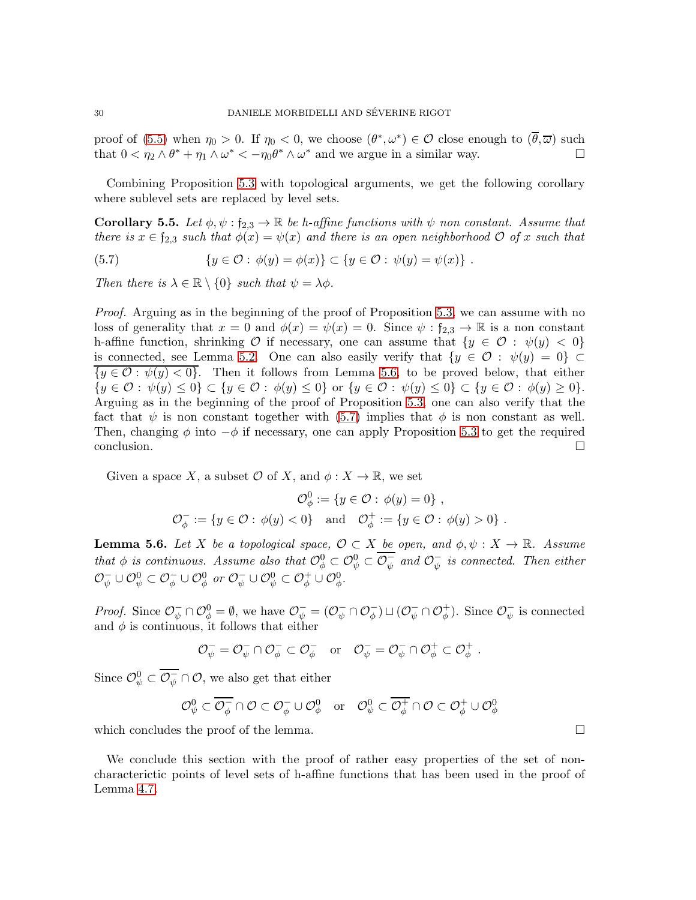proof of [\(5.5\)](#page-28-2) when  $\eta_0 > 0$ . If  $\eta_0 < 0$ , we choose  $(\theta^*, \omega^*) \in \mathcal{O}$  close enough to  $(\overline{\theta}, \overline{\omega})$  such that  $0 < \eta_2 \wedge \theta^* + \eta_1 \wedge \omega^* < -\eta_0 \theta^* \wedge \omega^*$  and we argue in a similar way.

Combining Proposition [5.3](#page-26-2) with topological arguments, we get the following corollary where sublevel sets are replaced by level sets.

<span id="page-29-0"></span>**Corollary 5.5.** Let  $\phi, \psi : f_{2,3} \to \mathbb{R}$  be h-affine functions with  $\psi$  non constant. Assume that there is  $x \in \mathfrak{f}_{2,3}$  such that  $\phi(x) = \psi(x)$  and there is an open neighborhood  $\mathcal{O}$  of x such that

<span id="page-29-2"></span>(5.7) 
$$
\{y \in \mathcal{O} : \phi(y) = \phi(x)\} \subset \{y \in \mathcal{O} : \psi(y) = \psi(x)\} .
$$

Then there is  $\lambda \in \mathbb{R} \setminus \{0\}$  such that  $\psi = \lambda \phi$ .

Proof. Arguing as in the beginning of the proof of Proposition [5.3,](#page-26-2) we can assume with no loss of generality that  $x = 0$  and  $\phi(x) = \psi(x) = 0$ . Since  $\psi : f_{2,3} \to \mathbb{R}$  is a non constant h-affine function, shrinking O if necessary, one can assume that  $\{y \in \mathcal{O} : \psi(y) < 0\}$ is connected, see Lemma [5.2.](#page-26-3) One can also easily verify that  $\{y \in \mathcal{O} : \psi(y) = 0\} \subset$  ${y \in \mathcal{O} : \psi(y) < 0}.$  Then it follows from Lemma [5.6,](#page-29-1) to be proved below, that either  $\{y \in \mathcal{O} : \psi(y) \leq 0\} \subset \{y \in \mathcal{O} : \phi(y) \leq 0\}$  or  $\{y \in \mathcal{O} : \psi(y) \leq 0\} \subset \{y \in \mathcal{O} : \phi(y) \geq 0\}.$ Arguing as in the beginning of the proof of Proposition [5.3,](#page-26-2) one can also verify that the fact that  $\psi$  is non constant together with [\(5.7\)](#page-29-2) implies that  $\phi$  is non constant as well. Then, changing  $\phi$  into  $-\phi$  if necessary, one can apply Proposition [5.3](#page-26-2) to get the required conclusion.

Given a space X, a subset  $\mathcal O$  of X, and  $\phi: X \to \mathbb{R}$ , we set

$$
\mathcal{O}_{\phi}^{0} := \{ y \in \mathcal{O} : \phi(y) = 0 \},
$$
  

$$
\mathcal{O}_{\phi}^{-} := \{ y \in \mathcal{O} : \phi(y) < 0 \} \text{ and } \mathcal{O}_{\phi}^{+} := \{ y \in \mathcal{O} : \phi(y) > 0 \}.
$$

<span id="page-29-1"></span>**Lemma 5.6.** Let X be a topological space,  $\mathcal{O} \subset X$  be open, and  $\phi, \psi : X \to \mathbb{R}$ . Assume that  $\phi$  is continuous. Assume also that  $\mathcal{O}_{\phi}^0 \subset \mathcal{O}_{\psi}^0 \subset \mathcal{O}_{\psi}^ \bar{\psi}$  and  $\mathcal{O}_{\psi}^ \bar{\psi}$  is connected. Then either  $\mathcal{O}_{\psi}^{-} \cup \mathcal{O}_{\psi}^{0} \subset \mathcal{O}_{\phi}^{-} \cup \mathcal{O}_{\phi}^{0}$  or  $\mathcal{O}_{\psi}^{-} \cup \mathcal{O}_{\psi}^{0} \subset \mathcal{O}_{\phi}^{+} \cup \mathcal{O}_{\phi}^{0}$ .

*Proof.* Since  $\mathcal{O}_{\psi}^{-} \cap \mathcal{O}_{\phi}^{0} = \emptyset$ , we have  $\mathcal{O}_{\psi}^{-} = (\mathcal{O}_{\psi}^{-} \cap \mathcal{O}_{\phi}^{-}) \sqcup (\mathcal{O}_{\psi}^{-} \cap \mathcal{O}_{\phi}^{+})$ . Since  $\mathcal{O}_{\psi}^{-}$  $\bar{\psi}$  is connected and  $\phi$  is continuous, it follows that either

$$
\mathcal{O}_\psi^- = \mathcal{O}_\psi^- \cap \mathcal{O}_\phi^- \subset \mathcal{O}_\phi^- \quad \text{or} \quad \mathcal{O}_\psi^- = \mathcal{O}_\psi^- \cap \mathcal{O}_\phi^+ \subset \mathcal{O}_\phi^+
$$

Since  $\mathcal{O}_{\psi}^0 \subset \overline{\mathcal{O}_{\psi}^-} \cap \mathcal{O}$ , we also get that either

$$
\mathcal{O}_\psi^0\subset\overline{\mathcal{O}_\phi^-}\cap\mathcal{O}\subset\mathcal{O}_\phi^-\cup\mathcal{O}_\phi^0\quad\text{or}\quad\mathcal{O}_\psi^0\subset\overline{\mathcal{O}_\phi^+}\cap\mathcal{O}\subset\mathcal{O}_\phi^+\cup\mathcal{O}_\phi^0
$$

which concludes the proof of the lemma.  $\Box$ 

We conclude this section with the proof of rather easy properties of the set of noncharacterictic points of level sets of h-affine functions that has been used in the proof of Lemma [4.7.](#page-23-1)

.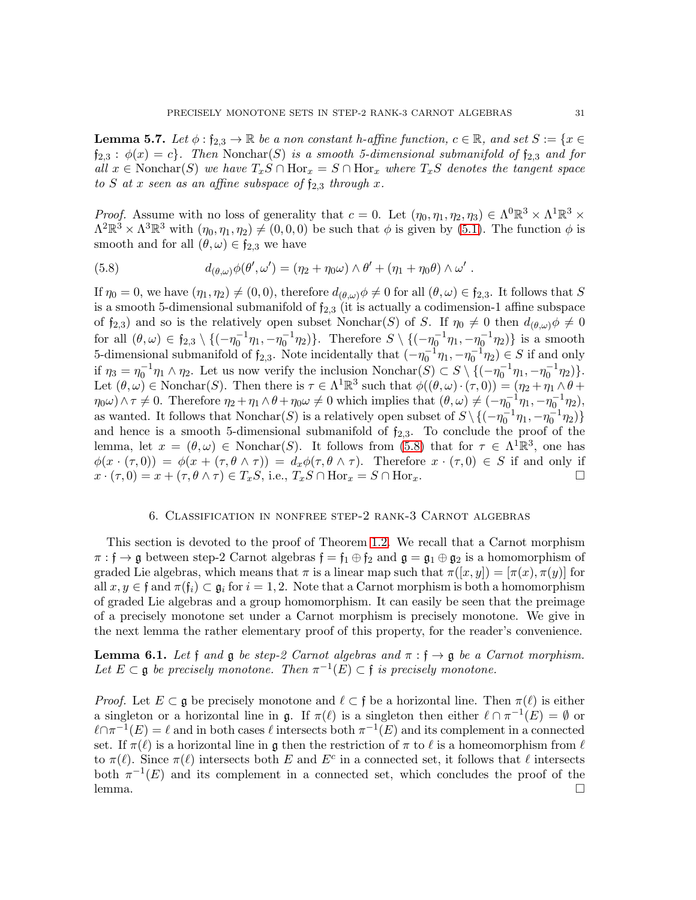<span id="page-30-1"></span>**Lemma 5.7.** Let  $\phi$  : f<sub>2.3</sub>  $\rightarrow \mathbb{R}$  be a non constant h-affine function,  $c \in \mathbb{R}$ , and set  $S := \{x \in \mathbb{R} \mid x \in \mathbb{R}\}$  $f_{2,3}$ :  $\phi(x) = c$ . Then Nonchar(S) is a smooth 5-dimensional submanifold of  $f_{2,3}$  and for all  $x \in \text{Nonchar}(S)$  we have  $T_xS \cap \text{Hor}_x = S \cap \text{Hor}_x$  where  $T_xS$  denotes the tangent space to S at x seen as an affine subspace of  $f_{2,3}$  through x.

*Proof.* Assume with no loss of generality that  $c = 0$ . Let  $(\eta_0, \eta_1, \eta_2, \eta_3) \in \Lambda^0 \mathbb{R}^3 \times \Lambda^1 \mathbb{R}^3 \times \Lambda^2$  $\Lambda^2 \mathbb{R}^3 \times \Lambda^3 \mathbb{R}^3$  with  $(\eta_0, \eta_1, \eta_2) \neq (0, 0, 0)$  be such that  $\phi$  is given by  $(5.1)$ . The function  $\phi$  is smooth and for all  $(\theta, \omega) \in \mathfrak{f}_{2,3}$  we have

<span id="page-30-2"></span>(5.8) 
$$
d_{(\theta,\omega)}\phi(\theta',\omega') = (\eta_2 + \eta_0\omega) \wedge \theta' + (\eta_1 + \eta_0\theta) \wedge \omega'.
$$

If  $\eta_0 = 0$ , we have  $(\eta_1, \eta_2) \neq (0, 0)$ , therefore  $d_{(\theta,\omega)} \phi \neq 0$  for all  $(\theta, \omega) \in \mathfrak{f}_{2,3}$ . It follows that S is a smooth 5-dimensional submanifold of  $f_{2,3}$  (it is actually a codimension-1 affine subspace of  $f_{2,3}$ ) and so is the relatively open subset Nonchar(S) of S. If  $\eta_0 \neq 0$  then  $d_{(\theta,\omega)}\phi \neq 0$ for all  $(\theta, \omega) \in \mathfrak{f}_{2,3} \setminus \{(-\eta_0^{-1}\eta_1, -\eta_0^{-1}\eta_2)\}\.$  Therefore  $S \setminus \{(-\eta_0^{-1}\eta_1, -\eta_0^{-1}\eta_2)\}\.$  is a smooth 5-dimensional submanifold of  $f_{2,3}$ . Note incidentally that  $(-\eta_0^{-1}\eta_1, -\eta_0^{-1}\eta_2) \in S$  if and only if  $\eta_3 = \eta_0^{-1} \eta_1 \wedge \eta_2$ . Let us now verify the inclusion Nonchar $(S) \subset S \setminus \{(-\eta_0^{-1}\eta_1, -\eta_0^{-1}\eta_2)\}.$ Let  $(\theta, \omega) \in \text{Nonchar}(S)$ . Then there is  $\tau \in \Lambda^1 \mathbb{R}^3$  such that  $\phi((\theta, \omega) \cdot (\tau, 0)) = (\eta_2 + \eta_1 \wedge \theta + \eta_2 \wedge \tau)$  $\eta_0 \omega$ )  $\wedge \tau \neq 0$ . Therefore  $\eta_2 + \eta_1 \wedge \theta + \eta_0 \omega \neq 0$  which implies that  $(\theta, \omega) \neq (-\eta_0^{-1}\eta_1, -\eta_0^{-1}\eta_2)$ , as wanted. It follows that  $N$ onchar $(S)$  is a relatively open subset of  $S \setminus \{(-\eta_0^{-1}\eta_1, -\eta_0^{-1}\eta_2)\}$ and hence is a smooth 5-dimensional submanifold of  $f_{2,3}$ . To conclude the proof of the lemma, let  $x = (\theta, \omega) \in \text{Nonchar}(S)$ . It follows from [\(5.8\)](#page-30-2) that for  $\tau \in \Lambda^1 \mathbb{R}^3$ , one has  $\phi(x \cdot (\tau, 0)) = \phi(x + (\tau, \theta \wedge \tau)) = d_x \phi(\tau, \theta \wedge \tau)$ . Therefore  $x \cdot (\tau, 0) \in S$  if and only if  $x \cdot (\tau, 0) = x + (\tau, \theta \wedge \tau) \in T_xS$ , i.e.,  $T_xS \cap \text{Hor}_x = S \cap \text{Hor}_x$ .

### 6. Classification in nonfree step-2 rank-3 Carnot algebras

<span id="page-30-0"></span>This section is devoted to the proof of Theorem [1.2.](#page-2-1) We recall that a Carnot morphism  $\pi : \mathfrak{f} \to \mathfrak{g}$  between step-2 Carnot algebras  $\mathfrak{f} = \mathfrak{f}_1 \oplus \mathfrak{f}_2$  and  $\mathfrak{g} = \mathfrak{g}_1 \oplus \mathfrak{g}_2$  is a homomorphism of graded Lie algebras, which means that  $\pi$  is a linear map such that  $\pi([x, y]) = [\pi(x), \pi(y)]$  for all  $x, y \in \mathfrak{f}$  and  $\pi(\mathfrak{f}_i) \subset \mathfrak{g}_i$  for  $i = 1, 2$ . Note that a Carnot morphism is both a homomorphism of graded Lie algebras and a group homomorphism. It can easily be seen that the preimage of a precisely monotone set under a Carnot morphism is precisely monotone. We give in the next lemma the rather elementary proof of this property, for the reader's convenience.

<span id="page-30-3"></span>**Lemma 6.1.** Let f and  $\mathfrak g$  be step-2 Carnot algebras and  $\pi : \mathfrak f \to \mathfrak g$  be a Carnot morphism. Let  $E \subset \mathfrak{g}$  be precisely monotone. Then  $\pi^{-1}(E) \subset \mathfrak{f}$  is precisely monotone.

*Proof.* Let  $E \subset \mathfrak{g}$  be precisely monotone and  $\ell \subset \mathfrak{f}$  be a horizontal line. Then  $\pi(\ell)$  is either a singleton or a horizontal line in  $\mathfrak{g}$ . If  $\pi(\ell)$  is a singleton then either  $\ell \cap \pi^{-1}(E) = \emptyset$  or  $\ell \cap \pi^{-1}(E) = \ell$  and in both cases  $\ell$  intersects both  $\pi^{-1}(E)$  and its complement in a connected set. If  $\pi(\ell)$  is a horizontal line in g then the restriction of  $\pi$  to  $\ell$  is a homeomorphism from  $\ell$ to  $\pi(\ell)$ . Since  $\pi(\ell)$  intersects both E and  $E^c$  in a connected set, it follows that  $\ell$  intersects both  $\pi^{-1}(E)$  and its complement in a connected set, which concludes the proof of the lemma. □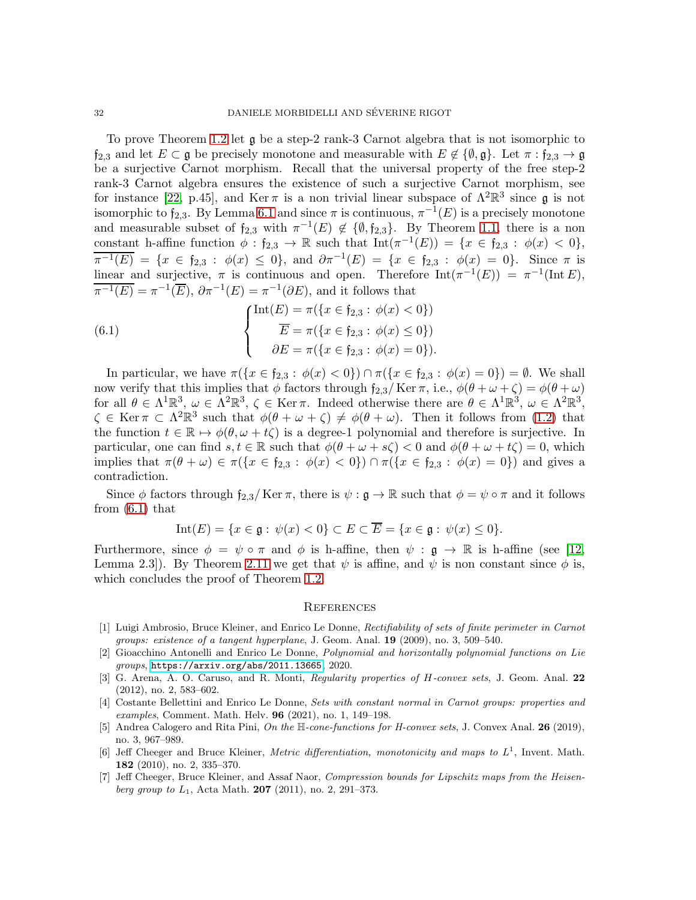To prove Theorem [1.2](#page-2-1) let g be a step-2 rank-3 Carnot algebra that is not isomorphic to  $f_{2,3}$  and let  $E \subset \mathfrak{g}$  be precisely monotone and measurable with  $E \notin \{\emptyset, \mathfrak{g}\}\$ . Let  $\pi : f_{2,3} \to \mathfrak{g}$ be a surjective Carnot morphism. Recall that the universal property of the free step-2 rank-3 Carnot algebra ensures the existence of such a surjective Carnot morphism, see for instance [\[22,](#page-32-15) p.45], and Ker  $\pi$  is a non trivial linear subspace of  $\Lambda^2 \mathbb{R}^3$  since  $\mathfrak g$  is not isomorphic to  $f_{2,3}$ . By Lemma [6.1](#page-30-3) and since  $\pi$  is continuous,  $\pi^{-1}(E)$  is a precisely monotone and measurable subset of  $f_{2,3}$  with  $\pi^{-1}(E) \notin \{\emptyset, f_{2,3}\}.$  By Theorem [1.1,](#page-2-0) there is a non constant h-affine function  $\phi : \mathfrak{f}_{2,3} \to \mathbb{R}$  such that  $\text{Int}(\pi^{-1}(E)) = \{x \in \mathfrak{f}_{2,3} : \phi(x) < 0\},\$  $\overline{\pi^{-1}(E)} = \{x \in \mathfrak{f}_{2,3} : \phi(x) \leq 0\}, \text{ and } \partial \pi^{-1}(E) = \{x \in \mathfrak{f}_{2,3} : \phi(x) = 0\}.$  Since  $\pi$  is linear and surjective,  $\pi$  is continuous and open. Therefore  $\text{Int}(\pi^{-1}(E)) = \pi^{-1}(\text{Int }E)$ ,  $\overline{\pi^{-1}(E)} = \pi^{-1}(\overline{E}), \, \partial \pi^{-1}(E) = \pi^{-1}(\partial E),$  and it follows that

<span id="page-31-7"></span>(6.1) 
$$
\begin{cases} \text{Int}(E) = \pi(\{x \in \mathfrak{f}_{2,3} : \phi(x) < 0\}) \\ \overline{E} = \pi(\{x \in \mathfrak{f}_{2,3} : \phi(x) \le 0\}) \\ \partial E = \pi(\{x \in \mathfrak{f}_{2,3} : \phi(x) = 0\}). \end{cases}
$$

In particular, we have  $\pi({x \in f_{2,3} : \phi(x) < 0}) \cap \pi({x \in f_{2,3} : \phi(x) = 0}) = \emptyset$ . We shall now verify that this implies that  $\phi$  factors through  $f_{2,3}/$  Ker  $\pi$ , i.e.,  $\phi(\theta + \omega + \zeta) = \phi(\theta + \omega)$ for all  $\theta \in \Lambda^1 \mathbb{R}^3$ ,  $\omega \in \Lambda^2 \mathbb{R}^3$ ,  $\zeta \in \text{Ker } \pi$ . Indeed otherwise there are  $\theta \in \Lambda^1 \mathbb{R}^3$ ,  $\omega \in \Lambda^2 \mathbb{R}^3$ ,  $\zeta \in \text{Ker } \pi \subset \Lambda^2 \mathbb{R}^3$  such that  $\phi(\theta + \omega + \zeta) \neq \phi(\theta + \omega)$ . Then it follows from [\(1.2\)](#page-2-2) that the function  $t \in \mathbb{R} \mapsto \phi(\theta, \omega + t\zeta)$  is a degree-1 polynomial and therefore is surjective. In particular, one can find  $s, t \in \mathbb{R}$  such that  $\phi(\theta + \omega + s\zeta) < 0$  and  $\phi(\theta + \omega + t\zeta) = 0$ , which implies that  $\pi(\theta + \omega) \in \pi({x \in f_{2,3} : \phi(x) < 0}) \cap \pi({x \in f_{2,3} : \phi(x) = 0})$  and gives a contradiction.

Since  $\phi$  factors through  $f_{2,3}/$  Ker  $\pi$ , there is  $\psi : \mathfrak{g} \to \mathbb{R}$  such that  $\phi = \psi \circ \pi$  and it follows from [\(6.1\)](#page-31-7) that

$$
Int(E) = \{x \in \mathfrak{g} : \psi(x) < 0\} \subset E \subset \overline{E} = \{x \in \mathfrak{g} : \psi(x) \le 0\}.
$$

Furthermore, since  $\phi = \psi \circ \pi$  and  $\phi$  is h-affine, then  $\psi : \mathfrak{g} \to \mathbb{R}$  is h-affine (see [\[12,](#page-32-10) Lemma 2.3]). By Theorem [2.11](#page-7-1) we get that  $\psi$  is affine, and  $\psi$  is non constant since  $\phi$  is, which concludes the proof of Theorem [1.2.](#page-2-1)

#### **REFERENCES**

- <span id="page-31-2"></span>[1] Luigi Ambrosio, Bruce Kleiner, and Enrico Le Donne, Rectifiability of sets of finite perimeter in Carnot groups: existence of a tangent hyperplane, J. Geom. Anal. 19 (2009), no. 3, 509–540.
- <span id="page-31-6"></span>[2] Gioacchino Antonelli and Enrico Le Donne, Polynomial and horizontally polynomial functions on Lie groups, <https://arxiv.org/abs/2011.13665>, 2020.
- <span id="page-31-4"></span>[3] G. Arena, A. O. Caruso, and R. Monti, Regularity properties of H-convex sets, J. Geom. Anal. 22 (2012), no. 2, 583–602.
- <span id="page-31-3"></span>[4] Costante Bellettini and Enrico Le Donne, Sets with constant normal in Carnot groups: properties and examples, Comment. Math. Helv. 96 (2021), no. 1, 149–198.
- <span id="page-31-5"></span>[5] Andrea Calogero and Rita Pini, On the H-cone-functions for H-convex sets, J. Convex Anal. 26 (2019), no. 3, 967–989.
- <span id="page-31-0"></span>[6] Jeff Cheeger and Bruce Kleiner, *Metric differentiation, monotonicity and maps to*  $L^1$ , Invent. Math. 182 (2010), no. 2, 335–370.
- <span id="page-31-1"></span>[7] Jeff Cheeger, Bruce Kleiner, and Assaf Naor, Compression bounds for Lipschitz maps from the Heisen*berg group to*  $L_1$ , Acta Math. **207** (2011), no. 2, 291–373.